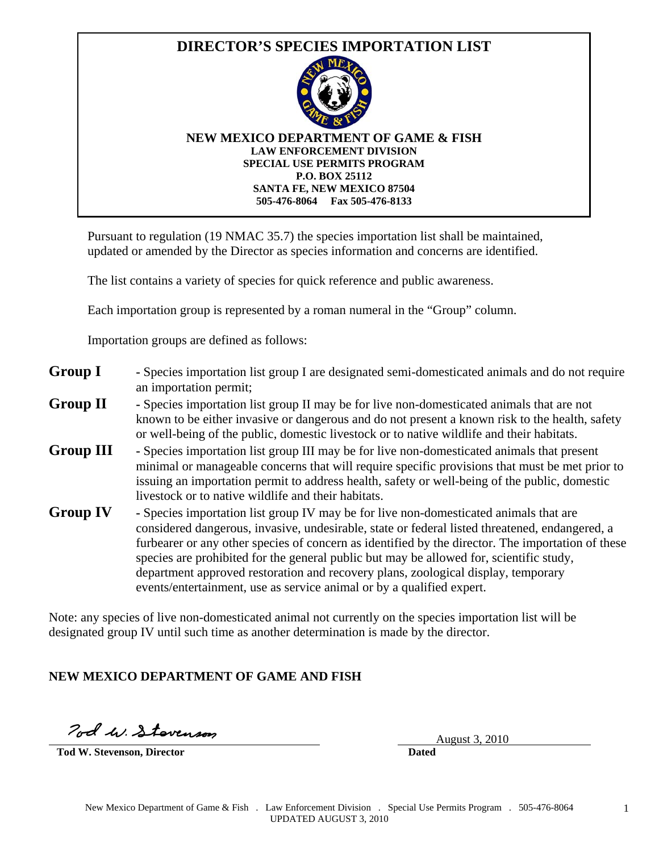

Pursuant to regulation (19 NMAC 35.7) the species importation list shall be maintained, updated or amended by the Director as species information and concerns are identified.

The list contains a variety of species for quick reference and public awareness.

Each importation group is represented by a roman numeral in the "Group" column.

Importation groups are defined as follows:

| <b>Group I</b> | - Species importation list group I are designated semi-domesticated animals and do not require |
|----------------|------------------------------------------------------------------------------------------------|
|                | an importation permit;                                                                         |

- **Group II** Species importation list group II may be for live non-domesticated animals that are not known to be either invasive or dangerous and do not present a known risk to the health, safety or well-being of the public, domestic livestock or to native wildlife and their habitats.
- **Group III** Species importation list group III may be for live non-domesticated animals that present minimal or manageable concerns that will require specific provisions that must be met prior to issuing an importation permit to address health, safety or well-being of the public, domestic livestock or to native wildlife and their habitats.
- **Group IV** Species importation list group IV may be for live non-domesticated animals that are considered dangerous, invasive, undesirable, state or federal listed threatened, endangered, a furbearer or any other species of concern as identified by the director. The importation of these species are prohibited for the general public but may be allowed for, scientific study, department approved restoration and recovery plans, zoological display, temporary events/entertainment, use as service animal or by a qualified expert.

Note: any species of live non-domesticated animal not currently on the species importation list will be designated group IV until such time as another determination is made by the director.

## **NEW MEXICO DEPARTMENT OF GAME AND FISH**

Tod W. Stovenson

**Tod W. Stevenson, Director Dated**

August 3, 2010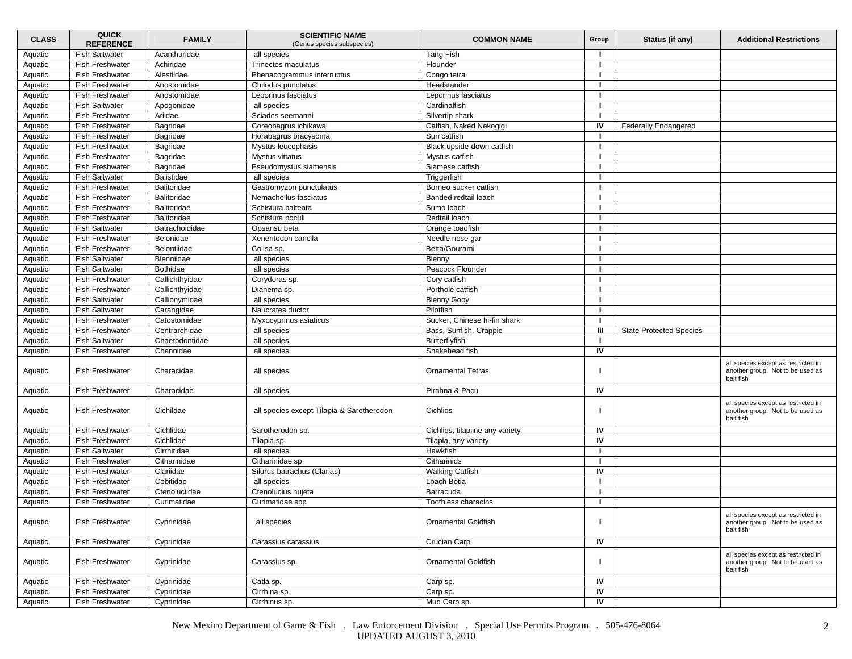| <b>CLASS</b> | <b>QUICK</b><br><b>REFERENCE</b> | <b>FAMILY</b>      | <b>SCIENTIFIC NAME</b><br>(Genus species subspecies) | <b>COMMON NAME</b>              | Group | Status (if any)                | <b>Additional Restrictions</b>                                                       |
|--------------|----------------------------------|--------------------|------------------------------------------------------|---------------------------------|-------|--------------------------------|--------------------------------------------------------------------------------------|
| Aquatic      | <b>Fish Saltwater</b>            | Acanthuridae       | all species                                          | Tang Fish                       |       |                                |                                                                                      |
| Aquatic      | Fish Freshwater                  | Achiridae          | Trinectes maculatus                                  | Flounder                        | п     |                                |                                                                                      |
| Aquatic      | <b>Fish Freshwater</b>           | Alestiidae         | Phenacogrammus interruptus                           | Congo tetra                     |       |                                |                                                                                      |
| Aquatic      | <b>Fish Freshwater</b>           | Anostomidae        | Chilodus punctatus                                   | Headstander                     |       |                                |                                                                                      |
| Aquatic      | Fish Freshwater                  | Anostomidae        | Leporinus fasciatus                                  | Leporinus fasciatus             |       |                                |                                                                                      |
| Aquatic      | <b>Fish Saltwater</b>            | Apogonidae         | all species                                          | Cardinalfish                    |       |                                |                                                                                      |
| Aquatic      | <b>Fish Freshwater</b>           | Ariidae            | Sciades seemanni                                     | Silvertip shark                 |       |                                |                                                                                      |
| Aquatic      | Fish Freshwater                  | Bagridae           | Coreobagrus ichikawai                                | Catfish, Naked Nekogigi         | IV    | <b>Federally Endangered</b>    |                                                                                      |
| Aquatic      | <b>Fish Freshwater</b>           | Bagridae           | Horabagrus bracysoma                                 | Sun catfish                     |       |                                |                                                                                      |
| Aquatic      | <b>Fish Freshwater</b>           | Bagridae           | Mystus leucophasis                                   | Black upside-down catfish       |       |                                |                                                                                      |
| Aquatic      | <b>Fish Freshwater</b>           | Bagridae           | Mystus vittatus                                      | Mystus catfish                  |       |                                |                                                                                      |
| Aquatic      | Fish Freshwater                  | Bagridae           | Pseudomystus siamensis                               | Siamese catfish                 |       |                                |                                                                                      |
| Aquatic      | <b>Fish Saltwater</b>            | <b>Balistidae</b>  | all species                                          | Triggerfish                     |       |                                |                                                                                      |
| Aquatic      | <b>Fish Freshwater</b>           | <b>Balitoridae</b> | Gastromyzon punctulatus                              | Borneo sucker catfish           |       |                                |                                                                                      |
| Aquatic      | <b>Fish Freshwater</b>           | Balitoridae        | Nemacheilus fasciatus                                | Banded redtail loach            |       |                                |                                                                                      |
| Aquatic      | <b>Fish Freshwater</b>           | Balitoridae        | Schistura balteata                                   | Sumo loach                      |       |                                |                                                                                      |
| Aquatic      | <b>Fish Freshwater</b>           | Balitoridae        | Schistura poculi                                     | Redtail loach                   |       |                                |                                                                                      |
| Aquatic      | <b>Fish Saltwater</b>            | Batrachoididae     | Opsansu beta                                         | Orange toadfish                 |       |                                |                                                                                      |
| Aquatic      | <b>Fish Freshwater</b>           | Belonidae          | Xenentodon cancila                                   | Needle nose gar                 |       |                                |                                                                                      |
| Aquatic      | Fish Freshwater                  | Belontiidae        | Colisa sp.                                           | Betta/Gourami                   |       |                                |                                                                                      |
| Aquatic      | <b>Fish Saltwater</b>            | Blenniidae         | all species                                          | Blenny                          |       |                                |                                                                                      |
| Aquatic      | <b>Fish Saltwater</b>            | <b>Bothidae</b>    | all species                                          | Peacock Flounder                |       |                                |                                                                                      |
| Aquatic      | Fish Freshwater                  | Callichthyidae     | Corydoras sp.                                        | Cory catfish                    |       |                                |                                                                                      |
| Aquatic      | Fish Freshwater                  | Callichthyidae     | Dianema sp.                                          | Porthole catfish                |       |                                |                                                                                      |
| Aquatic      | <b>Fish Saltwater</b>            | Callionymidae      | all species                                          | <b>Blenny Goby</b>              |       |                                |                                                                                      |
| Aquatic      | <b>Fish Saltwater</b>            | Carangidae         | Naucrates ductor                                     | Pilotfish                       | п     |                                |                                                                                      |
| Aquatic      | Fish Freshwater                  | Catostomidae       | Myxocyprinus asiaticus                               | Sucker, Chinese hi-fin shark    |       |                                |                                                                                      |
| Aquatic      | Fish Freshwater                  | Centrarchidae      | all species                                          | Bass, Sunfish, Crappie          | Ш     | <b>State Protected Species</b> |                                                                                      |
| Aquatic      | <b>Fish Saltwater</b>            | Chaetodontidae     | all species                                          | Butterflyfish                   |       |                                |                                                                                      |
| Aquatic      | <b>Fish Freshwater</b>           | Channidae          | all species                                          | Snakehead fish                  | IV    |                                |                                                                                      |
| Aquatic      | <b>Fish Freshwater</b>           | Characidae         | all species                                          | <b>Ornamental Tetras</b>        |       |                                | all species except as restricted in<br>another group. Not to be used as<br>bait fish |
| Aquatic      | <b>Fish Freshwater</b>           | Characidae         | all species                                          | Pirahna & Pacu                  | IV    |                                |                                                                                      |
| Aquatic      | <b>Fish Freshwater</b>           | Cichildae          | all species except Tilapia & Sarotherodon            | Cichlids                        |       |                                | all species except as restricted in<br>another group. Not to be used as<br>bait fish |
| Aquatic      | <b>Fish Freshwater</b>           | Cichlidae          | Sarotherodon sp.                                     | Cichlids, tilapiine any variety | IV    |                                |                                                                                      |
| Aquatic      | <b>Fish Freshwater</b>           | Cichlidae          | Tilapia sp.                                          | Tilapia, any variety            | IV    |                                |                                                                                      |
| Aquatic      | <b>Fish Saltwater</b>            | Cirrhitidae        | all species                                          | Hawkfish                        |       |                                |                                                                                      |
| Aquatic      | Fish Freshwater                  | Citharinidae       | Citharinidae sp.                                     | Citharinids                     |       |                                |                                                                                      |
| Aquatic      | <b>Fish Freshwater</b>           | Clariidae          | Silurus batrachus (Clarias)                          | <b>Walking Catfish</b>          | IV    |                                |                                                                                      |
| Aquatic      | <b>Fish Freshwater</b>           | Cobitidae          | all species                                          | Loach Botia                     |       |                                |                                                                                      |
| Aquatic      | <b>Fish Freshwater</b>           | Ctenoluciidae      | Ctenolucius hujeta                                   | Barracuda                       |       |                                |                                                                                      |
| Aquatic      | Fish Freshwater                  | Curimatidae        | Curimatidae spp                                      | Toothless characins             |       |                                |                                                                                      |
| Aquatic      | <b>Fish Freshwater</b>           | Cyprinidae         | all species                                          | <b>Ornamental Goldfish</b>      |       |                                | all species except as restricted in<br>another group. Not to be used as<br>bait fish |
| Aquatic      | <b>Fish Freshwater</b>           | Cyprinidae         | Carassius carassius                                  | Crucian Carp                    | IV    |                                |                                                                                      |
| Aquatic      | Fish Freshwater                  | Cyprinidae         | Carassius sp.                                        | <b>Ornamental Goldfish</b>      |       |                                | all species except as restricted in<br>another group. Not to be used as<br>bait fish |
| Aquatic      | <b>Fish Freshwater</b>           | Cyprinidae         | Catla sp.                                            | Carp sp.                        | IV    |                                |                                                                                      |
| Aquatic      | <b>Fish Freshwater</b>           | Cyprinidae         | Cirrhina sp.                                         | Carp sp.                        | IV    |                                |                                                                                      |
| Aquatic      | Fish Freshwater                  | Cyprinidae         | Cirrhinus sp.                                        | Mud Carp sp.                    | IV    |                                |                                                                                      |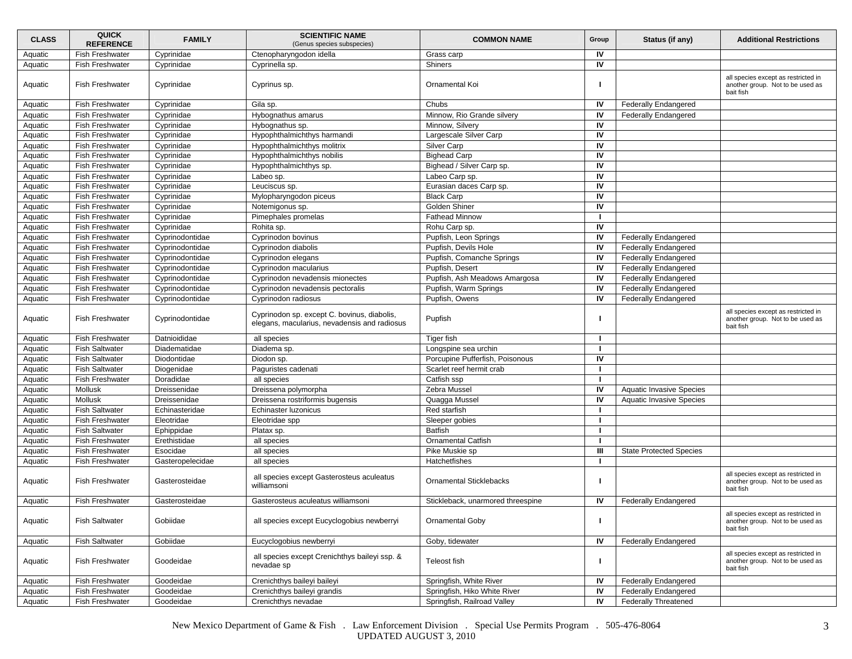| <b>CLASS</b> | <b>QUICK</b><br><b>REFERENCE</b> | <b>FAMILY</b>    | <b>SCIENTIFIC NAME</b><br>(Genus species subspecies)                                        | <b>COMMON NAME</b>                | Group | Status (if any)                 | <b>Additional Restrictions</b>                                                       |
|--------------|----------------------------------|------------------|---------------------------------------------------------------------------------------------|-----------------------------------|-------|---------------------------------|--------------------------------------------------------------------------------------|
| Aquatic      | <b>Fish Freshwater</b>           | Cyprinidae       | Ctenopharyngodon idella                                                                     | Grass carp                        | IV    |                                 |                                                                                      |
| Aquatic      | <b>Fish Freshwater</b>           | Cyprinidae       | Cyprinella sp.                                                                              | Shiners                           | IV    |                                 |                                                                                      |
| Aquatic      | <b>Fish Freshwater</b>           | Cyprinidae       | Cyprinus sp.                                                                                | Ornamental Koi                    |       |                                 | all species except as restricted in<br>another group. Not to be used as<br>bait fish |
| Aquatic      | <b>Fish Freshwater</b>           | Cyprinidae       | Gila sp.                                                                                    | Chubs                             | IV    | <b>Federally Endangered</b>     |                                                                                      |
| Aquatic      | <b>Fish Freshwater</b>           | Cyprinidae       | Hybognathus amarus                                                                          | Minnow, Rio Grande silvery        | IV    | <b>Federally Endangered</b>     |                                                                                      |
| Aquatic      | <b>Fish Freshwater</b>           | Cyprinidae       | Hybognathus sp.                                                                             | Minnow, Silvery                   | IV    |                                 |                                                                                      |
| Aquatic      | <b>Fish Freshwater</b>           | Cyprinidae       | Hypophthalmichthys harmandi                                                                 | Largescale Silver Carp            | IV    |                                 |                                                                                      |
| Aquatic      | <b>Fish Freshwater</b>           | Cyprinidae       | Hypophthalmichthys molitrix                                                                 | Silver Carp                       | IV    |                                 |                                                                                      |
| Aquatic      | Fish Freshwater                  | Cyprinidae       | Hypophthalmichthys nobilis                                                                  | <b>Bighead Carp</b>               | IV    |                                 |                                                                                      |
| Aquatic      | Fish Freshwater                  | Cyprinidae       | Hypophthalmichthys sp.                                                                      | Bighead / Silver Carp sp.         | IV    |                                 |                                                                                      |
| Aquatic      | <b>Fish Freshwater</b>           | Cyprinidae       | Labeo sp.                                                                                   | Labeo Carp sp.                    | IV    |                                 |                                                                                      |
| Aquatic      | <b>Fish Freshwater</b>           | Cyprinidae       | Leuciscus sp.                                                                               | Eurasian daces Carp sp.           | IV    |                                 |                                                                                      |
| Aquatic      | Fish Freshwater                  | Cyprinidae       | Mylopharyngodon piceus                                                                      | <b>Black Carp</b>                 | IV    |                                 |                                                                                      |
| Aquatic      | <b>Fish Freshwater</b>           | Cyprinidae       | Notemigonus sp.                                                                             | Golden Shiner                     | IV    |                                 |                                                                                      |
| Aquatic      | <b>Fish Freshwater</b>           | Cyprinidae       | Pimephales promelas                                                                         | <b>Fathead Minnow</b>             |       |                                 |                                                                                      |
| Aquatic      | <b>Fish Freshwater</b>           | Cyprinidae       | Rohita sp.                                                                                  | Rohu Carp sp.                     | IV    |                                 |                                                                                      |
| Aquatic      | <b>Fish Freshwater</b>           | Cyprinodontidae  | Cyprinodon bovinus                                                                          | Pupfish, Leon Springs             | IV    | <b>Federally Endangered</b>     |                                                                                      |
| Aquatic      | <b>Fish Freshwater</b>           | Cyprinodontidae  | Cyprinodon diabolis                                                                         | Pupfish, Devils Hole              | IV    | <b>Federally Endangered</b>     |                                                                                      |
| Aquatic      | <b>Fish Freshwater</b>           | Cyprinodontidae  | Cyprinodon elegans                                                                          | Pupfish, Comanche Springs         | IV    | <b>Federally Endangered</b>     |                                                                                      |
| Aquatic      | <b>Fish Freshwater</b>           | Cyprinodontidae  | Cyprinodon macularius                                                                       | Pupfish, Desert                   | IV    | <b>Federally Endangered</b>     |                                                                                      |
| Aquatic      | Fish Freshwater                  | Cyprinodontidae  | Cyprinodon nevadensis mionectes                                                             | Pupfish, Ash Meadows Amargosa     | IV    | <b>Federally Endangered</b>     |                                                                                      |
| Aquatic      | <b>Fish Freshwater</b>           | Cyprinodontidae  | Cyprinodon nevadensis pectoralis                                                            | Pupfish, Warm Springs             | IV    | <b>Federally Endangered</b>     |                                                                                      |
| Aquatic      | <b>Fish Freshwater</b>           | Cyprinodontidae  | Cyprinodon radiosus                                                                         | Pupfish, Owens                    | IV    | <b>Federally Endangered</b>     |                                                                                      |
| Aquatic      | <b>Fish Freshwater</b>           | Cyprinodontidae  | Cyprinodon sp. except C. bovinus, diabolis,<br>elegans, macularius, nevadensis and radiosus | Pupfish                           |       |                                 | all species except as restricted in<br>another group. Not to be used as<br>bait fish |
| Aquatic      | <b>Fish Freshwater</b>           | Datnioididae     | all species                                                                                 | <b>Tiger fish</b>                 |       |                                 |                                                                                      |
| Aquatic      | <b>Fish Saltwater</b>            | Diadematidae     | Diadema sp.                                                                                 | Longspine sea urchin              |       |                                 |                                                                                      |
| Aquatic      | <b>Fish Saltwater</b>            | Diodontidae      | Diodon sp.                                                                                  | Porcupine Pufferfish, Poisonous   | IV    |                                 |                                                                                      |
| Aquatic      | <b>Fish Saltwater</b>            | Diogenidae       | Paguristes cadenati                                                                         | Scarlet reef hermit crab          |       |                                 |                                                                                      |
| Aquatic      | Fish Freshwater                  | Doradidae        | all species                                                                                 | Catfish ssp                       |       |                                 |                                                                                      |
| Aquatic      | Mollusk                          | Dreissenidae     | Dreissena polymorpha                                                                        | Zebra Mussel                      | IV    | <b>Aquatic Invasive Species</b> |                                                                                      |
| Aquatic      | Mollusk                          | Dreissenidae     | Dreissena rostriformis bugensis                                                             | Quagga Mussel                     | IV    | <b>Aquatic Invasive Species</b> |                                                                                      |
| Aquatic      | <b>Fish Saltwater</b>            | Echinasteridae   | Echinaster luzonicus                                                                        | Red starfish                      |       |                                 |                                                                                      |
| Aquatic      | <b>Fish Freshwater</b>           | Eleotridae       | Eleotridae spp                                                                              | Sleeper gobies                    |       |                                 |                                                                                      |
| Aquatic      | <b>Fish Saltwater</b>            | Ephippidae       | Platax sp.                                                                                  | <b>Batfish</b>                    | ш     |                                 |                                                                                      |
| Aquatic      | Fish Freshwater                  | Erethistidae     | all species                                                                                 | <b>Ornamental Catfish</b>         |       |                                 |                                                                                      |
| Aquatic      | <b>Fish Freshwater</b>           | Esocidae         | all species                                                                                 | Pike Muskie sp                    | Ш     | <b>State Protected Species</b>  |                                                                                      |
| Aquatic      | <b>Fish Freshwater</b>           | Gasteropelecidae | all species                                                                                 | Hatchetfishes                     |       |                                 |                                                                                      |
| Aquatic      | <b>Fish Freshwater</b>           | Gasterosteidae   | all species except Gasterosteus aculeatus<br>williamsoni                                    | <b>Ornamental Sticklebacks</b>    |       |                                 | all species except as restricted in<br>another group. Not to be used as<br>bait fish |
| Aquatic      | <b>Fish Freshwater</b>           | Gasterosteidae   | Gasterosteus aculeatus williamsoni                                                          | Stickleback, unarmored threespine | IV    | <b>Federally Endangered</b>     |                                                                                      |
| Aquatic      | <b>Fish Saltwater</b>            | Gobiidae         | all species except Eucyclogobius newberryi                                                  | Ornamental Goby                   |       |                                 | all species except as restricted in<br>another group. Not to be used as<br>bait fish |
| Aquatic      | <b>Fish Saltwater</b>            | Gobiidae         | Eucyclogobius newberryi                                                                     | Goby, tidewater                   | IV    | <b>Federally Endangered</b>     |                                                                                      |
| Aquatic      | Fish Freshwater                  | Goodeidae        | all species except Crenichthys baileyi ssp. &<br>nevadae sp                                 | Teleost fish                      | п     |                                 | all species except as restricted in<br>another group. Not to be used as<br>bait fish |
| Aquatic      | <b>Fish Freshwater</b>           | Goodeidae        | Crenichthys baileyi baileyi                                                                 | Springfish, White River           | IV    | <b>Federally Endangered</b>     |                                                                                      |
| Aquatic      | <b>Fish Freshwater</b>           | Goodeidae        | Crenichthys baileyi grandis                                                                 | Springfish, Hiko White River      | IV    | <b>Federally Endangered</b>     |                                                                                      |
| Aquatic      | <b>Fish Freshwater</b>           | Goodeidae        | Crenichthys nevadae                                                                         | Springfish, Railroad Valley       | IV    | <b>Federally Threatened</b>     |                                                                                      |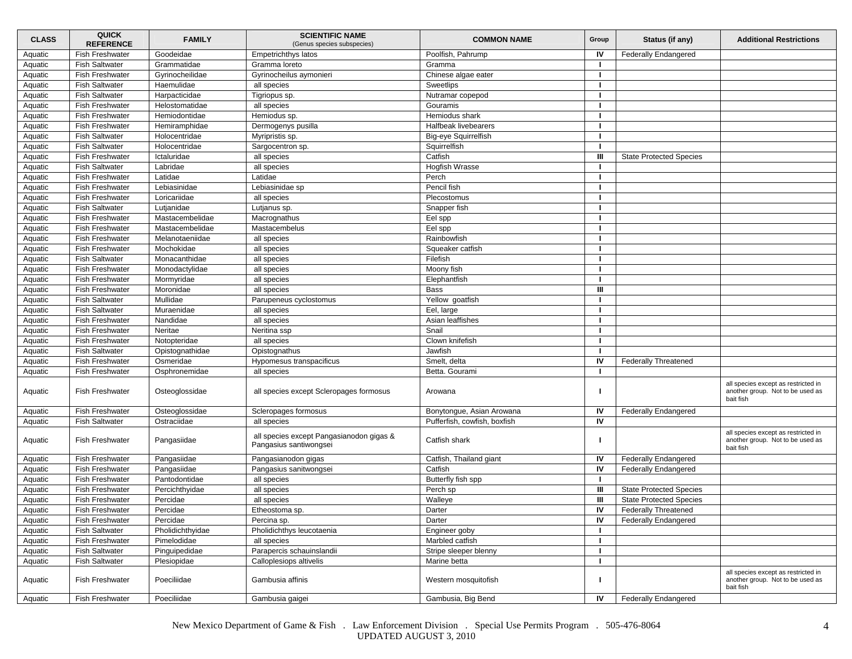| <b>CLASS</b> | <b>QUICK</b><br><b>REFERENCE</b> | <b>FAMILY</b>    | <b>SCIENTIFIC NAME</b><br>(Genus species subspecies)               | <b>COMMON NAME</b>           | Group        | Status (if any)                | <b>Additional Restrictions</b>                                                       |
|--------------|----------------------------------|------------------|--------------------------------------------------------------------|------------------------------|--------------|--------------------------------|--------------------------------------------------------------------------------------|
| Aquatic      | <b>Fish Freshwater</b>           | Goodeidae        | Empetrichthys latos                                                | Poolfish, Pahrump            | IV           | <b>Federally Endangered</b>    |                                                                                      |
| Aquatic      | <b>Fish Saltwater</b>            | Grammatidae      | Gramma loreto                                                      | Gramma                       | л.           |                                |                                                                                      |
| Aquatic      | <b>Fish Freshwater</b>           | Gyrinocheilidae  | Gyrinocheilus aymonieri                                            | Chinese algae eater          |              |                                |                                                                                      |
| Aquatic      | <b>Fish Saltwater</b>            | Haemulidae       | all species                                                        | Sweetlips                    |              |                                |                                                                                      |
| Aquatic      | <b>Fish Saltwater</b>            | Harpacticidae    | Tigriopus sp.                                                      | Nutramar copepod             |              |                                |                                                                                      |
| Aquatic      | Fish Freshwater                  | Helostomatidae   | all species                                                        | Gouramis                     |              |                                |                                                                                      |
| Aquatic      | Fish Freshwater                  | Hemiodontidae    | Hemiodus sp.                                                       | Hemiodus shark               |              |                                |                                                                                      |
| Aquatic      | <b>Fish Freshwater</b>           | Hemiramphidae    | Dermogenys pusilla                                                 | Halfbeak livebearers         | л.           |                                |                                                                                      |
| Aquatic      | <b>Fish Saltwater</b>            | Holocentridae    | Myripristis sp.                                                    | <b>Big-eye Squirrelfish</b>  |              |                                |                                                                                      |
| Aquatic      | <b>Fish Saltwater</b>            | Holocentridae    | Sargocentron sp.                                                   | Squirrelfish                 |              |                                |                                                                                      |
| Aquatic      | Fish Freshwater                  | Ictaluridae      | all species                                                        | Catfish                      | Ш            | <b>State Protected Species</b> |                                                                                      |
| Aquatic      | <b>Fish Saltwater</b>            | Labridae         | all species                                                        | Hogfish Wrasse               |              |                                |                                                                                      |
| Aquatic      | Fish Freshwater                  | Latidae          | Latidae                                                            | Perch                        | л.           |                                |                                                                                      |
| Aquatic      | Fish Freshwater                  | Lebiasinidae     | Lebiasinidae sp                                                    | Pencil fish                  |              |                                |                                                                                      |
| Aquatic      | <b>Fish Freshwater</b>           | Loricariidae     | all species                                                        | Plecostomus                  |              |                                |                                                                                      |
| Aquatic      | <b>Fish Saltwater</b>            | Lutjanidae       | Lutjanus sp.                                                       | Snapper fish                 |              |                                |                                                                                      |
| Aquatic      | <b>Fish Freshwater</b>           | Mastacembelidae  | Macrognathus                                                       | Eel spp                      |              |                                |                                                                                      |
| Aquatic      | <b>Fish Freshwater</b>           | Mastacembelidae  | Mastacembelus                                                      | Eel spp                      |              |                                |                                                                                      |
| Aquatic      | <b>Fish Freshwater</b>           | Melanotaeniidae  | all species                                                        | Rainbowfish                  |              |                                |                                                                                      |
| Aquatic      | Fish Freshwater                  | Mochokidae       | all species                                                        | Squeaker catfish             |              |                                |                                                                                      |
| Aquatic      | <b>Fish Saltwater</b>            | Monacanthidae    | all species                                                        | Filefish                     |              |                                |                                                                                      |
| Aquatic      | Fish Freshwater                  | Monodactylidae   | all species                                                        | Moony fish                   |              |                                |                                                                                      |
| Aquatic      | <b>Fish Freshwater</b>           | Mormyridae       | all species                                                        | Elephantfish                 |              |                                |                                                                                      |
| Aquatic      | <b>Fish Freshwater</b>           | Moronidae        | all species                                                        | <b>Bass</b>                  | Ш            |                                |                                                                                      |
| Aquatic      | <b>Fish Saltwater</b>            | Mullidae         | Parupeneus cyclostomus                                             | Yellow goatfish              |              |                                |                                                                                      |
| Aquatic      | <b>Fish Saltwater</b>            | Muraenidae       | all species                                                        | Eel, large                   |              |                                |                                                                                      |
| Aquatic      | <b>Fish Freshwater</b>           | Nandidae         | all species                                                        | Asian leaffishes             |              |                                |                                                                                      |
| Aquatic      | Fish Freshwater                  | Neritae          | Neritina ssp                                                       | Snail                        |              |                                |                                                                                      |
| Aquatic      | <b>Fish Freshwater</b>           | Notopteridae     | all species                                                        | Clown knifefish              |              |                                |                                                                                      |
| Aquatic      | <b>Fish Saltwater</b>            | Opistognathidae  | Opistognathus                                                      | Jawfish                      |              |                                |                                                                                      |
| Aquatic      | Fish Freshwater                  | Osmeridae        | Hypomesus transpacificus                                           | Smelt, delta                 | IV           | <b>Federally Threatened</b>    |                                                                                      |
| Aquatic      | <b>Fish Freshwater</b>           | Osphronemidae    | all species                                                        | Betta. Gourami               | $\mathbf{I}$ |                                |                                                                                      |
| Aquatic      | <b>Fish Freshwater</b>           | Osteoglossidae   | all species except Scleropages formosus                            | Arowana                      |              |                                | all species except as restricted in<br>another group. Not to be used as<br>bait fish |
| Aquatic      | <b>Fish Freshwater</b>           | Osteoglossidae   | Scleropages formosus                                               | Bonytongue, Asian Arowana    | IV           | <b>Federally Endangered</b>    |                                                                                      |
| Aquatic      | <b>Fish Saltwater</b>            | Ostraciidae      | all species                                                        | Pufferfish, cowfish, boxfish | IV           |                                |                                                                                      |
| Aquatic      | <b>Fish Freshwater</b>           | Pangasiidae      | all species except Pangasianodon gigas &<br>Pangasius santiwongsei | Catfish shark                |              |                                | all species except as restricted in<br>another group. Not to be used as<br>bait fish |
| Aquatic      | Fish Freshwater                  | Pangasiidae      | Pangasianodon gigas                                                | Catfish, Thailand giant      | IV           | <b>Federally Endangered</b>    |                                                                                      |
| Aquatic      | <b>Fish Freshwater</b>           | Pangasiidae      | Pangasius sanitwongsei                                             | Catfish                      | IV           | <b>Federally Endangered</b>    |                                                                                      |
| Aquatic      | <b>Fish Freshwater</b>           | Pantodontidae    | all species                                                        | Butterfly fish spp           |              |                                |                                                                                      |
| Aquatic      | <b>Fish Freshwater</b>           | Percichthyidae   | all species                                                        | Perch sp                     | Ш            | <b>State Protected Species</b> |                                                                                      |
| Aquatic      | Fish Freshwater                  | Percidae         | all species                                                        | Walleye                      | Ш            | <b>State Protected Species</b> |                                                                                      |
| Aquatic      | <b>Fish Freshwater</b>           | Percidae         | Etheostoma sp.                                                     | Darter                       | IV           | <b>Federally Threatened</b>    |                                                                                      |
| Aquatic      | Fish Freshwater                  | Percidae         | Percina sp.                                                        | Darter                       | IV           | <b>Federally Endangered</b>    |                                                                                      |
| Aquatic      | <b>Fish Saltwater</b>            | Pholidichthyidae | Pholidichthys leucotaenia                                          | Engineer goby                | л.           |                                |                                                                                      |
| Aquatic      | Fish Freshwater                  | Pimelodidae      | all species                                                        | Marbled catfish              | л.           |                                |                                                                                      |
| Aquatic      | <b>Fish Saltwater</b>            | Pinguipedidae    | Parapercis schauinslandii                                          | Stripe sleeper blenny        |              |                                |                                                                                      |
| Aquatic      | <b>Fish Saltwater</b>            | Plesiopidae      | Calloplesiops altivelis                                            | Marine betta                 | л.           |                                |                                                                                      |
| Aquatic      | <b>Fish Freshwater</b>           | Poeciliidae      | Gambusia affinis                                                   | Western mosquitofish         |              |                                | all species except as restricted in<br>another group. Not to be used as<br>bait fish |
| Aquatic      | Fish Freshwater                  | Poeciliidae      | Gambusia gaigei                                                    | Gambusia, Big Bend           | IV           | <b>Federally Endangered</b>    |                                                                                      |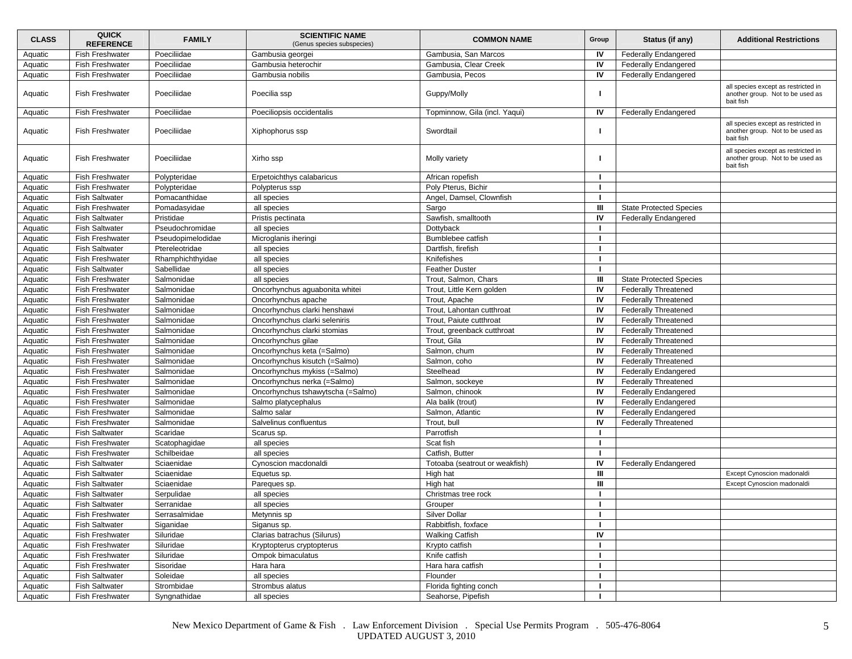| <b>CLASS</b> | <b>QUICK</b><br><b>REFERENCE</b> | <b>FAMILY</b>     | <b>SCIENTIFIC NAME</b><br>(Genus species subspecies) | <b>COMMON NAME</b>             | Group        | Status (if any)                | <b>Additional Restrictions</b>                                                       |
|--------------|----------------------------------|-------------------|------------------------------------------------------|--------------------------------|--------------|--------------------------------|--------------------------------------------------------------------------------------|
| Aquatic      | <b>Fish Freshwater</b>           | Poeciliidae       | Gambusia georgei                                     | Gambusia, San Marcos           | IV           | <b>Federally Endangered</b>    |                                                                                      |
| Aquatic      | Fish Freshwater                  | Poeciliidae       | Gambusia heterochir                                  | Gambusia, Clear Creek          | IV           | <b>Federally Endangered</b>    |                                                                                      |
| Aquatic      | <b>Fish Freshwater</b>           | Poeciliidae       | Gambusia nobilis                                     | Gambusia, Pecos                | IV           | <b>Federally Endangered</b>    |                                                                                      |
| Aquatic      | <b>Fish Freshwater</b>           | Poeciliidae       | Poecilia ssp                                         | Guppy/Molly                    | г            |                                | all species except as restricted in<br>another group. Not to be used as<br>bait fish |
| Aquatic      | <b>Fish Freshwater</b>           | Poeciliidae       | Poeciliopsis occidentalis                            | Topminnow, Gila (incl. Yaqui)  | IV           | <b>Federally Endangered</b>    |                                                                                      |
| Aquatic      | <b>Fish Freshwater</b>           | Poeciliidae       | Xiphophorus ssp                                      | Swordtail                      | т            |                                | all species except as restricted in<br>another group. Not to be used as<br>bait fish |
| Aquatic      | <b>Fish Freshwater</b>           | Poeciliidae       | Xirho ssp                                            | Molly variety                  |              |                                | all species except as restricted in<br>another group. Not to be used as<br>bait fish |
| Aquatic      | <b>Fish Freshwater</b>           | Polypteridae      | Erpetoichthys calabaricus                            | African ropefish               |              |                                |                                                                                      |
| Aquatic      | <b>Fish Freshwater</b>           | Polypteridae      | Polypterus ssp                                       | Poly Pterus, Bichir            |              |                                |                                                                                      |
| Aquatic      | <b>Fish Saltwater</b>            | Pomacanthidae     | all species                                          | Angel, Damsel, Clownfish       |              |                                |                                                                                      |
| Aquatic      | <b>Fish Freshwater</b>           | Pomadasyidae      | all species                                          | Sargo                          | Ш            | <b>State Protected Species</b> |                                                                                      |
| Aquatic      | <b>Fish Saltwater</b>            | Pristidae         | Pristis pectinata                                    | Sawfish, smalltooth            | IV           | <b>Federally Endangered</b>    |                                                                                      |
| Aquatic      | <b>Fish Saltwater</b>            | Pseudochromidae   | all species                                          | Dottyback                      | $\mathbf{I}$ |                                |                                                                                      |
| Aquatic      | <b>Fish Freshwater</b>           | Pseudopimelodidae | Microglanis iheringi                                 | Bumblebee catfish              | п            |                                |                                                                                      |
| Aquatic      | <b>Fish Saltwater</b>            | Ptereleotridae    | all species                                          | Dartfish, firefish             |              |                                |                                                                                      |
| Aquatic      | <b>Fish Freshwater</b>           | Rhamphichthyidae  | all species                                          | Knifefishes                    |              |                                |                                                                                      |
| Aquatic      | <b>Fish Saltwater</b>            | Sabellidae        | all species                                          | <b>Feather Duster</b>          | $\mathbf{I}$ |                                |                                                                                      |
| Aquatic      | <b>Fish Freshwater</b>           | Salmonidae        | all species                                          | Trout, Salmon, Chars           | Ш            | <b>State Protected Species</b> |                                                                                      |
| Aquatic      | <b>Fish Freshwater</b>           | Salmonidae        | Oncorhynchus aguabonita whitei                       | Trout, Little Kern golden      | IV           | <b>Federally Threatened</b>    |                                                                                      |
| Aquatic      | <b>Fish Freshwater</b>           | Salmonidae        | Oncorhynchus apache                                  | Trout, Apache                  | IV           | <b>Federally Threatened</b>    |                                                                                      |
| Aquatic      | <b>Fish Freshwater</b>           | Salmonidae        | Oncorhynchus clarki henshawi                         | Trout, Lahontan cutthroat      | IV           | <b>Federally Threatened</b>    |                                                                                      |
| Aquatic      | <b>Fish Freshwater</b>           | Salmonidae        | Oncorhynchus clarki seleniris                        | Trout, Paiute cutthroat        | IV           | <b>Federally Threatened</b>    |                                                                                      |
| Aquatic      | <b>Fish Freshwater</b>           | Salmonidae        | Oncorhynchus clarki stomias                          | Trout, greenback cutthroat     | IV           | <b>Federally Threatened</b>    |                                                                                      |
| Aquatic      | Fish Freshwater                  | Salmonidae        | Oncorhynchus gilae                                   | Trout, Gila                    | IV           | <b>Federally Threatened</b>    |                                                                                      |
| Aquatic      | <b>Fish Freshwater</b>           | Salmonidae        | Oncorhynchus keta (=Salmo)                           | Salmon, chum                   | IV           | <b>Federally Threatened</b>    |                                                                                      |
| Aquatic      | Fish Freshwater                  | Salmonidae        | Oncorhynchus kisutch (=Salmo)                        | Salmon, coho                   | IV           | <b>Federally Threatened</b>    |                                                                                      |
| Aquatic      | <b>Fish Freshwater</b>           | Salmonidae        | Oncorhynchus mykiss (=Salmo)                         | Steelhead                      | IV           | <b>Federally Endangered</b>    |                                                                                      |
| Aquatic      | <b>Fish Freshwater</b>           | Salmonidae        | Oncorhynchus nerka (=Salmo)                          | Salmon, sockeye                | IV           | <b>Federally Threatened</b>    |                                                                                      |
| Aquatic      | Fish Freshwater                  | Salmonidae        | Oncorhynchus tshawytscha (=Salmo)                    | Salmon, chinook                | IV           | <b>Federally Endangered</b>    |                                                                                      |
| Aquatic      | <b>Fish Freshwater</b>           | Salmonidae        | Salmo platycephalus                                  | Ala balik (trout)              | IV           | <b>Federally Endangered</b>    |                                                                                      |
| Aquatic      | <b>Fish Freshwater</b>           | Salmonidae        | Salmo salar                                          | Salmon, Atlantic               | IV           | <b>Federally Endangered</b>    |                                                                                      |
| Aquatic      | <b>Fish Freshwater</b>           | Salmonidae        | Salvelinus confluentus                               | Trout, bull                    | IV           | <b>Federally Threatened</b>    |                                                                                      |
| Aquatic      | <b>Fish Saltwater</b>            | Scaridae          | Scarus sp.                                           | Parrotfish                     |              |                                |                                                                                      |
| Aquatic      | <b>Fish Freshwater</b>           | Scatophagidae     | all species                                          | Scat fish                      | -1           |                                |                                                                                      |
| Aquatic      | <b>Fish Freshwater</b>           | Schilbeidae       | all species                                          | Catfish, Butter                | -1           |                                |                                                                                      |
| Aquatic      | <b>Fish Saltwater</b>            | Sciaenidae        | Cynoscion macdonaldi                                 | Totoaba (seatrout or weakfish) | IV           | <b>Federally Endangered</b>    |                                                                                      |
| Aquatic      | <b>Fish Saltwater</b>            | Sciaenidae        | Equetus sp.                                          | High hat                       | Ш            |                                | Except Cynoscion madonaldi                                                           |
| Aquatic      | <b>Fish Saltwater</b>            | Sciaenidae        | Pareques sp.                                         | High hat                       | Ш            |                                | Except Cynoscion madonaldi                                                           |
| Aquatic      | <b>Fish Saltwater</b>            | Serpulidae        | all species                                          | Christmas tree rock            |              |                                |                                                                                      |
| Aquatic      | <b>Fish Saltwater</b>            | Serranidae        | all species                                          | Grouper                        |              |                                |                                                                                      |
| Aquatic      | <b>Fish Freshwater</b>           | Serrasalmidae     | Metynnis sp                                          | Silver Dollar                  | л.           |                                |                                                                                      |
| Aquatic      | <b>Fish Saltwater</b>            | Siganidae         | Siganus sp.                                          | Rabbitfish, foxface            | $\mathbf{I}$ |                                |                                                                                      |
| Aquatic      | Fish Freshwater                  | Siluridae         | Clarias batrachus (Silurus)                          | <b>Walking Catfish</b>         | IV           |                                |                                                                                      |
| Aquatic      | <b>Fish Freshwater</b>           | Siluridae         | Kryptopterus cryptopterus                            | Krypto catfish                 | п            |                                |                                                                                      |
| Aquatic      | Fish Freshwater                  | Siluridae         | Ompok bimaculatus                                    | Knife catfish                  |              |                                |                                                                                      |
| Aquatic      | Fish Freshwater                  | Sisoridae         | Hara hara                                            | Hara hara catfish              | -1           |                                |                                                                                      |
| Aquatic      | <b>Fish Saltwater</b>            | Soleidae          | all species                                          | Flounder                       | п.           |                                |                                                                                      |
| Aquatic      | <b>Fish Saltwater</b>            | Strombidae        | Strombus alatus                                      | Florida fighting conch         | л.           |                                |                                                                                      |
| Aquatic      | Fish Freshwater                  | Syngnathidae      | all species                                          | Seahorse, Pipefish             | $\mathbf{I}$ |                                |                                                                                      |
|              |                                  |                   |                                                      |                                |              |                                |                                                                                      |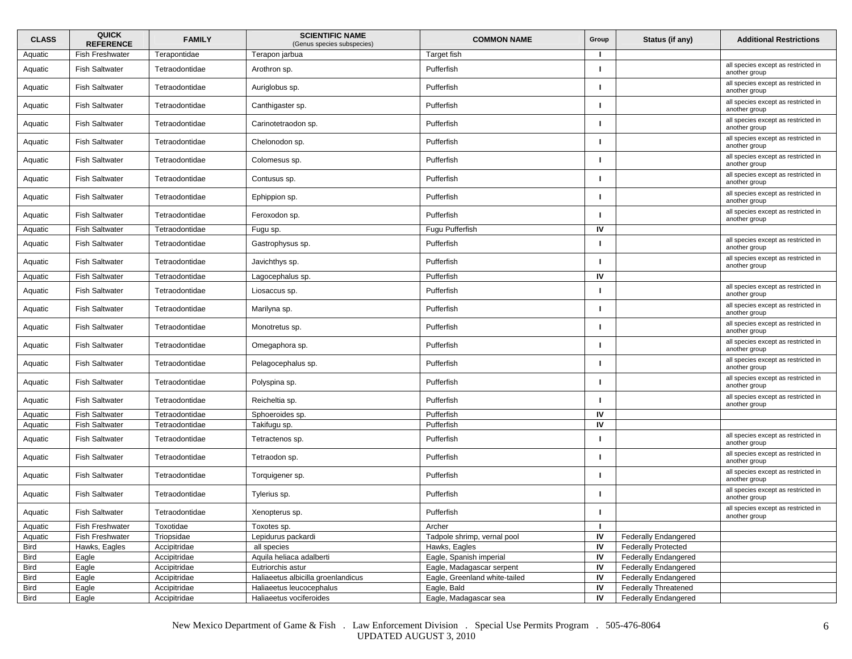| <b>CLASS</b> | <b>QUICK</b><br><b>REFERENCE</b> | <b>FAMILY</b>  | <b>SCIENTIFIC NAME</b><br>(Genus species subspecies) | <b>COMMON NAME</b>            | Group | Status (if any)             | <b>Additional Restrictions</b>                       |
|--------------|----------------------------------|----------------|------------------------------------------------------|-------------------------------|-------|-----------------------------|------------------------------------------------------|
| Aquatic      | Fish Freshwater                  | Terapontidae   | Terapon jarbua                                       | Target fish                   |       |                             |                                                      |
| Aquatic      | <b>Fish Saltwater</b>            | Tetraodontidae | Arothron sp.                                         | Pufferfish                    |       |                             | all species except as restricted in<br>another group |
| Aquatic      | <b>Fish Saltwater</b>            | Tetraodontidae | Auriglobus sp.                                       | Pufferfish                    |       |                             | all species except as restricted in<br>another group |
| Aquatic      | <b>Fish Saltwater</b>            | Tetraodontidae | Canthigaster sp.                                     | Pufferfish                    |       |                             | all species except as restricted in<br>another group |
| Aquatic      | <b>Fish Saltwater</b>            | Tetraodontidae | Carinotetraodon sp.                                  | Pufferfish                    |       |                             | all species except as restricted in<br>another group |
| Aquatic      | <b>Fish Saltwater</b>            | Tetraodontidae | Chelonodon sp.                                       | Pufferfish                    |       |                             | all species except as restricted in<br>another group |
| Aquatic      | <b>Fish Saltwater</b>            | Tetraodontidae | Colomesus sp.                                        | Pufferfish                    |       |                             | all species except as restricted in<br>another group |
| Aquatic      | <b>Fish Saltwater</b>            | Tetraodontidae | Contusus sp.                                         | Pufferfish                    |       |                             | all species except as restricted in<br>another group |
| Aquatic      | <b>Fish Saltwater</b>            | Tetraodontidae | Ephippion sp.                                        | Pufferfish                    |       |                             | all species except as restricted in<br>another group |
| Aquatic      | <b>Fish Saltwater</b>            | Tetraodontidae | Feroxodon sp.                                        | Pufferfish                    |       |                             | all species except as restricted in<br>another group |
| Aquatic      | <b>Fish Saltwater</b>            | Tetraodontidae | Fugu sp.                                             | Fugu Pufferfish               | IV    |                             |                                                      |
| Aquatic      | <b>Fish Saltwater</b>            | Tetraodontidae | Gastrophysus sp.                                     | Pufferfish                    |       |                             | all species except as restricted in<br>another group |
| Aquatic      | <b>Fish Saltwater</b>            | Tetraodontidae | Javichthys sp.                                       | Pufferfish                    |       |                             | all species except as restricted in<br>another group |
| Aquatic      | <b>Fish Saltwater</b>            | Tetraodontidae | Lagocephalus sp.                                     | Pufferfish                    | IV    |                             |                                                      |
| Aquatic      | <b>Fish Saltwater</b>            | Tetraodontidae | Liosaccus sp.                                        | Pufferfish                    |       |                             | all species except as restricted in<br>another group |
| Aquatic      | <b>Fish Saltwater</b>            | Tetraodontidae | Marilyna sp.                                         | Pufferfish                    |       |                             | all species except as restricted in<br>another group |
| Aquatic      | <b>Fish Saltwater</b>            | Tetraodontidae | Monotretus sp.                                       | Pufferfish                    |       |                             | all species except as restricted in<br>another group |
| Aquatic      | <b>Fish Saltwater</b>            | Tetraodontidae | Omegaphora sp.                                       | Pufferfish                    |       |                             | all species except as restricted in<br>another group |
| Aquatic      | <b>Fish Saltwater</b>            | Tetraodontidae | Pelagocephalus sp.                                   | Pufferfish                    |       |                             | all species except as restricted in<br>another group |
| Aquatic      | <b>Fish Saltwater</b>            | Tetraodontidae | Polyspina sp.                                        | Pufferfish                    |       |                             | all species except as restricted in<br>another group |
| Aquatic      | <b>Fish Saltwater</b>            | Tetraodontidae | Reicheltia sp.                                       | Pufferfish                    |       |                             | all species except as restricted in<br>another group |
| Aquatic      | <b>Fish Saltwater</b>            | Tetraodontidae | Sphoeroides sp.                                      | Pufferfish                    | IV    |                             |                                                      |
| Aquatic      | <b>Fish Saltwater</b>            | Tetraodontidae | Takifugu sp.                                         | Pufferfish                    | IV    |                             |                                                      |
| Aquatic      | <b>Fish Saltwater</b>            | Tetraodontidae | Tetractenos sp.                                      | Pufferfish                    |       |                             | all species except as restricted in<br>another group |
| Aquatic      | <b>Fish Saltwater</b>            | Tetraodontidae | Tetraodon sp.                                        | Pufferfish                    |       |                             | all species except as restricted in<br>another group |
| Aquatic      | <b>Fish Saltwater</b>            | Tetraodontidae | Torquigener sp.                                      | Pufferfish                    |       |                             | all species except as restricted in<br>another group |
| Aquatic      | <b>Fish Saltwater</b>            | Tetraodontidae | Tylerius sp.                                         | Pufferfish                    |       |                             | all species except as restricted in<br>another group |
| Aquatic      | Fish Saltwater                   | Tetraodontidae | Xenopterus sp.                                       | Pufferfish                    |       |                             | all species except as restricted in<br>another group |
| Aquatic      | <b>Fish Freshwater</b>           | Toxotidae      | Toxotes sp.                                          | Archer                        | п.    |                             |                                                      |
| Aquatic      | <b>Fish Freshwater</b>           | Triopsidae     | Lepidurus packardi                                   | Tadpole shrimp, vernal pool   | IV    | <b>Federally Endangered</b> |                                                      |
| Bird         | Hawks, Eagles                    | Accipitridae   | all species                                          | Hawks, Eagles                 | IV    | <b>Federally Protected</b>  |                                                      |
| <b>Bird</b>  | Eagle                            | Accipitridae   | Aquila heliaca adalberti                             | Eagle, Spanish imperial       | IV    | <b>Federally Endangered</b> |                                                      |
| Bird         | Eagle                            | Accipitridae   | Eutriorchis astur                                    | Eagle, Madagascar serpent     | IV    | <b>Federally Endangered</b> |                                                      |
| <b>Bird</b>  | Eagle                            | Accipitridae   | Haliaeetus albicilla groenlandicus                   | Eagle, Greenland white-tailed | IV    | <b>Federally Endangered</b> |                                                      |
| Bird         | Eagle                            | Accipitridae   | Haliaeetus leucocephalus                             | Eagle, Bald                   | IV    | <b>Federally Threatened</b> |                                                      |
| Bird         | Eagle                            | Accipitridae   | Haliaeetus vociferoides                              | Eagle, Madagascar sea         | 1V    | <b>Federally Endangered</b> |                                                      |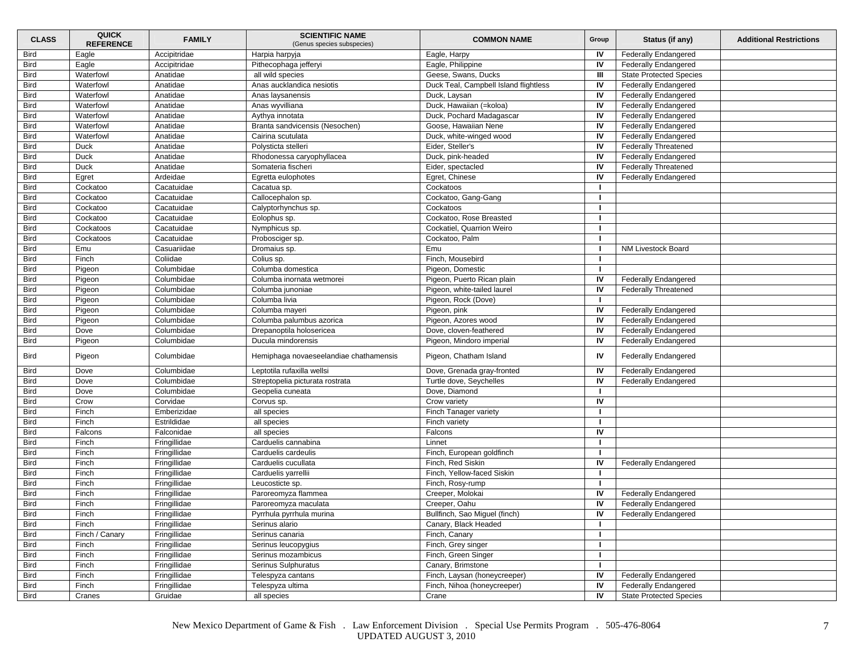| <b>CLASS</b> | <b>QUICK</b><br><b>REFERENCE</b> | <b>FAMILY</b> | <b>SCIENTIFIC NAME</b><br>(Genus species subspecies) | <b>COMMON NAME</b>                    | Group | Status (if any)                | <b>Additional Restrictions</b> |
|--------------|----------------------------------|---------------|------------------------------------------------------|---------------------------------------|-------|--------------------------------|--------------------------------|
| <b>Bird</b>  | Eagle                            | Accipitridae  | Harpia harpyja                                       | Eagle, Harpy                          | IV    | <b>Federally Endangered</b>    |                                |
| <b>Bird</b>  | Eagle                            | Accipitridae  | Pithecophaga jefferyi                                | Eagle, Philippine                     | IV    | <b>Federally Endangered</b>    |                                |
| <b>Bird</b>  | Waterfowl                        | Anatidae      | all wild species                                     | Geese, Swans, Ducks                   | Ш     | <b>State Protected Species</b> |                                |
| Bird         | Waterfowl                        | Anatidae      | Anas aucklandica nesiotis                            | Duck Teal, Campbell Island flightless | IV    | <b>Federally Endangered</b>    |                                |
| <b>Bird</b>  | Waterfowl                        | Anatidae      | Anas laysanensis                                     | Duck, Laysan                          | IV    | <b>Federally Endangered</b>    |                                |
| <b>Bird</b>  | Waterfowl                        | Anatidae      | Anas wyvilliana                                      | Duck, Hawaiian (=koloa)               | IV    | <b>Federally Endangered</b>    |                                |
| <b>Bird</b>  | Waterfowl                        | Anatidae      | Aythya innotata                                      | Duck, Pochard Madagascar              | IV    | <b>Federally Endangered</b>    |                                |
| <b>Bird</b>  | Waterfowl                        | Anatidae      | Branta sandvicensis (Nesochen)                       | Goose, Hawaiian Nene                  | IV    | <b>Federally Endangered</b>    |                                |
| Bird         | Waterfowl                        | Anatidae      | Cairina scutulata                                    | Duck, white-winged wood               | IV    | <b>Federally Endangered</b>    |                                |
| Bird         | Duck                             | Anatidae      | Polysticta stelleri                                  | Eider, Steller's                      | IV    | <b>Federally Threatened</b>    |                                |
| <b>Bird</b>  | Duck                             | Anatidae      | Rhodonessa caryophyllacea                            | Duck, pink-headed                     | IV    | Federally Endangered           |                                |
| <b>Bird</b>  | Duck                             | Anatidae      | Somateria fischeri                                   | Eider, spectacled                     | IV    | <b>Federally Threatened</b>    |                                |
| <b>Bird</b>  | Egret                            | Ardeidae      | Egretta eulophotes                                   | Egret, Chinese                        | IV    | <b>Federally Endangered</b>    |                                |
| <b>Bird</b>  | Cockatoo                         | Cacatuidae    | Cacatua sp.                                          | Cockatoos                             | -1    |                                |                                |
| <b>Bird</b>  | Cockatoo                         | Cacatuidae    | Callocephalon sp.                                    | Cockatoo, Gang-Gang                   |       |                                |                                |
| Bird         | Cockatoo                         | Cacatuidae    | Calyptorhynchus sp.                                  | Cockatoos                             | -1    |                                |                                |
| <b>Bird</b>  | Cockatoo                         | Cacatuidae    | Eolophus sp.                                         | Cockatoo, Rose Breasted               |       |                                |                                |
| <b>Bird</b>  | Cockatoos                        | Cacatuidae    | Nymphicus sp.                                        | Cockatiel, Quarrion Weiro             |       |                                |                                |
| <b>Bird</b>  | Cockatoos                        | Cacatuidae    | Probosciger sp.                                      | Cockatoo, Palm                        |       |                                |                                |
| <b>Bird</b>  | Emu                              | Casuariidae   |                                                      | Emu                                   |       | NM Livestock Board             |                                |
| Bird         | Finch                            | Coliidae      | Dromaius sp.                                         | Finch, Mousebird                      | -1    |                                |                                |
|              |                                  | Columbidae    | Colius sp.                                           |                                       | -1    |                                |                                |
| Bird         | Pigeon                           |               | Columba domestica                                    | Pigeon, Domestic                      |       |                                |                                |
| <b>Bird</b>  | Pigeon                           | Columbidae    | Columba inornata wetmorei                            | Pigeon, Puerto Rican plain            | IV    | <b>Federally Endangered</b>    |                                |
| <b>Bird</b>  | Pigeon                           | Columbidae    | Columba junoniae                                     | Pigeon, white-tailed laurel           | IV    | <b>Federally Threatened</b>    |                                |
| <b>Bird</b>  | Pigeon                           | Columbidae    | Columba livia                                        | Pigeon, Rock (Dove)                   |       |                                |                                |
| <b>Bird</b>  | Pigeon                           | Columbidae    | Columba mayeri                                       | Pigeon, pink                          | IV    | <b>Federally Endangered</b>    |                                |
| <b>Bird</b>  | Pigeon                           | Columbidae    | Columba palumbus azorica                             | Pigeon, Azores wood                   | IV    | <b>Federally Endangered</b>    |                                |
| Bird         | Dove                             | Columbidae    | Drepanoptila holosericea                             | Dove, cloven-feathered                | IV    | <b>Federally Endangered</b>    |                                |
| <b>Bird</b>  | Pigeon                           | Columbidae    | Ducula mindorensis                                   | Pigeon, Mindoro imperial              | IV    | <b>Federally Endangered</b>    |                                |
| <b>Bird</b>  | Pigeon                           | Columbidae    | Hemiphaga novaeseelandiae chathamensis               | Pigeon, Chatham Island                | IV    | <b>Federally Endangered</b>    |                                |
| <b>Bird</b>  | Dove                             | Columbidae    | Leptotila rufaxilla wellsi                           | Dove, Grenada gray-fronted            | IV    | <b>Federally Endangered</b>    |                                |
| <b>Bird</b>  | Dove                             | Columbidae    | Streptopelia picturata rostrata                      | Turtle dove, Seychelles               | IV    | <b>Federally Endangered</b>    |                                |
| <b>Bird</b>  | Dove                             | Columbidae    | Geopelia cuneata                                     | Dove, Diamond                         |       |                                |                                |
| Bird         | Crow                             | Corvidae      | Corvus sp.                                           | Crow variety                          | IV    |                                |                                |
| <b>Bird</b>  | Finch                            | Emberizidae   | all species                                          | Finch Tanager variety                 |       |                                |                                |
| <b>Bird</b>  | Finch                            | Estrildidae   | all species                                          | Finch variety                         |       |                                |                                |
| <b>Bird</b>  | Falcons                          | Falconidae    | all species                                          | Falcons                               | IV    |                                |                                |
| <b>Bird</b>  | Finch                            | Fringillidae  | Carduelis cannabina                                  | Linnet                                | -1    |                                |                                |
| Bird         | Finch                            | Fringillidae  | Carduelis cardeulis                                  | Finch, European goldfinch             |       |                                |                                |
| Bird         | Finch                            | Fringillidae  | Carduelis cucullata                                  | Finch, Red Siskin                     | IV    | <b>Federally Endangered</b>    |                                |
| <b>Bird</b>  | Finch                            | Fringillidae  | Carduelis yarrellii                                  | Finch, Yellow-faced Siskin            |       |                                |                                |
| <b>Bird</b>  | Finch                            | Fringillidae  | Leucosticte sp.                                      | Finch, Rosy-rump                      |       |                                |                                |
| <b>Bird</b>  | Finch                            | Fringillidae  | Paroreomyza flammea                                  | Creeper, Molokai                      | IV    | <b>Federally Endangered</b>    |                                |
| <b>Bird</b>  | Finch                            | Fringillidae  | Paroreomyza maculata                                 | Creeper, Oahu                         | IV    | <b>Federally Endangered</b>    |                                |
| Bird         | Finch                            | Fringillidae  | Pyrrhula pyrrhula murina                             | Bullfinch, Sao Miguel (finch)         | IV    | <b>Federally Endangered</b>    |                                |
| <b>Bird</b>  | Finch                            | Fringillidae  | Serinus alario                                       | Canary, Black Headed                  |       |                                |                                |
| <b>Bird</b>  | Finch / Canary                   | Fringillidae  | Serinus canaria                                      | Finch, Canary                         |       |                                |                                |
| <b>Bird</b>  | Finch                            | Fringillidae  | Serinus leucopygius                                  | Finch, Grey singer                    |       |                                |                                |
| <b>Bird</b>  | Finch                            | Fringillidae  | Serinus mozambicus                                   | Finch, Green Singer                   |       |                                |                                |
| Bird         | Finch                            | Fringillidae  | Serinus Sulphuratus                                  | Canary, Brimstone                     | -1    |                                |                                |
| <b>Bird</b>  | Finch                            | Fringillidae  | Telespyza cantans                                    | Finch, Laysan (honeycreeper)          | IV    | <b>Federally Endangered</b>    |                                |
| <b>Bird</b>  | Finch                            | Fringillidae  | Telespyza ultima                                     | Finch, Nihoa (honeycreeper)           | IV    | <b>Federally Endangered</b>    |                                |
| <b>Bird</b>  | Cranes                           | Gruidae       | all species                                          | Crane                                 | IV    | <b>State Protected Species</b> |                                |
|              |                                  |               |                                                      |                                       |       |                                |                                |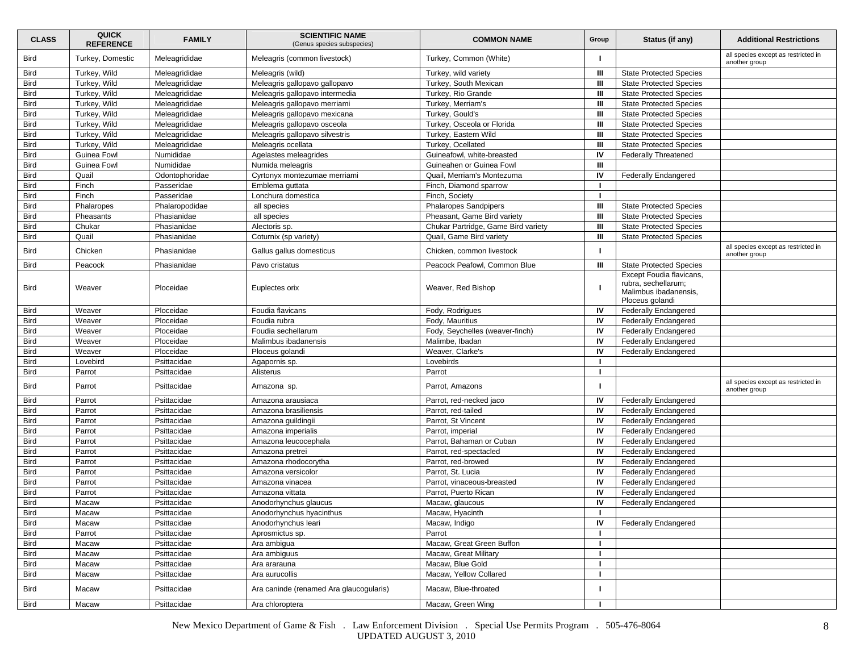| <b>CLASS</b> | <b>QUICK</b><br><b>REFERENCE</b> | <b>FAMILY</b>  | <b>SCIENTIFIC NAME</b><br>(Genus species subspecies) | <b>COMMON NAME</b>                  | Group        | Status (if any)                                                                             | <b>Additional Restrictions</b>                       |
|--------------|----------------------------------|----------------|------------------------------------------------------|-------------------------------------|--------------|---------------------------------------------------------------------------------------------|------------------------------------------------------|
| Bird         | Turkey, Domestic                 | Meleagrididae  | Meleagris (common livestock)                         | Turkey, Common (White)              |              |                                                                                             | all species except as restricted in<br>another group |
| Bird         | Turkey, Wild                     | Meleagrididae  | Meleagris (wild)                                     | Turkey, wild variety                | Ш            | <b>State Protected Species</b>                                                              |                                                      |
| <b>Bird</b>  | Turkey, Wild                     | Meleagrididae  | Meleagris gallopavo gallopavo                        | Turkey, South Mexican               | Ш            | <b>State Protected Species</b>                                                              |                                                      |
| <b>Bird</b>  | Turkey, Wild                     | Meleagrididae  | Meleagris gallopavo intermedia                       | Turkey, Rio Grande                  | Ш            | <b>State Protected Species</b>                                                              |                                                      |
| Bird         | Turkey, Wild                     | Meleagrididae  | Meleagris gallopavo merriami                         | Turkey, Merriam's                   | Ш            | <b>State Protected Species</b>                                                              |                                                      |
| <b>Bird</b>  | Turkey, Wild                     | Meleagrididae  | Meleagris gallopavo mexicana                         | Turkey, Gould's                     | Ш            | <b>State Protected Species</b>                                                              |                                                      |
| <b>Bird</b>  | Turkey, Wild                     | Meleagrididae  | Meleagris gallopavo osceola                          | Turkey, Osceola or Florida          | Ш            | <b>State Protected Species</b>                                                              |                                                      |
| <b>Bird</b>  | Turkey, Wild                     | Meleagrididae  | Meleagris gallopavo silvestris                       | Turkey, Eastern Wild                | Ш            | <b>State Protected Species</b>                                                              |                                                      |
| <b>Bird</b>  | Turkey, Wild                     | Meleagrididae  | Meleagris ocellata                                   | Turkey, Ocellated                   | Ш            | <b>State Protected Species</b>                                                              |                                                      |
| <b>Bird</b>  | Guinea Fowl                      | Numididae      | Agelastes meleagrides                                | Guineafowl, white-breasted          | IV           | <b>Federally Threatened</b>                                                                 |                                                      |
| Bird         | Guinea Fowl                      | Numididae      | Numida meleagris                                     | Guineahen or Guinea Fowl            | Ш            |                                                                                             |                                                      |
| <b>Bird</b>  | Quail                            | Odontophoridae | Cyrtonyx montezumae merriami                         | Quail, Merriam's Montezuma          | IV           | <b>Federally Endangered</b>                                                                 |                                                      |
| <b>Bird</b>  | Finch                            | Passeridae     | Emblema guttata                                      | Finch, Diamond sparrow              |              |                                                                                             |                                                      |
| Bird         | Finch                            | Passeridae     | Lonchura domestica                                   | Finch, Society                      |              |                                                                                             |                                                      |
| <b>Bird</b>  | Phalaropes                       | Phalaropodidae | all species                                          | Phalaropes Sandpipers               | Ш            | <b>State Protected Species</b>                                                              |                                                      |
| <b>Bird</b>  | Pheasants                        | Phasianidae    | all species                                          | Pheasant, Game Bird variety         | Ш            | <b>State Protected Species</b>                                                              |                                                      |
| Bird         | Chukar                           | Phasianidae    | Alectoris sp.                                        | Chukar Partridge, Game Bird variety | Ш            | <b>State Protected Species</b>                                                              |                                                      |
| <b>Bird</b>  | Quail                            | Phasianidae    | Coturnix (sp variety)                                | Quail, Game Bird variety            | Ш            | <b>State Protected Species</b>                                                              |                                                      |
| Bird         | Chicken                          | Phasianidae    | Gallus gallus domesticus                             | Chicken, common livestock           |              |                                                                                             | all species except as restricted in<br>another group |
| Bird         | Peacock                          | Phasianidae    | Pavo cristatus                                       | Peacock Peafowl, Common Blue        | Ш            | <b>State Protected Species</b>                                                              |                                                      |
| Bird         | Weaver                           | Ploceidae      | Euplectes orix                                       | Weaver, Red Bishop                  |              | Except Foudia flavicans,<br>rubra, sechellarum;<br>Malimbus ibadanensis,<br>Ploceus golandi |                                                      |
| Bird         | Weaver                           | Ploceidae      | Foudia flavicans                                     | Fody, Rodrigues                     | IV           | <b>Federally Endangered</b>                                                                 |                                                      |
| <b>Bird</b>  | Weaver                           | Ploceidae      | Foudia rubra                                         | Fody, Mauritius                     | IV           | <b>Federally Endangered</b>                                                                 |                                                      |
| <b>Bird</b>  | Weaver                           | Ploceidae      | Foudia sechellarum                                   | Fody, Seychelles (weaver-finch)     | IV           | <b>Federally Endangered</b>                                                                 |                                                      |
| <b>Bird</b>  | Weaver                           | Ploceidae      | Malimbus ibadanensis                                 | Malimbe, Ibadan                     | IV           | <b>Federally Endangered</b>                                                                 |                                                      |
| <b>Bird</b>  | Weaver                           | Ploceidae      | Ploceus golandi                                      | Weaver, Clarke's                    | IV           | <b>Federally Endangered</b>                                                                 |                                                      |
| Bird         | Lovebird                         | Psittacidae    | Agapornis sp.                                        | Lovebirds                           |              |                                                                                             |                                                      |
| <b>Bird</b>  | Parrot                           | Psittacidae    | Alisterus                                            | Parrot                              | $\mathbf{I}$ |                                                                                             |                                                      |
| Bird         | Parrot                           | Psittacidae    | Amazona sp.                                          | Parrot, Amazons                     |              |                                                                                             | all species except as restricted in<br>another group |
| Bird         | Parrot                           | Psittacidae    | Amazona arausiaca                                    | Parrot, red-necked jaco             | IV           | <b>Federally Endangered</b>                                                                 |                                                      |
| <b>Bird</b>  | Parrot                           | Psittacidae    | Amazona brasiliensis                                 | Parrot, red-tailed                  | IV           | <b>Federally Endangered</b>                                                                 |                                                      |
| <b>Bird</b>  | Parrot                           | Psittacidae    | Amazona guildingii                                   | Parrot, St Vincent                  | IV           | Federally Endangered                                                                        |                                                      |
| <b>Bird</b>  | Parrot                           | Psittacidae    | Amazona imperialis                                   | Parrot, imperial                    | IV           | <b>Federally Endangered</b>                                                                 |                                                      |
| <b>Bird</b>  | Parrot                           | Psittacidae    | Amazona leucocephala                                 | Parrot, Bahaman or Cuban            | IV           | <b>Federally Endangered</b>                                                                 |                                                      |
| <b>Bird</b>  | Parrot                           | Psittacidae    | Amazona pretrei                                      | Parrot, red-spectacled              | IV           | <b>Federally Endangered</b>                                                                 |                                                      |
| Bird         | Parrot                           | Psittacidae    | Amazona rhodocorytha                                 | Parrot, red-browed                  | IV           | <b>Federally Endangered</b>                                                                 |                                                      |
| <b>Bird</b>  | Parrot                           | Psittacidae    | Amazona versicolor                                   | Parrot, St. Lucia                   | IV           | Federally Endangered                                                                        |                                                      |
| <b>Bird</b>  | Parrot                           | Psittacidae    | Amazona vinacea                                      | Parrot, vinaceous-breasted          | IV           | <b>Federally Endangered</b>                                                                 |                                                      |
| Bird         | Parrot                           | Psittacidae    | Amazona vittata                                      | Parrot, Puerto Rican                | IV           | <b>Federally Endangered</b>                                                                 |                                                      |
| Bird         | Macaw                            | Psittacidae    | Anodorhynchus glaucus                                | Macaw, glaucous                     | IV           | <b>Federally Endangered</b>                                                                 |                                                      |
| Rird         | Macaw                            | Psittacidae    | Anodorhynchus hyacinthus                             | Macaw, Hyacinth                     | л.           |                                                                                             |                                                      |
| Bird         | Macaw                            | Psittacidae    | Anodorhynchus leari                                  | Macaw, Indigo                       | IV           | <b>Federally Endangered</b>                                                                 |                                                      |
| <b>Bird</b>  | Parrot                           | Psittacidae    | Aprosmictus sp.                                      | Parrot                              |              |                                                                                             |                                                      |
| <b>Bird</b>  | Macaw                            | Psittacidae    | Ara ambigua                                          | Macaw, Great Green Buffon           |              |                                                                                             |                                                      |
| <b>Bird</b>  | Macaw                            | Psittacidae    | Ara ambiguus                                         | Macaw, Great Military               |              |                                                                                             |                                                      |
| <b>Bird</b>  | Macaw                            | Psittacidae    | Ara ararauna                                         | Macaw, Blue Gold                    |              |                                                                                             |                                                      |
| Bird         | Macaw                            | Psittacidae    | Ara aurucollis                                       | Macaw, Yellow Collared              |              |                                                                                             |                                                      |
| Bird         | Macaw                            | Psittacidae    | Ara caninde (renamed Ara glaucogularis)              | Macaw, Blue-throated                |              |                                                                                             |                                                      |
| Bird         | Macaw                            | Psittacidae    | Ara chloroptera                                      | Macaw, Green Wing                   |              |                                                                                             |                                                      |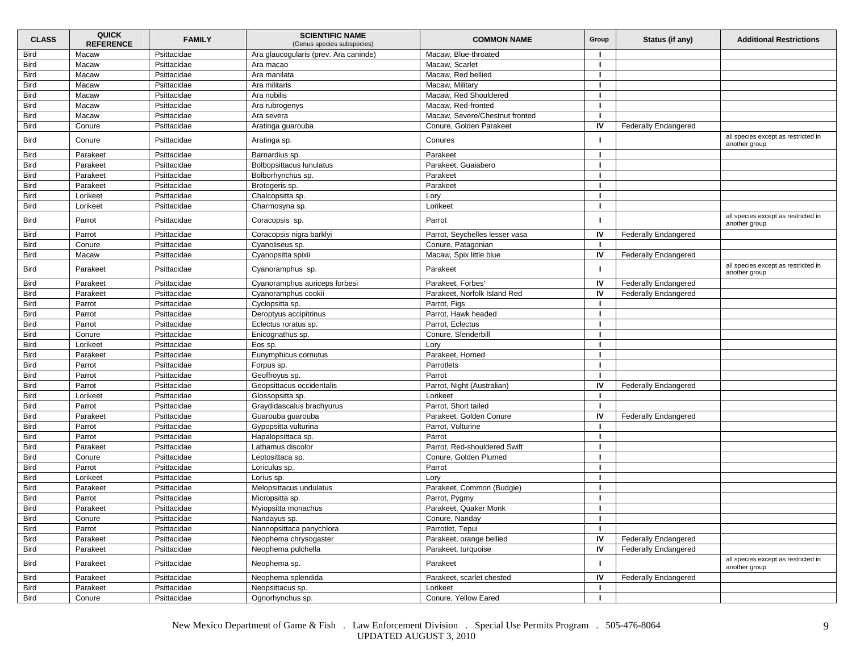| <b>CLASS</b> | <b>QUICK</b><br><b>REFERENCE</b> | <b>FAMILY</b> | <b>SCIENTIFIC NAME</b><br>(Genus species subspecies) | <b>COMMON NAME</b>             | Group | Status (if any)             | <b>Additional Restrictions</b>                       |
|--------------|----------------------------------|---------------|------------------------------------------------------|--------------------------------|-------|-----------------------------|------------------------------------------------------|
| <b>Bird</b>  | Macaw                            | Psittacidae   | Ara glaucogularis (prev. Ara caninde)                | Macaw, Blue-throated           |       |                             |                                                      |
| <b>Bird</b>  | Macaw                            | Psittacidae   | Ara macao                                            | Macaw, Scarlet                 |       |                             |                                                      |
| <b>Bird</b>  | Macaw                            | Psittacidae   | Ara manilata                                         | Macaw, Red bellied             |       |                             |                                                      |
| Bird         | Macaw                            | Psittacidae   | Ara militaris                                        | Macaw. Military                |       |                             |                                                      |
| Bird         | Macaw                            | Psittacidae   | Ara nobilis                                          | Macaw, Red Shouldered          |       |                             |                                                      |
| <b>Bird</b>  | Macaw                            | Psittacidae   | Ara rubrogenys                                       | Macaw, Red-fronted             |       |                             |                                                      |
| <b>Bird</b>  | Macaw                            | Psittacidae   | Ara severa                                           | Macaw, Severe/Chestnut fronted |       |                             |                                                      |
| <b>Bird</b>  | Conure                           | Psittacidae   | Aratinga guarouba                                    | Conure, Golden Parakeet        | IV    | <b>Federally Endangered</b> |                                                      |
| <b>Bird</b>  | Conure                           | Psittacidae   | Aratinga sp.                                         | Conures                        |       |                             | all species except as restricted in<br>another group |
| <b>Bird</b>  | Parakeet                         | Psittacidae   | Barnardius sp.                                       | Parakeet                       |       |                             |                                                      |
| <b>Bird</b>  | Parakeet                         | Psittacidae   | Bolbopsittacus lunulatus                             | Parakeet, Guaiabero            |       |                             |                                                      |
| <b>Bird</b>  | Parakeet                         | Psittacidae   | Bolborhynchus sp.                                    | Parakeet                       |       |                             |                                                      |
| <b>Bird</b>  | Parakeet                         | Psittacidae   | Brotogeris sp.                                       | Parakeet                       |       |                             |                                                      |
| Bird         | Lorikeet                         | Psittacidae   | Chalcopsitta sp.                                     | Lory                           |       |                             |                                                      |
| <b>Bird</b>  | Lorikeet                         | Psittacidae   | Charmosyna sp.                                       | Lorikeet                       |       |                             |                                                      |
| <b>Bird</b>  | Parrot                           | Psittacidae   | Coracopsis sp.                                       | Parrot                         |       |                             | all species except as restricted in<br>another group |
| Bird         | Parrot                           | Psittacidae   | Coracopsis nigra barklyi                             | Parrot, Seychelles lesser vasa | IV    | <b>Federally Endangered</b> |                                                      |
| <b>Bird</b>  | Conure                           | Psittacidae   | Cyanoliseus sp.                                      | Conure, Patagonian             |       |                             |                                                      |
| <b>Bird</b>  | Macaw                            | Psittacidae   | Cyanopsitta spixii                                   | Macaw, Spix little blue        | IV    | <b>Federally Endangered</b> |                                                      |
| <b>Bird</b>  | Parakeet                         | Psittacidae   | Cyanoramphus sp.                                     | Parakeet                       |       |                             | all species except as restricted in<br>another group |
| <b>Bird</b>  | Parakeet                         | Psittacidae   | Cyanoramphus auriceps forbesi                        | Parakeet, Forbes'              | IV    | <b>Federally Endangered</b> |                                                      |
| <b>Bird</b>  | Parakeet                         | Psittacidae   | Cyanoramphus cookii                                  | Parakeet, Norfolk Island Red   | IV    | <b>Federally Endangered</b> |                                                      |
| <b>Bird</b>  | Parrot                           | Psittacidae   | Cyclopsitta sp.                                      | Parrot, Figs                   |       |                             |                                                      |
| <b>Bird</b>  | Parrot                           | Psittacidae   | Deroptyus accipitrinus                               | Parrot, Hawk headed            |       |                             |                                                      |
| Bird         | Parrot                           | Psittacidae   | Eclectus roratus sp.                                 | Parrot, Eclectus               |       |                             |                                                      |
| Bird         | Conure                           | Psittacidae   | Enicognathus sp.                                     | Conure, Slenderbill            |       |                             |                                                      |
| <b>Bird</b>  | Lorikeet                         | Psittacidae   | Eos sp.                                              | Lory                           |       |                             |                                                      |
| <b>Bird</b>  | Parakeet                         | Psittacidae   | Eunymphicus cornutus                                 | Parakeet, Horned               |       |                             |                                                      |
| <b>Bird</b>  | Parrot                           | Psittacidae   | Forpus sp.                                           | Parrotlets                     |       |                             |                                                      |
| Bird         | Parrot                           | Psittacidae   | Geoffroyus sp.                                       | Parrot                         |       |                             |                                                      |
| <b>Bird</b>  | Parrot                           | Psittacidae   | Geopsittacus occidentalis                            | Parrot, Night (Australian)     | IV    | <b>Federally Endangered</b> |                                                      |
| Bird         | Lorikeet                         | Psittacidae   | Glossopsitta sp.                                     | Lorikeet                       |       |                             |                                                      |
| <b>Bird</b>  | Parrot                           | Psittacidae   | Graydidascalus brachyurus                            | Parrot, Short tailed           |       |                             |                                                      |
| <b>Bird</b>  | Parakeet                         | Psittacidae   | Guarouba guarouba                                    | Parakeet, Golden Conure        | IV    | <b>Federally Endangered</b> |                                                      |
| <b>Bird</b>  | Parrot                           | Psittacidae   | Gypopsitta vulturina                                 | Parrot, Vulturine              |       |                             |                                                      |
| <b>Bird</b>  | Parrot                           | Psittacidae   | Hapalopsittaca sp.                                   | Parrot                         |       |                             |                                                      |
| Bird         | Parakeet                         | Psittacidae   | Lathamus discolor                                    | Parrot, Red-shouldered Swift   |       |                             |                                                      |
| Bird         | Conure                           | Psittacidae   | Leptosittaca sp.                                     | Conure, Golden Plumed          |       |                             |                                                      |
| <b>Bird</b>  | Parrot                           | Psittacidae   | Loriculus sp.                                        | Parrot                         |       |                             |                                                      |
| <b>Bird</b>  | Lorikeet                         | Psittacidae   | Lorius sp.                                           | Lory                           |       |                             |                                                      |
| <b>Bird</b>  | Parakeet                         | Psittacidae   | Melopsittacus undulatus                              | Parakeet, Common (Budgie)      |       |                             |                                                      |
| <b>Bird</b>  | Parrot                           | Psittacidae   | Micropsitta sp.                                      | Parrot, Pygmy                  |       |                             |                                                      |
| <b>Bird</b>  | Parakeet                         | Psittacidae   | Mviopsitta monachus                                  | Parakeet, Quaker Monk          |       |                             |                                                      |
| <b>Bird</b>  | Conure                           | Psittacidae   | Nandayus sp.                                         | Conure, Nanday                 |       |                             |                                                      |
| <b>Bird</b>  | Parrot                           | Psittacidae   | Nannopsittaca panychlora                             | Parrotlet, Tepui               |       |                             |                                                      |
| <b>Bird</b>  | Parakeet                         | Psittacidae   | Neophema chrysogaster                                | Parakeet, orange bellied       | IV    | <b>Federally Endangered</b> |                                                      |
| <b>Bird</b>  | Parakeet                         | Psittacidae   | Neophema pulchella                                   | Parakeet, turquoise            | IV    | Federally Endangered        |                                                      |
| <b>Bird</b>  | Parakeet                         | Psittacidae   | Neophema sp.                                         | Parakeet                       |       |                             | all species except as restricted in<br>another group |
| Bird         | Parakeet                         | Psittacidae   | Neophema splendida                                   | Parakeet, scarlet chested      | IV    | <b>Federally Endangered</b> |                                                      |
| <b>Bird</b>  | Parakeet                         | Psittacidae   | Neopsittacus sp.                                     | Lorikeet                       |       |                             |                                                      |
| <b>Bird</b>  | Conure                           | Psittacidae   | Ognorhynchus sp.                                     | Conure, Yellow Eared           |       |                             |                                                      |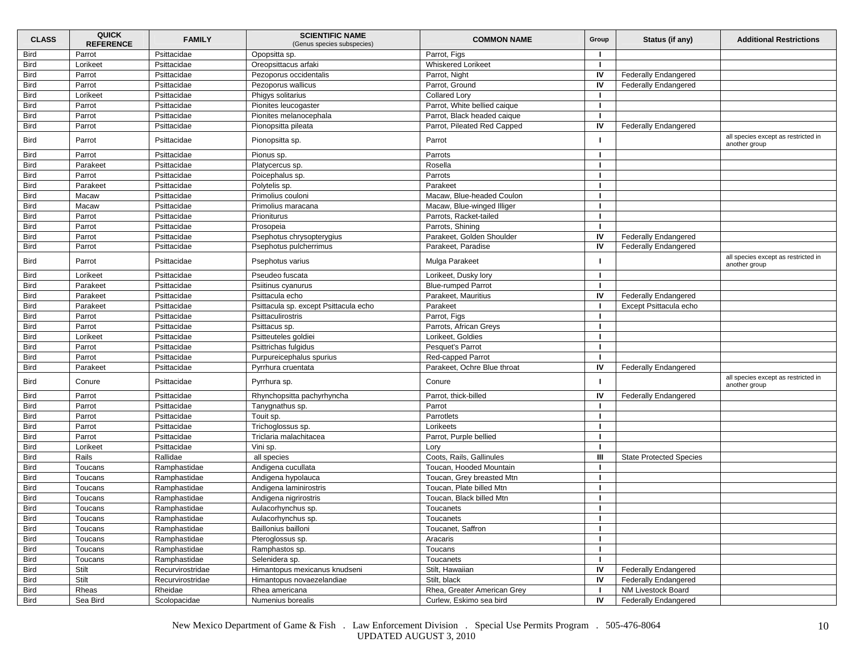| <b>CLASS</b> | <b>QUICK</b><br><b>REFERENCE</b> | <b>FAMILY</b>    | <b>SCIENTIFIC NAME</b><br>(Genus species subspecies) | <b>COMMON NAME</b>           | Group | Status (if any)                | <b>Additional Restrictions</b>                       |
|--------------|----------------------------------|------------------|------------------------------------------------------|------------------------------|-------|--------------------------------|------------------------------------------------------|
| <b>Bird</b>  | Parrot                           | Psittacidae      | Opopsitta sp.                                        | Parrot, Figs                 |       |                                |                                                      |
| <b>Bird</b>  | Lorikeet                         | Psittacidae      | Oreopsittacus arfaki                                 | <b>Whiskered Lorikeet</b>    | -1    |                                |                                                      |
| <b>Bird</b>  | Parrot                           | Psittacidae      | Pezoporus occidentalis                               | Parrot, Night                | IV    | <b>Federally Endangered</b>    |                                                      |
| Bird         | Parrot                           | Psittacidae      | Pezoporus wallicus                                   | Parrot, Ground               | IV    | <b>Federally Endangered</b>    |                                                      |
| Bird         | Lorikeet                         | Psittacidae      | Phigys solitarius                                    | <b>Collared Lory</b>         |       |                                |                                                      |
| <b>Bird</b>  | Parrot                           | Psittacidae      | Pionites leucogaster                                 | Parrot, White bellied caique |       |                                |                                                      |
| <b>Bird</b>  | Parrot                           | Psittacidae      | Pionites melanocephala                               | Parrot, Black headed caique  |       |                                |                                                      |
| <b>Bird</b>  | Parrot                           | Psittacidae      | Pionopsitta pileata                                  | Parrot, Pileated Red Capped  | IV    | <b>Federally Endangered</b>    |                                                      |
| <b>Bird</b>  | Parrot                           | Psittacidae      | Pionopsitta sp.                                      | Parrot                       |       |                                | all species except as restricted in<br>another group |
| <b>Bird</b>  | Parrot                           | Psittacidae      | Pionus sp.                                           | Parrots                      |       |                                |                                                      |
| <b>Bird</b>  | Parakeet                         | Psittacidae      | Platycercus sp.                                      | Rosella                      |       |                                |                                                      |
| <b>Bird</b>  | Parrot                           | Psittacidae      | Poicephalus sp.                                      | Parrots                      |       |                                |                                                      |
| <b>Bird</b>  | Parakeet                         | Psittacidae      | Polytelis sp.                                        | Parakeet                     |       |                                |                                                      |
| Bird         | Macaw                            | Psittacidae      | Primolius couloni                                    | Macaw, Blue-headed Coulon    |       |                                |                                                      |
| <b>Bird</b>  | Macaw                            | Psittacidae      | Primolius maracana                                   | Macaw, Blue-winged Illiger   |       |                                |                                                      |
| <b>Bird</b>  | Parrot                           | Psittacidae      | Prioniturus                                          | Parrots, Racket-tailed       |       |                                |                                                      |
| Bird         | Parrot                           | Psittacidae      | Prosopeia                                            | Parrots, Shining             |       |                                |                                                      |
| <b>Bird</b>  | Parrot                           | Psittacidae      | Psephotus chrysopterygius                            | Parakeet, Golden Shoulder    | IV    | <b>Federally Endangered</b>    |                                                      |
| Bird         | Parrot                           | Psittacidae      | Psephotus pulcherrimus                               | Parakeet, Paradise           | IV    | <b>Federally Endangered</b>    |                                                      |
| <b>Bird</b>  | Parrot                           | Psittacidae      | Psephotus varius                                     | Mulga Parakeet               |       |                                | all species except as restricted in<br>another group |
| <b>Bird</b>  | Lorikeet                         | Psittacidae      | Pseudeo fuscata                                      | Lorikeet, Dusky lory         |       |                                |                                                      |
| Bird         | Parakeet                         | Psittacidae      | Psiitinus cyanurus                                   | <b>Blue-rumped Parrot</b>    | -1    |                                |                                                      |
| Bird         | Parakeet                         | Psittacidae      | Psittacula echo                                      | Parakeet. Mauritius          | IV    | <b>Federally Endangered</b>    |                                                      |
| <b>Bird</b>  | Parakeet                         | Psittacidae      | Psittacula sp. except Psittacula echo                | Parakeet                     |       | Except Psittacula echo         |                                                      |
| <b>Bird</b>  | Parrot                           | Psittacidae      | Psittaculirostris                                    | Parrot, Figs                 |       |                                |                                                      |
| <b>Bird</b>  | Parrot                           | Psittacidae      | Psittacus sp.                                        | Parrots, African Greys       | -1    |                                |                                                      |
| <b>Bird</b>  | Lorikeet                         | Psittacidae      | Psitteuteles goldiei                                 | Lorikeet, Goldies            |       |                                |                                                      |
| Bird         | Parrot                           | Psittacidae      | Psittrichas fulgidus                                 | Pesquet's Parrot             | п     |                                |                                                      |
| Bird         | Parrot                           | Psittacidae      | Purpureicephalus spurius                             | Red-capped Parrot            |       |                                |                                                      |
| <b>Bird</b>  | Parakeet                         | Psittacidae      | Pyrrhura cruentata                                   | Parakeet, Ochre Blue throat  | IV    | <b>Federally Endangered</b>    |                                                      |
| <b>Bird</b>  | Conure                           | Psittacidae      | Pyrrhura sp.                                         | Conure                       | п.    |                                | all species except as restricted in<br>another group |
| Bird         | Parrot                           | Psittacidae      | Rhynchopsitta pachyrhyncha                           | Parrot, thick-billed         | IV    | <b>Federally Endangered</b>    |                                                      |
| <b>Bird</b>  | Parrot                           | Psittacidae      | Tanygnathus sp.                                      | Parrot                       |       |                                |                                                      |
| <b>Bird</b>  | Parrot                           | Psittacidae      | Touit sp.                                            | Parrotlets                   |       |                                |                                                      |
| Bird         | Parrot                           | Psittacidae      | Trichoglossus sp.                                    | Lorikeets                    |       |                                |                                                      |
| <b>Bird</b>  | Parrot                           | Psittacidae      | Triclaria malachitacea                               | Parrot, Purple bellied       |       |                                |                                                      |
| Bird         | Lorikeet                         | Psittacidae      | Vini sp.                                             | Lory                         | п     |                                |                                                      |
| Bird         | Rails                            | Rallidae         | all species                                          | Coots, Rails, Gallinules     | Ш     | <b>State Protected Species</b> |                                                      |
| <b>Bird</b>  | Toucans                          | Ramphastidae     | Andigena cucullata                                   | Toucan, Hooded Mountain      |       |                                |                                                      |
| Bird         | Toucans                          | Ramphastidae     | Andigena hypolauca                                   | Toucan, Grey breasted Mtn    |       |                                |                                                      |
| <b>Bird</b>  | Toucans                          | Ramphastidae     | Andigena laminirostris                               | Toucan. Plate billed Mtn     | -1    |                                |                                                      |
| <b>Bird</b>  | Toucans                          | Ramphastidae     | Andigena nigrirostris                                | Toucan, Black billed Mtn     |       |                                |                                                      |
| <b>Bird</b>  | Toucans                          | Ramphastidae     | Aulacorhynchus sp.                                   | Toucanets                    |       |                                |                                                      |
| <b>Bird</b>  | Toucans                          | Ramphastidae     | Aulacorhynchus sp.                                   | Toucanets                    |       |                                |                                                      |
| <b>Bird</b>  | Toucans                          | Ramphastidae     | Baillonius bailloni                                  | Toucanet, Saffron            |       |                                |                                                      |
| <b>Bird</b>  | Toucans                          | Ramphastidae     | Pteroglossus sp.                                     | Aracaris                     |       |                                |                                                      |
| <b>Bird</b>  | Toucans                          | Ramphastidae     | Ramphastos sp.                                       | Toucans                      | п.    |                                |                                                      |
| <b>Bird</b>  | Toucans                          | Ramphastidae     | Selenidera sp.                                       | Toucanets                    |       |                                |                                                      |
| <b>Bird</b>  | Stilt                            | Recurvirostridae | Himantopus mexicanus knudseni                        | Stilt, Hawaiian              | IV    | <b>Federally Endangered</b>    |                                                      |
| <b>Bird</b>  | Stilt                            | Recurvirostridae | Himantopus novaezelandiae                            | Stilt, black                 | IV    | <b>Federally Endangered</b>    |                                                      |
| <b>Bird</b>  | Rheas                            | Rheidae          | Rhea americana                                       | Rhea, Greater American Grey  |       | NM Livestock Board             |                                                      |
| <b>Bird</b>  | Sea Bird                         | Scolopacidae     | Numenius borealis                                    | Curlew, Eskimo sea bird      | IV    | Federally Endangered           |                                                      |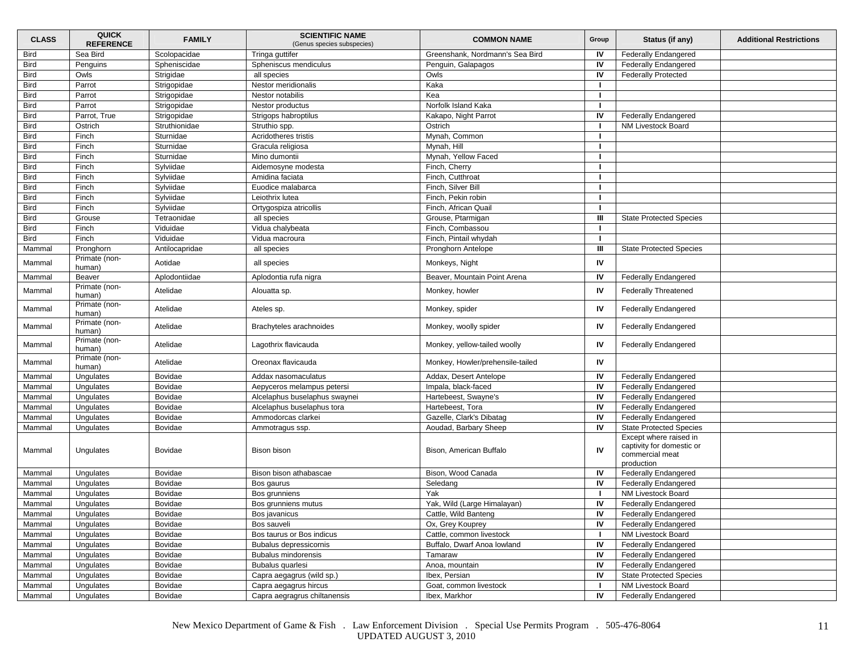| <b>Bird</b><br>Sea Bird<br>IV<br>Scolopacidae<br>Tringa guttifer<br>Greenshank, Nordmann's Sea Bird<br><b>Federally Endangered</b><br>IV<br><b>Bird</b><br>Spheniscus mendiculus<br><b>Federally Endangered</b><br>Penguins<br>Spheniscidae<br>Penguin, Galapagos<br>IV<br><b>Bird</b><br><b>Federally Protected</b><br>Owls<br>Strigidae<br>all species<br>Owls<br><b>Bird</b><br>Parrot<br>Nestor meridionalis<br>Kaka<br>Strigopidae<br><b>Bird</b><br>Parrot<br>Strigopidae<br>Nestor notabilis<br>Kea<br><b>Bird</b><br>Parrot<br>Strigopidae<br>Nestor productus<br>Norfolk Island Kaka<br><b>Bird</b><br>Parrot, True<br>Strigopidae<br>Strigops habroptilus<br>Kakapo, Night Parrot<br>IV<br><b>Federally Endangered</b><br><b>Bird</b><br>Ostrich<br>Struthionidae<br>NM Livestock Board<br>Struthio spp.<br>Ostrich<br><b>Bird</b><br>Finch<br>Sturnidae<br>Acridotheres tristis<br>Mynah, Common<br><b>Bird</b><br>Mynah, Hill<br>Finch<br>Sturnidae<br>Gracula religiosa<br><b>Bird</b><br>Finch<br>Sturnidae<br>Mynah, Yellow Faced<br>Mino dumontii<br><b>Bird</b><br>Sylviidae<br>Finch<br>Aidemosyne modesta<br>Finch, Cherry<br><b>Bird</b><br>Finch<br>Sylviidae<br>Amidina faciata<br>Finch, Cutthroat<br>Finch, Silver Bill<br><b>Bird</b><br>Finch<br>Sylviidae<br>Euodice malabarca<br><b>Bird</b><br>Finch<br>Sylviidae<br>Leiothrix lutea<br>Finch, Pekin robin<br><b>Bird</b><br>Finch<br>Sylviidae<br>Finch, African Quail<br>Ortygospiza atricollis<br><b>Bird</b><br>Ш<br>Tetraonidae<br><b>State Protected Species</b><br>Grouse<br>all species<br>Grouse, Ptarmigan<br><b>Bird</b><br>Finch<br>Viduidae<br>Vidua chalybeata<br>Finch, Combassou<br>Viduidae<br><b>Bird</b><br>Finch<br>Vidua macroura<br>Finch, Pintail whydah<br>Ш<br>Mammal<br>Pronghorn<br>Antilocapridae<br><b>State Protected Species</b><br>all species<br>Pronghorn Antelope<br>Primate (non-<br>IV<br>Mammal<br>Aotidae<br>all species<br>Monkeys, Night<br>human)<br>Beaver<br>Aplodontiidae<br>Beaver, Mountain Point Arena<br>IV<br><b>Federally Endangered</b><br>Mammal<br>Aplodontia rufa nigra<br>Primate (non-<br>IV<br><b>Federally Threatened</b><br>Atelidae<br>Monkey, howler<br>Mammal<br>Alouatta sp.<br>human)<br>Primate (non-<br>Atelidae<br>IV<br><b>Federally Endangered</b><br>Mammal<br>Monkey, spider<br>Ateles sp.<br>human)<br>Primate (non-<br>Atelidae<br>IV<br>Mammal<br>Brachyteles arachnoides<br>Monkey, woolly spider<br><b>Federally Endangered</b><br>human)<br>Primate (non-<br>IV<br>Atelidae<br>Lagothrix flavicauda<br>Monkey, yellow-tailed woolly<br><b>Federally Endangered</b><br>Mammal<br>human)<br>Primate (non-<br>IV<br>Atelidae<br>Oreonax flavicauda<br>Mammal<br>Monkey, Howler/prehensile-tailed<br>human)<br>Addax, Desert Antelope<br>IV<br><b>Federally Endangered</b><br>Mammal<br>Ungulates<br><b>Bovidae</b><br>Addax nasomaculatus<br>IV<br>Mammal<br>Bovidae<br>Impala, black-faced<br><b>Federally Endangered</b><br>Ungulates<br>Aepyceros melampus petersi<br>Hartebeest, Swayne's<br>IV<br><b>Federally Endangered</b><br>Mammal<br>Ungulates<br>Bovidae<br>Alcelaphus buselaphus swaynei<br>IV<br>Bovidae<br>Hartebeest, Tora<br><b>Federally Endangered</b><br>Mammal<br>Ungulates<br>Alcelaphus buselaphus tora<br>IV<br>Mammal<br>Bovidae<br>Ammodorcas clarkei<br>Gazelle, Clark's Dibatag<br><b>Federally Endangered</b><br>Ungulates<br>IV<br>Aoudad, Barbary Sheep<br><b>State Protected Species</b><br>Mammal<br>Ungulates<br>Bovidae<br>Ammotragus ssp.<br>Except where raised in<br>captivity for domestic or<br>IV<br>Ungulates<br>Bovidae<br>Bison bison<br>Bison, American Buffalo<br>Mammal<br>commercial meat<br>production<br>Ungulates<br>Bovidae<br>Bison, Wood Canada<br>IV<br><b>Federally Endangered</b><br>Mammal<br>Bison bison athabascae<br>IV<br>Seledang<br><b>Federally Endangered</b><br>Mammal<br>Ungulates<br>Bovidae<br>Bos gaurus<br>Yak<br>NM Livestock Board<br>Mammal<br>Ungulates<br><b>Bovidae</b><br>Bos grunniens<br>Yak, Wild (Large Himalayan)<br>IV<br><b>Federally Endangered</b><br>Bovidae<br>Mammal<br>Ungulates<br>Bos grunniens mutus<br>Mammal<br>Ungulates<br>Bovidae<br>Bos javanicus<br>Cattle, Wild Banteng<br>IV.<br><b>Federally Endangered</b><br>IV<br>Bovidae<br><b>Federally Endangered</b><br>Mammal<br>Ungulates<br>Bos sauveli<br>Ox, Grey Kouprey<br>Bos taurus or Bos indicus<br>Mammal<br>Ungulates<br>Bovidae<br>Cattle, common livestock<br>NM Livestock Board<br>IV<br>Ungulates<br>Bovidae<br><b>Federally Endangered</b><br>Mammal<br>Bubalus depressicornis<br>Buffalo, Dwarf Anoa lowland<br>IV<br><b>Federally Endangered</b><br>Mammal<br>Ungulates<br>Bovidae<br><b>Bubalus mindorensis</b><br>Tamaraw<br>Ungulates<br>Bubalus quarlesi<br>Anoa, mountain<br>IV<br><b>Federally Endangered</b><br>Mammal<br>Bovidae<br>Ungulates<br>Bovidae<br>Capra aegagrus (wild sp.)<br>IV<br><b>State Protected Species</b><br>Mammal<br>Ibex, Persian<br>Goat, common livestock<br>NM Livestock Board<br>Mammal<br>Ungulates<br>Bovidae<br>Capra aegagrus hircus | <b>CLASS</b> | <b>QUICK</b><br><b>REFERENCE</b> | <b>FAMILY</b> | <b>SCIENTIFIC NAME</b><br>(Genus species subspecies) | <b>COMMON NAME</b> | Group | Status (if any)             | <b>Additional Restrictions</b> |
|---------------------------------------------------------------------------------------------------------------------------------------------------------------------------------------------------------------------------------------------------------------------------------------------------------------------------------------------------------------------------------------------------------------------------------------------------------------------------------------------------------------------------------------------------------------------------------------------------------------------------------------------------------------------------------------------------------------------------------------------------------------------------------------------------------------------------------------------------------------------------------------------------------------------------------------------------------------------------------------------------------------------------------------------------------------------------------------------------------------------------------------------------------------------------------------------------------------------------------------------------------------------------------------------------------------------------------------------------------------------------------------------------------------------------------------------------------------------------------------------------------------------------------------------------------------------------------------------------------------------------------------------------------------------------------------------------------------------------------------------------------------------------------------------------------------------------------------------------------------------------------------------------------------------------------------------------------------------------------------------------------------------------------------------------------------------------------------------------------------------------------------------------------------------------------------------------------------------------------------------------------------------------------------------------------------------------------------------------------------------------------------------------------------------------------------------------------------------------------------------------------------------------------------------------------------------------------------------------------------------------------------------------------------------------------------------------------------------------------------------------------------------------------------------------------------------------------------------------------------------------------------------------------------------------------------------------------------------------------------------------------------------------------------------------------------------------------------------------------------------------------------------------------------------------------------------------------------------------------------------------------------------------------------------------------------------------------------------------------------------------------------------------------------------------------------------------------------------------------------------------------------------------------------------------------------------------------------------------------------------------------------------------------------------------------------------------------------------------------------------------------------------------------------------------------------------------------------------------------------------------------------------------------------------------------------------------------------------------------------------------------------------------------------------------------------------------------------------------------------------------------------------------------------------------------------------------------------------------------------------------------------------------------------------------------------------------------------------------------------------------------------------------------------------------------------------------------------------------------------------------------------------------------------------------------------------------------------------------------------------------------------------------------------------------------------------------------------------------------------------------------------------------------------------------------------------------------------------------------------------------------------------------------------------------------------------------------------------------------------------------------------------------------------------------------------------------------------------------------|--------------|----------------------------------|---------------|------------------------------------------------------|--------------------|-------|-----------------------------|--------------------------------|
|                                                                                                                                                                                                                                                                                                                                                                                                                                                                                                                                                                                                                                                                                                                                                                                                                                                                                                                                                                                                                                                                                                                                                                                                                                                                                                                                                                                                                                                                                                                                                                                                                                                                                                                                                                                                                                                                                                                                                                                                                                                                                                                                                                                                                                                                                                                                                                                                                                                                                                                                                                                                                                                                                                                                                                                                                                                                                                                                                                                                                                                                                                                                                                                                                                                                                                                                                                                                                                                                                                                                                                                                                                                                                                                                                                                                                                                                                                                                                                                                                                                                                                                                                                                                                                                                                                                                                                                                                                                                                                                                                                                                                                                                                                                                                                                                                                                                                                                                                                                                                                                                                                         |              |                                  |               |                                                      |                    |       |                             |                                |
|                                                                                                                                                                                                                                                                                                                                                                                                                                                                                                                                                                                                                                                                                                                                                                                                                                                                                                                                                                                                                                                                                                                                                                                                                                                                                                                                                                                                                                                                                                                                                                                                                                                                                                                                                                                                                                                                                                                                                                                                                                                                                                                                                                                                                                                                                                                                                                                                                                                                                                                                                                                                                                                                                                                                                                                                                                                                                                                                                                                                                                                                                                                                                                                                                                                                                                                                                                                                                                                                                                                                                                                                                                                                                                                                                                                                                                                                                                                                                                                                                                                                                                                                                                                                                                                                                                                                                                                                                                                                                                                                                                                                                                                                                                                                                                                                                                                                                                                                                                                                                                                                                                         |              |                                  |               |                                                      |                    |       |                             |                                |
|                                                                                                                                                                                                                                                                                                                                                                                                                                                                                                                                                                                                                                                                                                                                                                                                                                                                                                                                                                                                                                                                                                                                                                                                                                                                                                                                                                                                                                                                                                                                                                                                                                                                                                                                                                                                                                                                                                                                                                                                                                                                                                                                                                                                                                                                                                                                                                                                                                                                                                                                                                                                                                                                                                                                                                                                                                                                                                                                                                                                                                                                                                                                                                                                                                                                                                                                                                                                                                                                                                                                                                                                                                                                                                                                                                                                                                                                                                                                                                                                                                                                                                                                                                                                                                                                                                                                                                                                                                                                                                                                                                                                                                                                                                                                                                                                                                                                                                                                                                                                                                                                                                         |              |                                  |               |                                                      |                    |       |                             |                                |
|                                                                                                                                                                                                                                                                                                                                                                                                                                                                                                                                                                                                                                                                                                                                                                                                                                                                                                                                                                                                                                                                                                                                                                                                                                                                                                                                                                                                                                                                                                                                                                                                                                                                                                                                                                                                                                                                                                                                                                                                                                                                                                                                                                                                                                                                                                                                                                                                                                                                                                                                                                                                                                                                                                                                                                                                                                                                                                                                                                                                                                                                                                                                                                                                                                                                                                                                                                                                                                                                                                                                                                                                                                                                                                                                                                                                                                                                                                                                                                                                                                                                                                                                                                                                                                                                                                                                                                                                                                                                                                                                                                                                                                                                                                                                                                                                                                                                                                                                                                                                                                                                                                         |              |                                  |               |                                                      |                    |       |                             |                                |
|                                                                                                                                                                                                                                                                                                                                                                                                                                                                                                                                                                                                                                                                                                                                                                                                                                                                                                                                                                                                                                                                                                                                                                                                                                                                                                                                                                                                                                                                                                                                                                                                                                                                                                                                                                                                                                                                                                                                                                                                                                                                                                                                                                                                                                                                                                                                                                                                                                                                                                                                                                                                                                                                                                                                                                                                                                                                                                                                                                                                                                                                                                                                                                                                                                                                                                                                                                                                                                                                                                                                                                                                                                                                                                                                                                                                                                                                                                                                                                                                                                                                                                                                                                                                                                                                                                                                                                                                                                                                                                                                                                                                                                                                                                                                                                                                                                                                                                                                                                                                                                                                                                         |              |                                  |               |                                                      |                    |       |                             |                                |
|                                                                                                                                                                                                                                                                                                                                                                                                                                                                                                                                                                                                                                                                                                                                                                                                                                                                                                                                                                                                                                                                                                                                                                                                                                                                                                                                                                                                                                                                                                                                                                                                                                                                                                                                                                                                                                                                                                                                                                                                                                                                                                                                                                                                                                                                                                                                                                                                                                                                                                                                                                                                                                                                                                                                                                                                                                                                                                                                                                                                                                                                                                                                                                                                                                                                                                                                                                                                                                                                                                                                                                                                                                                                                                                                                                                                                                                                                                                                                                                                                                                                                                                                                                                                                                                                                                                                                                                                                                                                                                                                                                                                                                                                                                                                                                                                                                                                                                                                                                                                                                                                                                         |              |                                  |               |                                                      |                    |       |                             |                                |
|                                                                                                                                                                                                                                                                                                                                                                                                                                                                                                                                                                                                                                                                                                                                                                                                                                                                                                                                                                                                                                                                                                                                                                                                                                                                                                                                                                                                                                                                                                                                                                                                                                                                                                                                                                                                                                                                                                                                                                                                                                                                                                                                                                                                                                                                                                                                                                                                                                                                                                                                                                                                                                                                                                                                                                                                                                                                                                                                                                                                                                                                                                                                                                                                                                                                                                                                                                                                                                                                                                                                                                                                                                                                                                                                                                                                                                                                                                                                                                                                                                                                                                                                                                                                                                                                                                                                                                                                                                                                                                                                                                                                                                                                                                                                                                                                                                                                                                                                                                                                                                                                                                         |              |                                  |               |                                                      |                    |       |                             |                                |
|                                                                                                                                                                                                                                                                                                                                                                                                                                                                                                                                                                                                                                                                                                                                                                                                                                                                                                                                                                                                                                                                                                                                                                                                                                                                                                                                                                                                                                                                                                                                                                                                                                                                                                                                                                                                                                                                                                                                                                                                                                                                                                                                                                                                                                                                                                                                                                                                                                                                                                                                                                                                                                                                                                                                                                                                                                                                                                                                                                                                                                                                                                                                                                                                                                                                                                                                                                                                                                                                                                                                                                                                                                                                                                                                                                                                                                                                                                                                                                                                                                                                                                                                                                                                                                                                                                                                                                                                                                                                                                                                                                                                                                                                                                                                                                                                                                                                                                                                                                                                                                                                                                         |              |                                  |               |                                                      |                    |       |                             |                                |
|                                                                                                                                                                                                                                                                                                                                                                                                                                                                                                                                                                                                                                                                                                                                                                                                                                                                                                                                                                                                                                                                                                                                                                                                                                                                                                                                                                                                                                                                                                                                                                                                                                                                                                                                                                                                                                                                                                                                                                                                                                                                                                                                                                                                                                                                                                                                                                                                                                                                                                                                                                                                                                                                                                                                                                                                                                                                                                                                                                                                                                                                                                                                                                                                                                                                                                                                                                                                                                                                                                                                                                                                                                                                                                                                                                                                                                                                                                                                                                                                                                                                                                                                                                                                                                                                                                                                                                                                                                                                                                                                                                                                                                                                                                                                                                                                                                                                                                                                                                                                                                                                                                         |              |                                  |               |                                                      |                    |       |                             |                                |
|                                                                                                                                                                                                                                                                                                                                                                                                                                                                                                                                                                                                                                                                                                                                                                                                                                                                                                                                                                                                                                                                                                                                                                                                                                                                                                                                                                                                                                                                                                                                                                                                                                                                                                                                                                                                                                                                                                                                                                                                                                                                                                                                                                                                                                                                                                                                                                                                                                                                                                                                                                                                                                                                                                                                                                                                                                                                                                                                                                                                                                                                                                                                                                                                                                                                                                                                                                                                                                                                                                                                                                                                                                                                                                                                                                                                                                                                                                                                                                                                                                                                                                                                                                                                                                                                                                                                                                                                                                                                                                                                                                                                                                                                                                                                                                                                                                                                                                                                                                                                                                                                                                         |              |                                  |               |                                                      |                    |       |                             |                                |
|                                                                                                                                                                                                                                                                                                                                                                                                                                                                                                                                                                                                                                                                                                                                                                                                                                                                                                                                                                                                                                                                                                                                                                                                                                                                                                                                                                                                                                                                                                                                                                                                                                                                                                                                                                                                                                                                                                                                                                                                                                                                                                                                                                                                                                                                                                                                                                                                                                                                                                                                                                                                                                                                                                                                                                                                                                                                                                                                                                                                                                                                                                                                                                                                                                                                                                                                                                                                                                                                                                                                                                                                                                                                                                                                                                                                                                                                                                                                                                                                                                                                                                                                                                                                                                                                                                                                                                                                                                                                                                                                                                                                                                                                                                                                                                                                                                                                                                                                                                                                                                                                                                         |              |                                  |               |                                                      |                    |       |                             |                                |
|                                                                                                                                                                                                                                                                                                                                                                                                                                                                                                                                                                                                                                                                                                                                                                                                                                                                                                                                                                                                                                                                                                                                                                                                                                                                                                                                                                                                                                                                                                                                                                                                                                                                                                                                                                                                                                                                                                                                                                                                                                                                                                                                                                                                                                                                                                                                                                                                                                                                                                                                                                                                                                                                                                                                                                                                                                                                                                                                                                                                                                                                                                                                                                                                                                                                                                                                                                                                                                                                                                                                                                                                                                                                                                                                                                                                                                                                                                                                                                                                                                                                                                                                                                                                                                                                                                                                                                                                                                                                                                                                                                                                                                                                                                                                                                                                                                                                                                                                                                                                                                                                                                         |              |                                  |               |                                                      |                    |       |                             |                                |
|                                                                                                                                                                                                                                                                                                                                                                                                                                                                                                                                                                                                                                                                                                                                                                                                                                                                                                                                                                                                                                                                                                                                                                                                                                                                                                                                                                                                                                                                                                                                                                                                                                                                                                                                                                                                                                                                                                                                                                                                                                                                                                                                                                                                                                                                                                                                                                                                                                                                                                                                                                                                                                                                                                                                                                                                                                                                                                                                                                                                                                                                                                                                                                                                                                                                                                                                                                                                                                                                                                                                                                                                                                                                                                                                                                                                                                                                                                                                                                                                                                                                                                                                                                                                                                                                                                                                                                                                                                                                                                                                                                                                                                                                                                                                                                                                                                                                                                                                                                                                                                                                                                         |              |                                  |               |                                                      |                    |       |                             |                                |
|                                                                                                                                                                                                                                                                                                                                                                                                                                                                                                                                                                                                                                                                                                                                                                                                                                                                                                                                                                                                                                                                                                                                                                                                                                                                                                                                                                                                                                                                                                                                                                                                                                                                                                                                                                                                                                                                                                                                                                                                                                                                                                                                                                                                                                                                                                                                                                                                                                                                                                                                                                                                                                                                                                                                                                                                                                                                                                                                                                                                                                                                                                                                                                                                                                                                                                                                                                                                                                                                                                                                                                                                                                                                                                                                                                                                                                                                                                                                                                                                                                                                                                                                                                                                                                                                                                                                                                                                                                                                                                                                                                                                                                                                                                                                                                                                                                                                                                                                                                                                                                                                                                         |              |                                  |               |                                                      |                    |       |                             |                                |
|                                                                                                                                                                                                                                                                                                                                                                                                                                                                                                                                                                                                                                                                                                                                                                                                                                                                                                                                                                                                                                                                                                                                                                                                                                                                                                                                                                                                                                                                                                                                                                                                                                                                                                                                                                                                                                                                                                                                                                                                                                                                                                                                                                                                                                                                                                                                                                                                                                                                                                                                                                                                                                                                                                                                                                                                                                                                                                                                                                                                                                                                                                                                                                                                                                                                                                                                                                                                                                                                                                                                                                                                                                                                                                                                                                                                                                                                                                                                                                                                                                                                                                                                                                                                                                                                                                                                                                                                                                                                                                                                                                                                                                                                                                                                                                                                                                                                                                                                                                                                                                                                                                         |              |                                  |               |                                                      |                    |       |                             |                                |
|                                                                                                                                                                                                                                                                                                                                                                                                                                                                                                                                                                                                                                                                                                                                                                                                                                                                                                                                                                                                                                                                                                                                                                                                                                                                                                                                                                                                                                                                                                                                                                                                                                                                                                                                                                                                                                                                                                                                                                                                                                                                                                                                                                                                                                                                                                                                                                                                                                                                                                                                                                                                                                                                                                                                                                                                                                                                                                                                                                                                                                                                                                                                                                                                                                                                                                                                                                                                                                                                                                                                                                                                                                                                                                                                                                                                                                                                                                                                                                                                                                                                                                                                                                                                                                                                                                                                                                                                                                                                                                                                                                                                                                                                                                                                                                                                                                                                                                                                                                                                                                                                                                         |              |                                  |               |                                                      |                    |       |                             |                                |
|                                                                                                                                                                                                                                                                                                                                                                                                                                                                                                                                                                                                                                                                                                                                                                                                                                                                                                                                                                                                                                                                                                                                                                                                                                                                                                                                                                                                                                                                                                                                                                                                                                                                                                                                                                                                                                                                                                                                                                                                                                                                                                                                                                                                                                                                                                                                                                                                                                                                                                                                                                                                                                                                                                                                                                                                                                                                                                                                                                                                                                                                                                                                                                                                                                                                                                                                                                                                                                                                                                                                                                                                                                                                                                                                                                                                                                                                                                                                                                                                                                                                                                                                                                                                                                                                                                                                                                                                                                                                                                                                                                                                                                                                                                                                                                                                                                                                                                                                                                                                                                                                                                         |              |                                  |               |                                                      |                    |       |                             |                                |
|                                                                                                                                                                                                                                                                                                                                                                                                                                                                                                                                                                                                                                                                                                                                                                                                                                                                                                                                                                                                                                                                                                                                                                                                                                                                                                                                                                                                                                                                                                                                                                                                                                                                                                                                                                                                                                                                                                                                                                                                                                                                                                                                                                                                                                                                                                                                                                                                                                                                                                                                                                                                                                                                                                                                                                                                                                                                                                                                                                                                                                                                                                                                                                                                                                                                                                                                                                                                                                                                                                                                                                                                                                                                                                                                                                                                                                                                                                                                                                                                                                                                                                                                                                                                                                                                                                                                                                                                                                                                                                                                                                                                                                                                                                                                                                                                                                                                                                                                                                                                                                                                                                         |              |                                  |               |                                                      |                    |       |                             |                                |
|                                                                                                                                                                                                                                                                                                                                                                                                                                                                                                                                                                                                                                                                                                                                                                                                                                                                                                                                                                                                                                                                                                                                                                                                                                                                                                                                                                                                                                                                                                                                                                                                                                                                                                                                                                                                                                                                                                                                                                                                                                                                                                                                                                                                                                                                                                                                                                                                                                                                                                                                                                                                                                                                                                                                                                                                                                                                                                                                                                                                                                                                                                                                                                                                                                                                                                                                                                                                                                                                                                                                                                                                                                                                                                                                                                                                                                                                                                                                                                                                                                                                                                                                                                                                                                                                                                                                                                                                                                                                                                                                                                                                                                                                                                                                                                                                                                                                                                                                                                                                                                                                                                         |              |                                  |               |                                                      |                    |       |                             |                                |
|                                                                                                                                                                                                                                                                                                                                                                                                                                                                                                                                                                                                                                                                                                                                                                                                                                                                                                                                                                                                                                                                                                                                                                                                                                                                                                                                                                                                                                                                                                                                                                                                                                                                                                                                                                                                                                                                                                                                                                                                                                                                                                                                                                                                                                                                                                                                                                                                                                                                                                                                                                                                                                                                                                                                                                                                                                                                                                                                                                                                                                                                                                                                                                                                                                                                                                                                                                                                                                                                                                                                                                                                                                                                                                                                                                                                                                                                                                                                                                                                                                                                                                                                                                                                                                                                                                                                                                                                                                                                                                                                                                                                                                                                                                                                                                                                                                                                                                                                                                                                                                                                                                         |              |                                  |               |                                                      |                    |       |                             |                                |
|                                                                                                                                                                                                                                                                                                                                                                                                                                                                                                                                                                                                                                                                                                                                                                                                                                                                                                                                                                                                                                                                                                                                                                                                                                                                                                                                                                                                                                                                                                                                                                                                                                                                                                                                                                                                                                                                                                                                                                                                                                                                                                                                                                                                                                                                                                                                                                                                                                                                                                                                                                                                                                                                                                                                                                                                                                                                                                                                                                                                                                                                                                                                                                                                                                                                                                                                                                                                                                                                                                                                                                                                                                                                                                                                                                                                                                                                                                                                                                                                                                                                                                                                                                                                                                                                                                                                                                                                                                                                                                                                                                                                                                                                                                                                                                                                                                                                                                                                                                                                                                                                                                         |              |                                  |               |                                                      |                    |       |                             |                                |
|                                                                                                                                                                                                                                                                                                                                                                                                                                                                                                                                                                                                                                                                                                                                                                                                                                                                                                                                                                                                                                                                                                                                                                                                                                                                                                                                                                                                                                                                                                                                                                                                                                                                                                                                                                                                                                                                                                                                                                                                                                                                                                                                                                                                                                                                                                                                                                                                                                                                                                                                                                                                                                                                                                                                                                                                                                                                                                                                                                                                                                                                                                                                                                                                                                                                                                                                                                                                                                                                                                                                                                                                                                                                                                                                                                                                                                                                                                                                                                                                                                                                                                                                                                                                                                                                                                                                                                                                                                                                                                                                                                                                                                                                                                                                                                                                                                                                                                                                                                                                                                                                                                         |              |                                  |               |                                                      |                    |       |                             |                                |
|                                                                                                                                                                                                                                                                                                                                                                                                                                                                                                                                                                                                                                                                                                                                                                                                                                                                                                                                                                                                                                                                                                                                                                                                                                                                                                                                                                                                                                                                                                                                                                                                                                                                                                                                                                                                                                                                                                                                                                                                                                                                                                                                                                                                                                                                                                                                                                                                                                                                                                                                                                                                                                                                                                                                                                                                                                                                                                                                                                                                                                                                                                                                                                                                                                                                                                                                                                                                                                                                                                                                                                                                                                                                                                                                                                                                                                                                                                                                                                                                                                                                                                                                                                                                                                                                                                                                                                                                                                                                                                                                                                                                                                                                                                                                                                                                                                                                                                                                                                                                                                                                                                         |              |                                  |               |                                                      |                    |       |                             |                                |
|                                                                                                                                                                                                                                                                                                                                                                                                                                                                                                                                                                                                                                                                                                                                                                                                                                                                                                                                                                                                                                                                                                                                                                                                                                                                                                                                                                                                                                                                                                                                                                                                                                                                                                                                                                                                                                                                                                                                                                                                                                                                                                                                                                                                                                                                                                                                                                                                                                                                                                                                                                                                                                                                                                                                                                                                                                                                                                                                                                                                                                                                                                                                                                                                                                                                                                                                                                                                                                                                                                                                                                                                                                                                                                                                                                                                                                                                                                                                                                                                                                                                                                                                                                                                                                                                                                                                                                                                                                                                                                                                                                                                                                                                                                                                                                                                                                                                                                                                                                                                                                                                                                         |              |                                  |               |                                                      |                    |       |                             |                                |
|                                                                                                                                                                                                                                                                                                                                                                                                                                                                                                                                                                                                                                                                                                                                                                                                                                                                                                                                                                                                                                                                                                                                                                                                                                                                                                                                                                                                                                                                                                                                                                                                                                                                                                                                                                                                                                                                                                                                                                                                                                                                                                                                                                                                                                                                                                                                                                                                                                                                                                                                                                                                                                                                                                                                                                                                                                                                                                                                                                                                                                                                                                                                                                                                                                                                                                                                                                                                                                                                                                                                                                                                                                                                                                                                                                                                                                                                                                                                                                                                                                                                                                                                                                                                                                                                                                                                                                                                                                                                                                                                                                                                                                                                                                                                                                                                                                                                                                                                                                                                                                                                                                         |              |                                  |               |                                                      |                    |       |                             |                                |
|                                                                                                                                                                                                                                                                                                                                                                                                                                                                                                                                                                                                                                                                                                                                                                                                                                                                                                                                                                                                                                                                                                                                                                                                                                                                                                                                                                                                                                                                                                                                                                                                                                                                                                                                                                                                                                                                                                                                                                                                                                                                                                                                                                                                                                                                                                                                                                                                                                                                                                                                                                                                                                                                                                                                                                                                                                                                                                                                                                                                                                                                                                                                                                                                                                                                                                                                                                                                                                                                                                                                                                                                                                                                                                                                                                                                                                                                                                                                                                                                                                                                                                                                                                                                                                                                                                                                                                                                                                                                                                                                                                                                                                                                                                                                                                                                                                                                                                                                                                                                                                                                                                         |              |                                  |               |                                                      |                    |       |                             |                                |
|                                                                                                                                                                                                                                                                                                                                                                                                                                                                                                                                                                                                                                                                                                                                                                                                                                                                                                                                                                                                                                                                                                                                                                                                                                                                                                                                                                                                                                                                                                                                                                                                                                                                                                                                                                                                                                                                                                                                                                                                                                                                                                                                                                                                                                                                                                                                                                                                                                                                                                                                                                                                                                                                                                                                                                                                                                                                                                                                                                                                                                                                                                                                                                                                                                                                                                                                                                                                                                                                                                                                                                                                                                                                                                                                                                                                                                                                                                                                                                                                                                                                                                                                                                                                                                                                                                                                                                                                                                                                                                                                                                                                                                                                                                                                                                                                                                                                                                                                                                                                                                                                                                         |              |                                  |               |                                                      |                    |       |                             |                                |
|                                                                                                                                                                                                                                                                                                                                                                                                                                                                                                                                                                                                                                                                                                                                                                                                                                                                                                                                                                                                                                                                                                                                                                                                                                                                                                                                                                                                                                                                                                                                                                                                                                                                                                                                                                                                                                                                                                                                                                                                                                                                                                                                                                                                                                                                                                                                                                                                                                                                                                                                                                                                                                                                                                                                                                                                                                                                                                                                                                                                                                                                                                                                                                                                                                                                                                                                                                                                                                                                                                                                                                                                                                                                                                                                                                                                                                                                                                                                                                                                                                                                                                                                                                                                                                                                                                                                                                                                                                                                                                                                                                                                                                                                                                                                                                                                                                                                                                                                                                                                                                                                                                         |              |                                  |               |                                                      |                    |       |                             |                                |
|                                                                                                                                                                                                                                                                                                                                                                                                                                                                                                                                                                                                                                                                                                                                                                                                                                                                                                                                                                                                                                                                                                                                                                                                                                                                                                                                                                                                                                                                                                                                                                                                                                                                                                                                                                                                                                                                                                                                                                                                                                                                                                                                                                                                                                                                                                                                                                                                                                                                                                                                                                                                                                                                                                                                                                                                                                                                                                                                                                                                                                                                                                                                                                                                                                                                                                                                                                                                                                                                                                                                                                                                                                                                                                                                                                                                                                                                                                                                                                                                                                                                                                                                                                                                                                                                                                                                                                                                                                                                                                                                                                                                                                                                                                                                                                                                                                                                                                                                                                                                                                                                                                         |              |                                  |               |                                                      |                    |       |                             |                                |
|                                                                                                                                                                                                                                                                                                                                                                                                                                                                                                                                                                                                                                                                                                                                                                                                                                                                                                                                                                                                                                                                                                                                                                                                                                                                                                                                                                                                                                                                                                                                                                                                                                                                                                                                                                                                                                                                                                                                                                                                                                                                                                                                                                                                                                                                                                                                                                                                                                                                                                                                                                                                                                                                                                                                                                                                                                                                                                                                                                                                                                                                                                                                                                                                                                                                                                                                                                                                                                                                                                                                                                                                                                                                                                                                                                                                                                                                                                                                                                                                                                                                                                                                                                                                                                                                                                                                                                                                                                                                                                                                                                                                                                                                                                                                                                                                                                                                                                                                                                                                                                                                                                         |              |                                  |               |                                                      |                    |       |                             |                                |
|                                                                                                                                                                                                                                                                                                                                                                                                                                                                                                                                                                                                                                                                                                                                                                                                                                                                                                                                                                                                                                                                                                                                                                                                                                                                                                                                                                                                                                                                                                                                                                                                                                                                                                                                                                                                                                                                                                                                                                                                                                                                                                                                                                                                                                                                                                                                                                                                                                                                                                                                                                                                                                                                                                                                                                                                                                                                                                                                                                                                                                                                                                                                                                                                                                                                                                                                                                                                                                                                                                                                                                                                                                                                                                                                                                                                                                                                                                                                                                                                                                                                                                                                                                                                                                                                                                                                                                                                                                                                                                                                                                                                                                                                                                                                                                                                                                                                                                                                                                                                                                                                                                         |              |                                  |               |                                                      |                    |       |                             |                                |
|                                                                                                                                                                                                                                                                                                                                                                                                                                                                                                                                                                                                                                                                                                                                                                                                                                                                                                                                                                                                                                                                                                                                                                                                                                                                                                                                                                                                                                                                                                                                                                                                                                                                                                                                                                                                                                                                                                                                                                                                                                                                                                                                                                                                                                                                                                                                                                                                                                                                                                                                                                                                                                                                                                                                                                                                                                                                                                                                                                                                                                                                                                                                                                                                                                                                                                                                                                                                                                                                                                                                                                                                                                                                                                                                                                                                                                                                                                                                                                                                                                                                                                                                                                                                                                                                                                                                                                                                                                                                                                                                                                                                                                                                                                                                                                                                                                                                                                                                                                                                                                                                                                         |              |                                  |               |                                                      |                    |       |                             |                                |
|                                                                                                                                                                                                                                                                                                                                                                                                                                                                                                                                                                                                                                                                                                                                                                                                                                                                                                                                                                                                                                                                                                                                                                                                                                                                                                                                                                                                                                                                                                                                                                                                                                                                                                                                                                                                                                                                                                                                                                                                                                                                                                                                                                                                                                                                                                                                                                                                                                                                                                                                                                                                                                                                                                                                                                                                                                                                                                                                                                                                                                                                                                                                                                                                                                                                                                                                                                                                                                                                                                                                                                                                                                                                                                                                                                                                                                                                                                                                                                                                                                                                                                                                                                                                                                                                                                                                                                                                                                                                                                                                                                                                                                                                                                                                                                                                                                                                                                                                                                                                                                                                                                         |              |                                  |               |                                                      |                    |       |                             |                                |
|                                                                                                                                                                                                                                                                                                                                                                                                                                                                                                                                                                                                                                                                                                                                                                                                                                                                                                                                                                                                                                                                                                                                                                                                                                                                                                                                                                                                                                                                                                                                                                                                                                                                                                                                                                                                                                                                                                                                                                                                                                                                                                                                                                                                                                                                                                                                                                                                                                                                                                                                                                                                                                                                                                                                                                                                                                                                                                                                                                                                                                                                                                                                                                                                                                                                                                                                                                                                                                                                                                                                                                                                                                                                                                                                                                                                                                                                                                                                                                                                                                                                                                                                                                                                                                                                                                                                                                                                                                                                                                                                                                                                                                                                                                                                                                                                                                                                                                                                                                                                                                                                                                         |              |                                  |               |                                                      |                    |       |                             |                                |
|                                                                                                                                                                                                                                                                                                                                                                                                                                                                                                                                                                                                                                                                                                                                                                                                                                                                                                                                                                                                                                                                                                                                                                                                                                                                                                                                                                                                                                                                                                                                                                                                                                                                                                                                                                                                                                                                                                                                                                                                                                                                                                                                                                                                                                                                                                                                                                                                                                                                                                                                                                                                                                                                                                                                                                                                                                                                                                                                                                                                                                                                                                                                                                                                                                                                                                                                                                                                                                                                                                                                                                                                                                                                                                                                                                                                                                                                                                                                                                                                                                                                                                                                                                                                                                                                                                                                                                                                                                                                                                                                                                                                                                                                                                                                                                                                                                                                                                                                                                                                                                                                                                         |              |                                  |               |                                                      |                    |       |                             |                                |
|                                                                                                                                                                                                                                                                                                                                                                                                                                                                                                                                                                                                                                                                                                                                                                                                                                                                                                                                                                                                                                                                                                                                                                                                                                                                                                                                                                                                                                                                                                                                                                                                                                                                                                                                                                                                                                                                                                                                                                                                                                                                                                                                                                                                                                                                                                                                                                                                                                                                                                                                                                                                                                                                                                                                                                                                                                                                                                                                                                                                                                                                                                                                                                                                                                                                                                                                                                                                                                                                                                                                                                                                                                                                                                                                                                                                                                                                                                                                                                                                                                                                                                                                                                                                                                                                                                                                                                                                                                                                                                                                                                                                                                                                                                                                                                                                                                                                                                                                                                                                                                                                                                         |              |                                  |               |                                                      |                    |       |                             |                                |
|                                                                                                                                                                                                                                                                                                                                                                                                                                                                                                                                                                                                                                                                                                                                                                                                                                                                                                                                                                                                                                                                                                                                                                                                                                                                                                                                                                                                                                                                                                                                                                                                                                                                                                                                                                                                                                                                                                                                                                                                                                                                                                                                                                                                                                                                                                                                                                                                                                                                                                                                                                                                                                                                                                                                                                                                                                                                                                                                                                                                                                                                                                                                                                                                                                                                                                                                                                                                                                                                                                                                                                                                                                                                                                                                                                                                                                                                                                                                                                                                                                                                                                                                                                                                                                                                                                                                                                                                                                                                                                                                                                                                                                                                                                                                                                                                                                                                                                                                                                                                                                                                                                         |              |                                  |               |                                                      |                    |       |                             |                                |
|                                                                                                                                                                                                                                                                                                                                                                                                                                                                                                                                                                                                                                                                                                                                                                                                                                                                                                                                                                                                                                                                                                                                                                                                                                                                                                                                                                                                                                                                                                                                                                                                                                                                                                                                                                                                                                                                                                                                                                                                                                                                                                                                                                                                                                                                                                                                                                                                                                                                                                                                                                                                                                                                                                                                                                                                                                                                                                                                                                                                                                                                                                                                                                                                                                                                                                                                                                                                                                                                                                                                                                                                                                                                                                                                                                                                                                                                                                                                                                                                                                                                                                                                                                                                                                                                                                                                                                                                                                                                                                                                                                                                                                                                                                                                                                                                                                                                                                                                                                                                                                                                                                         |              |                                  |               |                                                      |                    |       |                             |                                |
|                                                                                                                                                                                                                                                                                                                                                                                                                                                                                                                                                                                                                                                                                                                                                                                                                                                                                                                                                                                                                                                                                                                                                                                                                                                                                                                                                                                                                                                                                                                                                                                                                                                                                                                                                                                                                                                                                                                                                                                                                                                                                                                                                                                                                                                                                                                                                                                                                                                                                                                                                                                                                                                                                                                                                                                                                                                                                                                                                                                                                                                                                                                                                                                                                                                                                                                                                                                                                                                                                                                                                                                                                                                                                                                                                                                                                                                                                                                                                                                                                                                                                                                                                                                                                                                                                                                                                                                                                                                                                                                                                                                                                                                                                                                                                                                                                                                                                                                                                                                                                                                                                                         |              |                                  |               |                                                      |                    |       |                             |                                |
|                                                                                                                                                                                                                                                                                                                                                                                                                                                                                                                                                                                                                                                                                                                                                                                                                                                                                                                                                                                                                                                                                                                                                                                                                                                                                                                                                                                                                                                                                                                                                                                                                                                                                                                                                                                                                                                                                                                                                                                                                                                                                                                                                                                                                                                                                                                                                                                                                                                                                                                                                                                                                                                                                                                                                                                                                                                                                                                                                                                                                                                                                                                                                                                                                                                                                                                                                                                                                                                                                                                                                                                                                                                                                                                                                                                                                                                                                                                                                                                                                                                                                                                                                                                                                                                                                                                                                                                                                                                                                                                                                                                                                                                                                                                                                                                                                                                                                                                                                                                                                                                                                                         |              |                                  |               |                                                      |                    |       |                             |                                |
|                                                                                                                                                                                                                                                                                                                                                                                                                                                                                                                                                                                                                                                                                                                                                                                                                                                                                                                                                                                                                                                                                                                                                                                                                                                                                                                                                                                                                                                                                                                                                                                                                                                                                                                                                                                                                                                                                                                                                                                                                                                                                                                                                                                                                                                                                                                                                                                                                                                                                                                                                                                                                                                                                                                                                                                                                                                                                                                                                                                                                                                                                                                                                                                                                                                                                                                                                                                                                                                                                                                                                                                                                                                                                                                                                                                                                                                                                                                                                                                                                                                                                                                                                                                                                                                                                                                                                                                                                                                                                                                                                                                                                                                                                                                                                                                                                                                                                                                                                                                                                                                                                                         |              |                                  |               |                                                      |                    |       |                             |                                |
|                                                                                                                                                                                                                                                                                                                                                                                                                                                                                                                                                                                                                                                                                                                                                                                                                                                                                                                                                                                                                                                                                                                                                                                                                                                                                                                                                                                                                                                                                                                                                                                                                                                                                                                                                                                                                                                                                                                                                                                                                                                                                                                                                                                                                                                                                                                                                                                                                                                                                                                                                                                                                                                                                                                                                                                                                                                                                                                                                                                                                                                                                                                                                                                                                                                                                                                                                                                                                                                                                                                                                                                                                                                                                                                                                                                                                                                                                                                                                                                                                                                                                                                                                                                                                                                                                                                                                                                                                                                                                                                                                                                                                                                                                                                                                                                                                                                                                                                                                                                                                                                                                                         |              |                                  |               |                                                      |                    |       |                             |                                |
|                                                                                                                                                                                                                                                                                                                                                                                                                                                                                                                                                                                                                                                                                                                                                                                                                                                                                                                                                                                                                                                                                                                                                                                                                                                                                                                                                                                                                                                                                                                                                                                                                                                                                                                                                                                                                                                                                                                                                                                                                                                                                                                                                                                                                                                                                                                                                                                                                                                                                                                                                                                                                                                                                                                                                                                                                                                                                                                                                                                                                                                                                                                                                                                                                                                                                                                                                                                                                                                                                                                                                                                                                                                                                                                                                                                                                                                                                                                                                                                                                                                                                                                                                                                                                                                                                                                                                                                                                                                                                                                                                                                                                                                                                                                                                                                                                                                                                                                                                                                                                                                                                                         |              |                                  |               |                                                      |                    |       |                             |                                |
|                                                                                                                                                                                                                                                                                                                                                                                                                                                                                                                                                                                                                                                                                                                                                                                                                                                                                                                                                                                                                                                                                                                                                                                                                                                                                                                                                                                                                                                                                                                                                                                                                                                                                                                                                                                                                                                                                                                                                                                                                                                                                                                                                                                                                                                                                                                                                                                                                                                                                                                                                                                                                                                                                                                                                                                                                                                                                                                                                                                                                                                                                                                                                                                                                                                                                                                                                                                                                                                                                                                                                                                                                                                                                                                                                                                                                                                                                                                                                                                                                                                                                                                                                                                                                                                                                                                                                                                                                                                                                                                                                                                                                                                                                                                                                                                                                                                                                                                                                                                                                                                                                                         |              |                                  |               |                                                      |                    |       |                             |                                |
|                                                                                                                                                                                                                                                                                                                                                                                                                                                                                                                                                                                                                                                                                                                                                                                                                                                                                                                                                                                                                                                                                                                                                                                                                                                                                                                                                                                                                                                                                                                                                                                                                                                                                                                                                                                                                                                                                                                                                                                                                                                                                                                                                                                                                                                                                                                                                                                                                                                                                                                                                                                                                                                                                                                                                                                                                                                                                                                                                                                                                                                                                                                                                                                                                                                                                                                                                                                                                                                                                                                                                                                                                                                                                                                                                                                                                                                                                                                                                                                                                                                                                                                                                                                                                                                                                                                                                                                                                                                                                                                                                                                                                                                                                                                                                                                                                                                                                                                                                                                                                                                                                                         |              |                                  |               |                                                      |                    |       |                             |                                |
|                                                                                                                                                                                                                                                                                                                                                                                                                                                                                                                                                                                                                                                                                                                                                                                                                                                                                                                                                                                                                                                                                                                                                                                                                                                                                                                                                                                                                                                                                                                                                                                                                                                                                                                                                                                                                                                                                                                                                                                                                                                                                                                                                                                                                                                                                                                                                                                                                                                                                                                                                                                                                                                                                                                                                                                                                                                                                                                                                                                                                                                                                                                                                                                                                                                                                                                                                                                                                                                                                                                                                                                                                                                                                                                                                                                                                                                                                                                                                                                                                                                                                                                                                                                                                                                                                                                                                                                                                                                                                                                                                                                                                                                                                                                                                                                                                                                                                                                                                                                                                                                                                                         |              |                                  |               |                                                      |                    |       |                             |                                |
|                                                                                                                                                                                                                                                                                                                                                                                                                                                                                                                                                                                                                                                                                                                                                                                                                                                                                                                                                                                                                                                                                                                                                                                                                                                                                                                                                                                                                                                                                                                                                                                                                                                                                                                                                                                                                                                                                                                                                                                                                                                                                                                                                                                                                                                                                                                                                                                                                                                                                                                                                                                                                                                                                                                                                                                                                                                                                                                                                                                                                                                                                                                                                                                                                                                                                                                                                                                                                                                                                                                                                                                                                                                                                                                                                                                                                                                                                                                                                                                                                                                                                                                                                                                                                                                                                                                                                                                                                                                                                                                                                                                                                                                                                                                                                                                                                                                                                                                                                                                                                                                                                                         | Mammal       | Ungulates                        | Bovidae       | Capra aegragrus chiltanensis                         | Ibex, Markhor      | IV    | <b>Federally Endangered</b> |                                |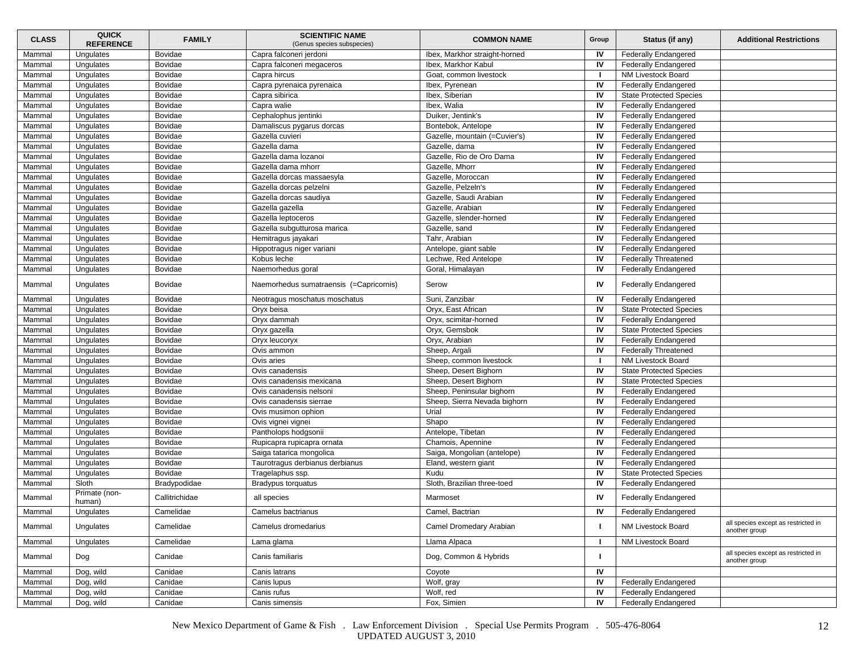| <b>CLASS</b> | <b>QUICK</b><br><b>REFERENCE</b> | <b>FAMILY</b>  | <b>SCIENTIFIC NAME</b><br>(Genus species subspecies) | <b>COMMON NAME</b>            | Group                   | Status (if any)                | <b>Additional Restrictions</b>                       |
|--------------|----------------------------------|----------------|------------------------------------------------------|-------------------------------|-------------------------|--------------------------------|------------------------------------------------------|
| Mammal       | Ungulates                        | Bovidae        | Capra falconeri jerdoni                              | Ibex, Markhor straight-horned | IV                      | <b>Federally Endangered</b>    |                                                      |
| Mammal       | Ungulates                        | Bovidae        | Capra falconeri megaceros                            | Ibex, Markhor Kabul           | IV                      | <b>Federally Endangered</b>    |                                                      |
| Mammal       | Ungulates                        | Bovidae        | Capra hircus                                         | Goat, common livestock        | п.                      | NM Livestock Board             |                                                      |
| Mammal       | Ungulates                        | Bovidae        | Capra pyrenaica pyrenaica                            | Ibex, Pyrenean                | IV                      | <b>Federally Endangered</b>    |                                                      |
| Mammal       | Ungulates                        | Bovidae        | Capra sibirica                                       | Ibex, Siberian                | IV                      | <b>State Protected Species</b> |                                                      |
| Mammal       | Ungulates                        | Bovidae        | Capra walie                                          | Ibex, Walia                   | IV                      | <b>Federally Endangered</b>    |                                                      |
| Mammal       | Ungulates                        | Bovidae        | Cephalophus jentinki                                 | Duiker, Jentink's             | IV                      | <b>Federally Endangered</b>    |                                                      |
| Mammal       | Ungulates                        | Bovidae        | Damaliscus pygarus dorcas                            | Bontebok, Antelope            | IV                      | <b>Federally Endangered</b>    |                                                      |
| Mammal       | Ungulates                        | Bovidae        | Gazella cuvieri                                      | Gazelle, mountain (=Cuvier's) | IV                      | <b>Federally Endangered</b>    |                                                      |
| Mammal       | Ungulates                        | Bovidae        | Gazella dama                                         | Gazelle, dama                 | IV                      | <b>Federally Endangered</b>    |                                                      |
| Mammal       | Ungulates                        | Bovidae        | Gazella dama lozanoi                                 | Gazelle. Rio de Oro Dama      | IV                      | <b>Federally Endangered</b>    |                                                      |
| Mammal       | Ungulates                        | Bovidae        | Gazella dama mhorr                                   | Gazelle, Mhorr                | IV                      | <b>Federally Endangered</b>    |                                                      |
| Mammal       | Ungulates                        | Bovidae        | Gazella dorcas massaesyla                            | Gazelle, Moroccan             | IV                      | <b>Federally Endangered</b>    |                                                      |
| Mammal       | Ungulates                        | Bovidae        | Gazella dorcas pelzelni                              | Gazelle, Pelzeln's            | IV                      | <b>Federally Endangered</b>    |                                                      |
| Mammal       | Ungulates                        | Bovidae        | Gazella dorcas saudiya                               | Gazelle, Saudi Arabian        | IV                      | <b>Federally Endangered</b>    |                                                      |
| Mammal       | Ungulates                        | Bovidae        | Gazella gazella                                      | Gazelle, Arabian              | IV                      | <b>Federally Endangered</b>    |                                                      |
| Mammal       | Ungulates                        | Bovidae        | Gazella leptoceros                                   | Gazelle, slender-horned       | IV                      | <b>Federally Endangered</b>    |                                                      |
| Mammal       | Ungulates                        | Bovidae        | Gazella subgutturosa marica                          | Gazelle, sand                 | IV                      | <b>Federally Endangered</b>    |                                                      |
| Mammal       | Ungulates                        | Bovidae        | Hemitragus jayakari                                  | Tahr, Arabian                 | IV                      | <b>Federally Endangered</b>    |                                                      |
| Mammal       | Ungulates                        | Bovidae        | Hippotragus niger variani                            | Antelope, giant sable         | IV                      | <b>Federally Endangered</b>    |                                                      |
| Mammal       | Ungulates                        | Bovidae        | Kobus leche                                          | Lechwe, Red Antelope          | IV                      | <b>Federally Threatened</b>    |                                                      |
| Mammal       | Unqulates                        | Bovidae        | Naemorhedus goral                                    | Goral, Himalayan              | IV                      | <b>Federally Endangered</b>    |                                                      |
| Mammal       | Ungulates                        | Bovidae        | Naemorhedus sumatraensis (=Capricornis)              | Serow                         | IV                      | <b>Federally Endangered</b>    |                                                      |
| Mammal       | Ungulates                        | Bovidae        | Neotragus moschatus moschatus                        | Suni, Zanzibar                | IV                      | <b>Federally Endangered</b>    |                                                      |
| Mammal       | Ungulates                        | Bovidae        | Oryx beisa                                           | Oryx, East African            | IV                      | <b>State Protected Species</b> |                                                      |
| Mammal       | Ungulates                        | Bovidae        | Oryx dammah                                          | Oryx, scimitar-horned         | IV                      | <b>Federally Endangered</b>    |                                                      |
| Mammal       | Ungulates                        | Bovidae        | Oryx gazella                                         | Oryx, Gemsbok                 | IV                      | <b>State Protected Species</b> |                                                      |
| Mammal       | Ungulates                        | Bovidae        | Oryx leucoryx                                        | Oryx, Arabian                 | IV                      | <b>Federally Endangered</b>    |                                                      |
| Mammal       | Ungulates                        | Bovidae        | Ovis ammon                                           | Sheep, Argali                 | IV                      | <b>Federally Threatened</b>    |                                                      |
| Mammal       | Ungulates                        | Bovidae        | Ovis aries                                           | Sheep, common livestock       |                         | NM Livestock Board             |                                                      |
| Mammal       | Ungulates                        | Bovidae        | Ovis canadensis                                      | Sheep, Desert Bighorn         | IV                      | <b>State Protected Species</b> |                                                      |
| Mammal       | Ungulates                        | Bovidae        | Ovis canadensis mexicana                             | Sheep, Desert Bighorn         | IV                      | <b>State Protected Species</b> |                                                      |
| Mammal       | Ungulates                        | Bovidae        | Ovis canadensis nelsoni                              | Sheep, Peninsular bighorn     | IV                      | <b>Federally Endangered</b>    |                                                      |
| Mammal       | Ungulates                        | Bovidae        | Ovis canadensis sierrae                              | Sheep, Sierra Nevada bighorn  | IV                      | <b>Federally Endangered</b>    |                                                      |
| Mammal       | Ungulates                        | Bovidae        | Ovis musimon ophion                                  | Urial                         | IV                      | <b>Federally Endangered</b>    |                                                      |
| Mammal       | Ungulates                        | Bovidae        | Ovis vignei vignei                                   | Shapo                         | IV                      | <b>Federally Endangered</b>    |                                                      |
| Mammal       | Ungulates                        | Bovidae        | Pantholops hodgsonii                                 | Antelope, Tibetan             | IV                      | <b>Federally Endangered</b>    |                                                      |
| Mammal       | Ungulates                        | Bovidae        | Rupicapra rupicapra ornata                           | Chamois, Apennine             | IV                      | <b>Federally Endangered</b>    |                                                      |
| Mammal       | Ungulates                        | Bovidae        | Saiga tatarica mongolica                             | Saiga, Mongolian (antelope)   | IV                      | <b>Federally Endangered</b>    |                                                      |
| Mammal       | Unqulates                        | Bovidae        | Taurotragus derbianus derbianus                      | Eland, western giant          | IV                      | <b>Federally Endangered</b>    |                                                      |
| Mammal       | Ungulates                        | Bovidae        | Tragelaphus ssp.                                     | Kudu                          | IV                      | <b>State Protected Species</b> |                                                      |
| Mammal       | Sloth                            | Bradypodidae   | <b>Bradypus torquatus</b>                            | Sloth, Brazilian three-toed   | IV                      | <b>Federally Endangered</b>    |                                                      |
| Mammal       | Primate (non-<br>human)          | Callitrichidae | all species                                          | Marmoset                      | IV                      | <b>Federally Endangered</b>    |                                                      |
| Mammal       | Ungulates                        | Camelidae      | Camelus bactrianus                                   | Camel, Bactrian               | $\overline{\mathsf{z}}$ | <b>Federally Endangered</b>    |                                                      |
| Mammal       | Ungulates                        | Camelidae      | Camelus dromedarius                                  | Camel Dromedary Arabian       |                         | NM Livestock Board             | all species except as restricted in<br>another group |
| Mammal       | Ungulates                        | Camelidae      | Lama glama                                           | Llama Alpaca                  |                         | NM Livestock Board             |                                                      |
| Mammal       | Dog                              | Canidae        | Canis familiaris                                     | Dog, Common & Hybrids         | п                       |                                | all species except as restricted in<br>another group |
| Mammal       | Dog, wild                        | Canidae        | Canis latrans                                        | Coyote                        | IV                      |                                |                                                      |
| Mammal       | Dog, wild                        | Canidae        | Canis lupus                                          | Wolf, gray                    | IV                      | <b>Federally Endangered</b>    |                                                      |
| Mammal       | Dog, wild                        | Canidae        | Canis rufus                                          | Wolf, red                     | IV                      | <b>Federally Endangered</b>    |                                                      |
| Mammal       | Dog, wild                        | Canidae        | Canis simensis                                       | Fox, Simien                   | IV                      | <b>Federally Endangered</b>    |                                                      |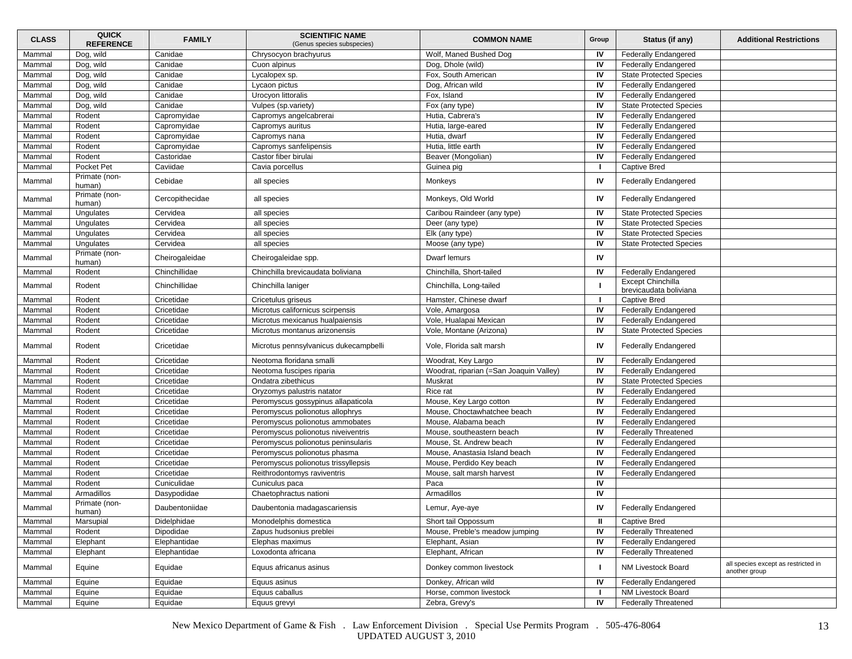| <b>CLASS</b> | <b>QUICK</b><br><b>REFERENCE</b> | <b>FAMILY</b>   | <b>SCIENTIFIC NAME</b><br>(Genus species subspecies) | <b>COMMON NAME</b>                      | Group        | Status (if any)                             | <b>Additional Restrictions</b>                       |
|--------------|----------------------------------|-----------------|------------------------------------------------------|-----------------------------------------|--------------|---------------------------------------------|------------------------------------------------------|
| Mammal       | Dog, wild                        | Canidae         | Chrysocyon brachyurus                                | Wolf, Maned Bushed Dog                  | IV           | <b>Federally Endangered</b>                 |                                                      |
| Mammal       | Dog, wild                        | Canidae         | Cuon alpinus                                         | Dog, Dhole (wild)                       | IV           | <b>Federally Endangered</b>                 |                                                      |
| Mammal       | Dog, wild                        | Canidae         | Lycalopex sp.                                        | Fox, South American                     | IV           | <b>State Protected Species</b>              |                                                      |
| Mammal       | Dog, wild                        | Canidae         | Lycaon pictus                                        | Dog, African wild                       | IV           | <b>Federally Endangered</b>                 |                                                      |
| Mammal       | Dog, wild                        | Canidae         | Urocyon littoralis                                   | Fox, Island                             | IV           | <b>Federally Endangered</b>                 |                                                      |
| Mammal       | Dog, wild                        | Canidae         | Vulpes (sp.variety)                                  | Fox (any type)                          | IV           | <b>State Protected Species</b>              |                                                      |
| Mammal       | Rodent                           | Capromyidae     | Capromys angelcabrerai                               | Hutia, Cabrera's                        | IV           | <b>Federally Endangered</b>                 |                                                      |
| Mammal       | Rodent                           | Capromyidae     | Capromys auritus                                     | Hutia, large-eared                      | IV           | <b>Federally Endangered</b>                 |                                                      |
| Mammal       | Rodent                           | Capromyidae     | Capromys nana                                        | Hutia, dwarf                            | IV           | <b>Federally Endangered</b>                 |                                                      |
| Mammal       | Rodent                           | Capromyidae     | Capromys sanfelipensis                               | Hutia. little earth                     | IV           | <b>Federally Endangered</b>                 |                                                      |
| Mammal       | Rodent                           | Castoridae      | Castor fiber birulai                                 | Beaver (Mongolian)                      | IV           | <b>Federally Endangered</b>                 |                                                      |
| Mammal       | Pocket Pet                       | Caviidae        | Cavia porcellus                                      | Guinea pig                              |              | <b>Captive Bred</b>                         |                                                      |
| Mammal       | Primate (non-<br>human)          | Cebidae         | all species                                          | Monkeys                                 | IV           | <b>Federally Endangered</b>                 |                                                      |
| Mammal       | Primate (non-<br>human)          | Cercopithecidae | all species                                          | Monkeys, Old World                      | IV           | <b>Federally Endangered</b>                 |                                                      |
| Mammal       | Ungulates                        | Cervidea        | all species                                          | Caribou Raindeer (any type)             | IV           | <b>State Protected Species</b>              |                                                      |
| Mammal       | Ungulates                        | Cervidea        | all species                                          | Deer (any type)                         | IV           | <b>State Protected Species</b>              |                                                      |
| Mammal       | Ungulates                        | Cervidea        | all species                                          | Elk (any type)                          | IV           | <b>State Protected Species</b>              |                                                      |
| Mammal       | Ungulates                        | Cervidea        | all species                                          | Moose (any type)                        | IV           | <b>State Protected Species</b>              |                                                      |
| Mammal       | Primate (non-<br>human)          | Cheirogaleidae  | Cheirogaleidae spp.                                  | Dwarf lemurs                            | IV           |                                             |                                                      |
| Mammal       | Rodent                           | Chinchillidae   | Chinchilla brevicaudata boliviana                    | Chinchilla, Short-tailed                | IV           | <b>Federally Endangered</b>                 |                                                      |
| Mammal       | Rodent                           | Chinchillidae   | Chinchilla laniger                                   | Chinchilla, Long-tailed                 |              | Except Chinchilla<br>brevicaudata boliviana |                                                      |
| Mammal       | Rodent                           | Cricetidae      | Cricetulus griseus                                   | Hamster, Chinese dwarf                  | $\mathbf{I}$ | <b>Captive Bred</b>                         |                                                      |
| Mammal       | Rodent                           | Cricetidae      | Microtus californicus scirpensis                     | Vole, Amargosa                          | IV           | <b>Federally Endangered</b>                 |                                                      |
| Mammal       | Rodent                           | Cricetidae      | Microtus mexicanus hualpaiensis                      | Vole, Hualapai Mexican                  | IV           | <b>Federally Endangered</b>                 |                                                      |
| Mammal       | Rodent                           | Cricetidae      | Microtus montanus arizonensis                        | Vole, Montane (Arizona)                 | IV           | <b>State Protected Species</b>              |                                                      |
| Mammal       | Rodent                           | Cricetidae      | Microtus pennsylvanicus dukecampbelli                | Vole, Florida salt marsh                | IV           | <b>Federally Endangered</b>                 |                                                      |
| Mammal       | Rodent                           | Cricetidae      | Neotoma floridana smalli                             | Woodrat, Key Largo                      | IV           | <b>Federally Endangered</b>                 |                                                      |
| Mammal       | Rodent                           | Cricetidae      | Neotoma fuscipes riparia                             | Woodrat, riparian (=San Joaquin Valley) | IV           | <b>Federally Endangered</b>                 |                                                      |
| Mammal       | Rodent                           | Cricetidae      | Ondatra zibethicus                                   | Muskrat                                 | IV           | <b>State Protected Species</b>              |                                                      |
| Mammal       | Rodent                           | Cricetidae      | Oryzomys palustris natator                           | Rice rat                                | IV           | <b>Federally Endangered</b>                 |                                                      |
| Mammal       | Rodent                           | Cricetidae      | Peromyscus gossypinus allapaticola                   | Mouse, Key Largo cotton                 | IV           | <b>Federally Endangered</b>                 |                                                      |
| Mammal       | Rodent                           | Cricetidae      | Peromyscus polionotus allophrys                      | Mouse, Choctawhatchee beach             | IV           | <b>Federally Endangered</b>                 |                                                      |
| Mammal       | Rodent                           | Cricetidae      | Peromyscus polionotus ammobates                      | Mouse, Alabama beach                    | IV           | <b>Federally Endangered</b>                 |                                                      |
| Mammal       | Rodent                           | Cricetidae      | Peromyscus polionotus niveiventris                   | Mouse, southeastern beach               | IV           | <b>Federally Threatened</b>                 |                                                      |
| Mammal       | Rodent                           | Cricetidae      | Peromyscus polionotus peninsularis                   | Mouse, St. Andrew beach                 | IV           | <b>Federally Endangered</b>                 |                                                      |
| Mammal       | Rodent                           | Cricetidae      | Peromyscus polionotus phasma                         | Mouse, Anastasia Island beach           | IV           | Federally Endangered                        |                                                      |
| Mammal       | Rodent                           | Cricetidae      | Peromyscus polionotus trissyllepsis                  | Mouse, Perdido Key beach                | IV           | <b>Federally Endangered</b>                 |                                                      |
| Mammal       | Rodent                           | Cricetidae      | Reithrodontomys raviventris                          | Mouse, salt marsh harvest               | IV           | <b>Federally Endangered</b>                 |                                                      |
| Mammal       | Rodent                           | Cuniculidae     | Cuniculus paca                                       | Paca                                    | IV           |                                             |                                                      |
| Mammal       | Armadillos                       | Dasypodidae     | Chaetophractus nationi                               | Armadillos                              | IV           |                                             |                                                      |
| Mammal       | Primate (non-<br>human)          | Daubentoniidae  | Daubentonia madagascariensis                         | Lemur, Aye-aye                          | IV           | <b>Federally Endangered</b>                 |                                                      |
| Mammal       | Marsupial                        | Didelphidae     | Monodelphis domestica                                | Short tail Oppossum                     | Ш            | <b>Captive Bred</b>                         |                                                      |
| Mammal       | Rodent                           | Dipodidae       | Zapus hudsonius preblei                              | Mouse, Preble's meadow jumping          | IV           | <b>Federally Threatened</b>                 |                                                      |
| Mammal       | Elephant                         | Elephantidae    | Elephas maximus                                      | Elephant, Asian                         | IV           | <b>Federally Endangered</b>                 |                                                      |
| Mammal       | Elephant                         | Elephantidae    | Loxodonta africana                                   | Elephant, African                       | IV           | <b>Federally Threatened</b>                 |                                                      |
| Mammal       | Equine                           | Equidae         | Equus africanus asinus                               | Donkey common livestock                 | J.           | NM Livestock Board                          | all species except as restricted in<br>another group |
| Mammal       | Equine                           | Equidae         | Equus asinus                                         | Donkey, African wild                    | IV           | <b>Federally Endangered</b>                 |                                                      |
| Mammal       | Equine                           | Equidae         | Equus caballus                                       | Horse, common livestock                 |              | <b>NM Livestock Board</b>                   |                                                      |
| Mammal       | Equine                           | Equidae         | Equus grevyi                                         | Zebra, Grevy's                          | IV           | <b>Federally Threatened</b>                 |                                                      |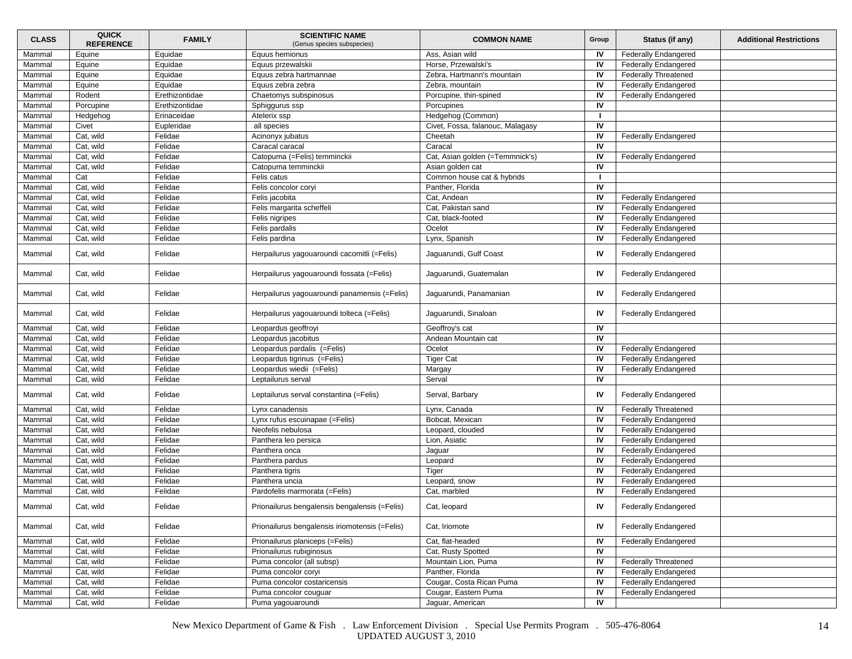| <b>CLASS</b> | <b>QUICK</b><br><b>REFERENCE</b> | <b>FAMILY</b>  | <b>SCIENTIFIC NAME</b><br>(Genus species subspecies) | <b>COMMON NAME</b>               | Group | Status (if any)             | <b>Additional Restrictions</b> |
|--------------|----------------------------------|----------------|------------------------------------------------------|----------------------------------|-------|-----------------------------|--------------------------------|
| Mammal       | Equine                           | Equidae        | Equus hemionus                                       | Ass, Asian wild                  | IV    | <b>Federally Endangered</b> |                                |
| Mammal       | Equine                           | Equidae        | Equus przewalskii                                    | Horse, Przewalski's              | IV    | <b>Federally Endangered</b> |                                |
| Mammal       | Equine                           | Equidae        | Equus zebra hartmannae                               | Zebra, Hartmann's mountain       | IV    | <b>Federally Threatened</b> |                                |
| Mammal       | Equine                           | Equidae        | Equus zebra zebra                                    | Zebra, mountain                  | IV    | <b>Federally Endangered</b> |                                |
| Mammal       | Rodent                           | Erethizontidae | Chaetomys subspinosus                                | Porcupine, thin-spined           | IV    | <b>Federally Endangered</b> |                                |
| Mammal       | Porcupine                        | Erethizontidae | Sphiggurus ssp                                       | Porcupines                       | IV    |                             |                                |
| Mammal       | Hedgehog                         | Erinaceidae    | Atelerix ssp                                         | Hedgehog (Common)                |       |                             |                                |
| Mammal       | Civet                            | Eupleridae     | all species                                          | Civet, Fossa, falanouc, Malagasy | IV    |                             |                                |
| Mammal       | Cat, wild                        | Felidae        | Acinonyx jubatus                                     | Cheetah                          | IV    | <b>Federally Endangered</b> |                                |
| Mammal       | Cat, wild                        | Felidae        | Caracal caracal                                      | Caracal                          | IV    |                             |                                |
| Mammal       | Cat, wild                        | Felidae        | Catopuma (=Felis) temminckii                         | Cat, Asian golden (=Temmnick's)  | IV    | <b>Federally Endangered</b> |                                |
| Mammal       | Cat, wild                        | Felidae        | Catopuma temminckii                                  | Asian golden cat                 | IV    |                             |                                |
| Mammal       | Cat                              | Felidae        | Felis catus                                          | Common house cat & hybrids       |       |                             |                                |
| Mammal       | Cat, wild                        | Felidae        | Felis concolor coryi                                 | Panther, Florida                 | IV    |                             |                                |
| Mammal       | Cat, wild                        | Felidae        | Felis jacobita                                       | Cat, Andean                      | IV    | <b>Federally Endangered</b> |                                |
| Mammal       | Cat, wild                        | Felidae        | Felis margarita scheffeli                            | Cat, Pakistan sand               | IV    | Federally Endangered        |                                |
| Mammal       | Cat, wild                        | Felidae        | Felis nigripes                                       | Cat, black-footed                | IV    | <b>Federally Endangered</b> |                                |
| Mammal       | Cat, wild                        | Felidae        | Felis pardalis                                       | Ocelot                           | IV    | <b>Federally Endangered</b> |                                |
| Mammal       | Cat, wild                        | Felidae        | Felis pardina                                        | Lynx, Spanish                    | IV    | <b>Federally Endangered</b> |                                |
| Mammal       | Cat, wild                        | Felidae        | Herpailurus yagouaroundi cacomitli (=Felis)          | Jaguarundi, Gulf Coast           | IV    | <b>Federally Endangered</b> |                                |
| Mammal       | Cat, wild                        | Felidae        | Herpailurus yagouaroundi fossata (=Felis)            | Jaguarundi, Guatemalan           | IV    | <b>Federally Endangered</b> |                                |
| Mammal       | Cat, wild                        | Felidae        | Herpailurus yagouaroundi panamensis (=Felis)         | Jaguarundi, Panamanian           | IV    | <b>Federally Endangered</b> |                                |
| Mammal       | Cat, wild                        | Felidae        | Herpailurus yagouaroundi tolteca (=Felis)            | Jaguarundi, Sinaloan             | IV    | <b>Federally Endangered</b> |                                |
| Mammal       | Cat, wild                        | Felidae        | Leopardus geoffroyi                                  | Geoffroy's cat                   | IV    |                             |                                |
| Mammal       | Cat, wild                        | Felidae        | Leopardus jacobitus                                  | Andean Mountain cat              | IV    |                             |                                |
| Mammal       | Cat, wild                        | Felidae        | Leopardus pardalis (=Felis)                          | Ocelot                           | IV    | <b>Federally Endangered</b> |                                |
| Mammal       | Cat, wild                        | Felidae        | Leopardus tigrinus (=Felis)                          | <b>Tiger Cat</b>                 | IV    | <b>Federally Endangered</b> |                                |
| Mammal       | Cat, wild                        | Felidae        | Leopardus wiedii (=Felis)                            | Margay                           | IV    | <b>Federally Endangered</b> |                                |
| Mammal       | Cat, wild                        | Felidae        | Leptailurus serval                                   | Serval                           | IV    |                             |                                |
| Mammal       | Cat, wild                        | Felidae        | Leptailurus serval constantina (=Felis)              | Serval, Barbary                  | IV    | <b>Federally Endangered</b> |                                |
| Mammal       | Cat, wild                        | Felidae        | Lynx canadensis                                      | Lynx, Canada                     | IV    | <b>Federally Threatened</b> |                                |
| Mammal       | Cat, wild                        | Felidae        | Lynx rufus escuinapae (=Felis)                       | Bobcat, Mexican                  | IV    | <b>Federally Endangered</b> |                                |
| Mammal       | Cat, wild                        | Felidae        | Neofelis nebulosa                                    | Leopard, clouded                 | IV    | <b>Federally Endangered</b> |                                |
| Mammal       | Cat, wild                        | Felidae        | Panthera leo persica                                 | Lion, Asiatic                    | IV    | <b>Federally Endangered</b> |                                |
| Mammal       | Cat, wild                        | Felidae        | Panthera onca                                        | Jaguar                           | IV    | <b>Federally Endangered</b> |                                |
| Mammal       | Cat, wild                        | Felidae        | Panthera pardus                                      | Leopard                          | IV    | <b>Federally Endangered</b> |                                |
| Mammal       | Cat, wild                        | Felidae        | Panthera tigris                                      | Tiger                            | IV    | <b>Federally Endangered</b> |                                |
| Mammal       | Cat, wild                        | Felidae        | Panthera uncia                                       | Leopard, snow                    | IV    | <b>Federally Endangered</b> |                                |
| Mammal       | Cat, wild                        | Felidae        | Pardofelis marmorata (=Felis)                        | Cat, marbled                     | IV    | Federally Endangered        |                                |
| Mammal       | Cat, wild                        | Felidae        | Prionailurus bengalensis bengalensis (=Felis)        | Cat, leopard                     | IV    | <b>Federally Endangered</b> |                                |
| Mammal       | Cat, wild                        | Felidae        | Prionailurus bengalensis iriomotensis (=Felis)       | Cat, Iriomote                    | IV    | <b>Federally Endangered</b> |                                |
| Mammal       | Cat, wild                        | Felidae        | Prionailurus planiceps (=Felis)                      | Cat, flat-headed                 | IV    | <b>Federally Endangered</b> |                                |
| Mammal       | Cat, wild                        | Felidae        | Prionailurus rubiginosus                             | Cat, Rusty Spotted               | IV    |                             |                                |
| Mammal       | Cat, wild                        | Felidae        | Puma concolor (all subsp)                            | Mountain Lion, Puma              | IV    | <b>Federally Threatened</b> |                                |
| Mammal       | Cat, wild                        | Felidae        | Puma concolor coryi                                  | Panther, Florida                 | IV    | <b>Federally Endangered</b> |                                |
| Mammal       | Cat, wild                        | Felidae        | Puma concolor costaricensis                          | Cougar, Costa Rican Puma         | IV    | <b>Federally Endangered</b> |                                |
| Mammal       | Cat, wild                        | Felidae        | Puma concolor couguar                                | Cougar, Eastern Puma             | IV    | <b>Federally Endangered</b> |                                |
| Mammal       | Cat, wild                        | Felidae        | Puma yagouaroundi                                    | Jaguar, American                 | IV    |                             |                                |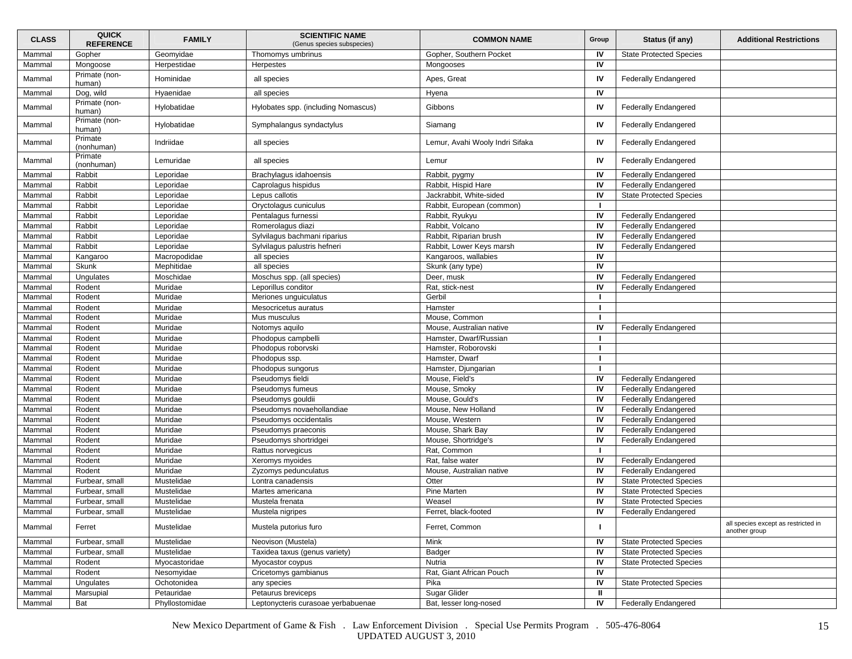| <b>CLASS</b> | <b>QUICK</b><br><b>REFERENCE</b> | <b>FAMILY</b>  | <b>SCIENTIFIC NAME</b><br>(Genus species subspecies) | <b>COMMON NAME</b>              | Group | Status (if any)                | <b>Additional Restrictions</b>                       |
|--------------|----------------------------------|----------------|------------------------------------------------------|---------------------------------|-------|--------------------------------|------------------------------------------------------|
| Mammal       | Gopher                           | Geomyidae      | Thomomys umbrinus                                    | Gopher, Southern Pocket         | IV    | <b>State Protected Species</b> |                                                      |
| Mammal       | Mongoose                         | Herpestidae    | Herpestes                                            | Mongooses                       | IV    |                                |                                                      |
| Mammal       | Primate (non-<br>human)          | Hominidae      | all species                                          | Apes, Great                     | IV    | <b>Federally Endangered</b>    |                                                      |
| Mammal       | Dog, wild                        | Hyaenidae      | all species                                          | Hyena                           | IV    |                                |                                                      |
| Mammal       | Primate (non-<br>human)          | Hylobatidae    | Hylobates spp. (including Nomascus)                  | Gibbons                         | IV    | <b>Federally Endangered</b>    |                                                      |
| Mammal       | Primate (non-<br>human)          | Hylobatidae    | Symphalangus syndactylus                             | Siamang                         | IV    | <b>Federally Endangered</b>    |                                                      |
| Mammal       | Primate<br>(nonhuman)            | Indriidae      | all species                                          | Lemur, Avahi Wooly Indri Sifaka | IV    | <b>Federally Endangered</b>    |                                                      |
| Mammal       | Primate<br>(nonhuman)            | Lemuridae      | all species                                          | Lemur                           | IV    | <b>Federally Endangered</b>    |                                                      |
| Mammal       | Rabbit                           | Leporidae      | Brachylagus idahoensis                               | Rabbit, pygmy                   | IV    | <b>Federally Endangered</b>    |                                                      |
| Mammal       | Rabbit                           | Leporidae      | Caprolagus hispidus                                  | Rabbit, Hispid Hare             | IV    | <b>Federally Endangered</b>    |                                                      |
| Mammal       | Rabbit                           | Leporidae      | Lepus callotis                                       | Jackrabbit, White-sided         | IV    | <b>State Protected Species</b> |                                                      |
| Mammal       | Rabbit                           | Leporidae      | Oryctolagus cuniculus                                | Rabbit, European (common)       | -1    |                                |                                                      |
| Mammal       | Rabbit                           | Leporidae      | Pentalagus furnessi                                  | Rabbit, Ryukyu                  | IV    | <b>Federally Endangered</b>    |                                                      |
| Mammal       | Rabbit                           | Leporidae      | Romerolagus diazi                                    | Rabbit, Volcano                 | IV    | <b>Federally Endangered</b>    |                                                      |
| Mammal       | Rabbit                           | Leporidae      | Sylvilagus bachmani riparius                         | Rabbit, Riparian brush          | IV    | <b>Federally Endangered</b>    |                                                      |
| Mammal       | Rabbit                           | Leporidae      | Sylvilagus palustris hefneri                         | Rabbit, Lower Keys marsh        | IV    | <b>Federally Endangered</b>    |                                                      |
| Mammal       | Kangaroo                         | Macropodidae   | all species                                          | Kangaroos, wallabies            | IV    |                                |                                                      |
| Mammal       | Skunk                            | Mephitidae     | all species                                          | Skunk (any type)                | IV    |                                |                                                      |
| Mammal       | Ungulates                        | Moschidae      | Moschus spp. (all species)                           | Deer, musk                      | IV    | <b>Federally Endangered</b>    |                                                      |
| Mammal       | Rodent                           | Muridae        | Leporillus conditor                                  | Rat, stick-nest                 | IV    | <b>Federally Endangered</b>    |                                                      |
| Mammal       | Rodent                           | Muridae        | Meriones unguiculatus                                | Gerbil                          |       |                                |                                                      |
| Mammal       | Rodent                           | Muridae        | Mesocricetus auratus                                 | Hamster                         |       |                                |                                                      |
| Mammal       | Rodent                           | Muridae        | Mus musculus                                         | Mouse, Common                   | -1    |                                |                                                      |
| Mammal       | Rodent                           | Muridae        | Notomys aquilo                                       | Mouse, Australian native        | IV    | <b>Federally Endangered</b>    |                                                      |
| Mammal       | Rodent                           | Muridae        | Phodopus campbelli                                   | Hamster, Dwarf/Russian          |       |                                |                                                      |
| Mammal       | Rodent                           | Muridae        | Phodopus roborvski                                   | Hamster, Roborovski             |       |                                |                                                      |
| Mammal       | Rodent                           | Muridae        | Phodopus ssp.                                        | Hamster, Dwarf                  |       |                                |                                                      |
| Mammal       | Rodent                           | Muridae        | Phodopus sungorus                                    | Hamster, Djungarian             |       |                                |                                                      |
| Mammal       | Rodent                           | Muridae        | Pseudomys fieldi                                     | Mouse, Field's                  | IV    | <b>Federally Endangered</b>    |                                                      |
| Mammal       | Rodent                           | Muridae        | Pseudomys fumeus                                     | Mouse, Smoky                    | IV    | <b>Federally Endangered</b>    |                                                      |
| Mammal       | Rodent                           | Muridae        | Pseudomys gouldii                                    | Mouse, Gould's                  | IV    | <b>Federally Endangered</b>    |                                                      |
| Mammal       | Rodent                           | Muridae        | Pseudomys novaehollandiae                            | Mouse, New Holland              | IV    | <b>Federally Endangered</b>    |                                                      |
| Mammal       | Rodent                           | Muridae        | Pseudomys occidentalis                               | Mouse, Western                  | IV    | <b>Federally Endangered</b>    |                                                      |
| Mammal       | Rodent                           | Muridae        | Pseudomys praeconis                                  | Mouse, Shark Bay                | IV    | <b>Federally Endangered</b>    |                                                      |
| Mammal       | Rodent                           | Muridae        | Pseudomys shortridgei                                | Mouse, Shortridge's             | IV    | <b>Federally Endangered</b>    |                                                      |
| Mammal       | Rodent                           | Muridae        | Rattus norvegicus                                    | Rat. Common                     | -1    |                                |                                                      |
| Mammal       | Rodent                           | Muridae        | Xeromys myoides                                      | Rat, false water                | IV    | <b>Federally Endangered</b>    |                                                      |
| Mammal       | Rodent                           | Muridae        | Zyzomys pedunculatus                                 | Mouse, Australian native        | IV    | <b>Federally Endangered</b>    |                                                      |
| Mammal       | Furbear, small                   | Mustelidae     | Lontra canadensis                                    | Otter                           | IV    | <b>State Protected Species</b> |                                                      |
| Mammal       | Furbear, small                   | Mustelidae     | Martes americana                                     | Pine Marten                     | IV    | <b>State Protected Species</b> |                                                      |
| Mammal       | Furbear, small                   | Mustelidae     | Mustela frenata                                      | Weasel                          | IV    | <b>State Protected Species</b> |                                                      |
| Mammal       | Furbear, small                   | Mustelidae     | Mustela nigripes                                     | Ferret, black-footed            | IV    | <b>Federally Endangered</b>    |                                                      |
| Mammal       | Ferret                           | Mustelidae     | Mustela putorius furo                                | Ferret, Common                  |       |                                | all species except as restricted in<br>another group |
| Mammal       | Furbear, small                   | Mustelidae     | Neovison (Mustela)                                   | Mink                            | IV    | <b>State Protected Species</b> |                                                      |
| Mammal       | Furbear, small                   | Mustelidae     | Taxidea taxus (genus variety)                        | Badger                          | IV    | <b>State Protected Species</b> |                                                      |
| Mammal       | Rodent                           | Myocastoridae  | Myocastor coypus                                     | Nutria                          | IV    | <b>State Protected Species</b> |                                                      |
| Mammal       | Rodent                           | Nesomyidae     | Cricetomys gambianus                                 | Rat, Giant African Pouch        | IV    |                                |                                                      |
| Mammal       | Ungulates                        | Ochotonidea    | any species                                          | Pika                            | IV    | <b>State Protected Species</b> |                                                      |
| Mammal       | Marsupial                        | Petauridae     | Petaurus breviceps                                   | Sugar Glider                    | Ш     |                                |                                                      |
| Mammal       | Bat                              | Phyllostomidae | Leptonycteris curasoae yerbabuenae                   | Bat, lesser long-nosed          | IV    | <b>Federally Endangered</b>    |                                                      |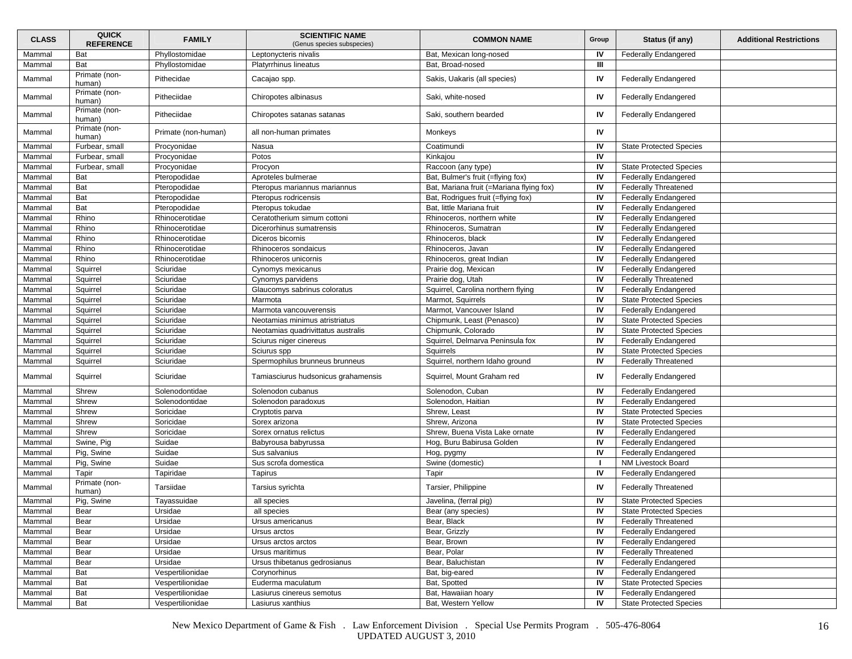| <b>CLASS</b> | <b>QUICK</b><br><b>REFERENCE</b> | <b>FAMILY</b>       | <b>SCIENTIFIC NAME</b><br>(Genus species subspecies) | <b>COMMON NAME</b>                       | Group | Status (if any)                | <b>Additional Restrictions</b> |
|--------------|----------------------------------|---------------------|------------------------------------------------------|------------------------------------------|-------|--------------------------------|--------------------------------|
| Mammal       | Bat                              | Phyllostomidae      | Leptonycteris nivalis                                | Bat, Mexican long-nosed                  | IV    | <b>Federally Endangered</b>    |                                |
| Mammal       | Bat                              | Phyllostomidae      | Platyrrhinus lineatus                                | Bat, Broad-nosed                         | Ш     |                                |                                |
| Mammal       | Primate (non-<br>human)          | Pithecidae          | Cacajao spp.                                         | Sakis, Uakaris (all species)             | IV    | <b>Federally Endangered</b>    |                                |
| Mammal       | Primate (non-<br>human)          | Pitheciidae         | Chiropotes albinasus                                 | Saki, white-nosed                        | IV    | Federally Endangered           |                                |
| Mammal       | Primate (non-<br>human)          | Pitheciidae         | Chiropotes satanas satanas                           | Saki, southern bearded                   | IV    | <b>Federally Endangered</b>    |                                |
| Mammal       | Primate (non-<br>human)          | Primate (non-human) | all non-human primates                               | Monkeys                                  | IV    |                                |                                |
| Mammal       | Furbear, small                   | Procyonidae         | Nasua                                                | Coatimundi                               | IV    | <b>State Protected Species</b> |                                |
| Mammal       | Furbear, small                   | Procyonidae         | Potos                                                | Kinkajou                                 | IV    |                                |                                |
| Mammal       | Furbear, small                   | Procyonidae         | Procyon                                              | Raccoon (any type)                       | IV    | <b>State Protected Species</b> |                                |
| Mammal       | Bat                              | Pteropodidae        | Aproteles bulmerae                                   | Bat, Bulmer's fruit (=flying fox)        | IV    | <b>Federally Endangered</b>    |                                |
| Mammal       | Bat                              | Pteropodidae        | Pteropus mariannus mariannus                         | Bat, Mariana fruit (=Mariana flying fox) | IV    | <b>Federally Threatened</b>    |                                |
| Mammal       | Bat                              | Pteropodidae        | Pteropus rodricensis                                 | Bat, Rodrigues fruit (=flying fox)       | IV    | <b>Federally Endangered</b>    |                                |
| Mammal       | Bat                              | Pteropodidae        | Pteropus tokudae                                     | Bat, little Mariana fruit                | IV    | <b>Federally Endangered</b>    |                                |
| Mammal       | Rhino                            | Rhinocerotidae      | Ceratotherium simum cottoni                          | Rhinoceros, northern white               | IV    | <b>Federally Endangered</b>    |                                |
| Mammal       | Rhino                            | Rhinocerotidae      | Dicerorhinus sumatrensis                             | Rhinoceros, Sumatran                     | IV    | <b>Federally Endangered</b>    |                                |
| Mammal       | Rhino                            | Rhinocerotidae      | Diceros bicornis                                     | Rhinoceros, black                        | IV    | <b>Federally Endangered</b>    |                                |
| Mammal       | Rhino                            | Rhinocerotidae      | Rhinoceros sondaicus                                 | Rhinoceros, Javan                        | IV    | <b>Federally Endangered</b>    |                                |
| Mammal       | Rhino                            | Rhinocerotidae      | Rhinoceros unicornis                                 | Rhinoceros, great Indian                 | IV    | <b>Federally Endangered</b>    |                                |
| Mammal       | Squirrel                         | Sciuridae           | Cynomys mexicanus                                    | Prairie dog, Mexican                     | IV    | <b>Federally Endangered</b>    |                                |
| Mammal       | Squirrel                         | Sciuridae           | Cynomys parvidens                                    | Prairie dog, Utah                        | IV    | <b>Federally Threatened</b>    |                                |
| Mammal       | Squirrel                         | Sciuridae           | Glaucomys sabrinus coloratus                         | Squirrel, Carolina northern flying       | IV    | <b>Federally Endangered</b>    |                                |
| Mammal       | Squirrel                         | Sciuridae           | Marmota                                              | Marmot, Squirrels                        | IV    | <b>State Protected Species</b> |                                |
| Mammal       | Squirrel                         | Sciuridae           | Marmota vancouverensis                               | Marmot, Vancouver Island                 | IV    | <b>Federally Endangered</b>    |                                |
| Mammal       | Squirrel                         | Sciuridae           | Neotamias minimus atristriatus                       | Chipmunk, Least (Penasco)                | IV    | <b>State Protected Species</b> |                                |
| Mammal       | Squirrel                         | Sciuridae           | Neotamias quadrivittatus australis                   | Chipmunk, Colorado                       | IV    | <b>State Protected Species</b> |                                |
| Mammal       | Squirrel                         | Sciuridae           | Sciurus niger cinereus                               | Squirrel, Delmarva Peninsula fox         | IV    | <b>Federally Endangered</b>    |                                |
| Mammal       | Squirrel                         | Sciuridae           | Sciurus spp                                          | Squirrels                                | IV    | <b>State Protected Species</b> |                                |
| Mammal       | Squirrel                         | Sciuridae           | Spermophilus brunneus brunneus                       | Squirrel, northern Idaho ground          | IV    | <b>Federally Threatened</b>    |                                |
| Mammal       | Squirrel                         | Sciuridae           | Tamiasciurus hudsonicus grahamensis                  | Squirrel, Mount Graham red               | IV    | <b>Federally Endangered</b>    |                                |
| Mammal       | Shrew                            | Solenodontidae      | Solenodon cubanus                                    | Solenodon, Cuban                         | IV    | <b>Federally Endangered</b>    |                                |
| Mammal       | Shrew                            | Solenodontidae      | Solenodon paradoxus                                  | Solenodon, Haitian                       | IV    | Federally Endangered           |                                |
| Mammal       | Shrew                            | Soricidae           | Cryptotis parva                                      | Shrew, Least                             | IV    | <b>State Protected Species</b> |                                |
| Mammal       | Shrew                            | Soricidae           | Sorex arizona                                        | Shrew, Arizona                           | IV    | <b>State Protected Species</b> |                                |
| Mammal       | Shrew                            | Soricidae           | Sorex ornatus relictus                               | Shrew, Buena Vista Lake ornate           | IV    | <b>Federally Endangered</b>    |                                |
| Mammal       | Swine, Pig                       | Suidae              | Babyrousa babyrussa                                  | Hog, Buru Babirusa Golden                | IV    | <b>Federally Endangered</b>    |                                |
| Mammal       | Pig, Swine                       | Suidae              | Sus salvanius                                        | Hog, pygmy                               | IV    | <b>Federally Endangered</b>    |                                |
| Mammal       | Pig, Swine                       | Suidae              | Sus scrofa domestica                                 | Swine (domestic)                         | -1    | NM Livestock Board             |                                |
| Mammal       | Tapir                            | Tapiridae           | Tapirus                                              | Tapir                                    | IV    | <b>Federally Endangered</b>    |                                |
| Mammal       | Primate (non-<br>human)          | Tarsiidae           | Tarsius syrichta                                     | Tarsier, Philippine                      | IV    | <b>Federally Threatened</b>    |                                |
| Mammal       | Pig, Swine                       | Tayassuidae         | all species                                          | Javelina, (ferral pig)                   | IV    | <b>State Protected Species</b> |                                |
| Mammal       | Bear                             | Ursidae             | all species                                          | Bear (any species)                       | IV    | <b>State Protected Species</b> |                                |
| Mammal       | Bear                             | Ursidae             | Ursus americanus                                     | Bear, Black                              | IV    | <b>Federally Threatened</b>    |                                |
| Mammal       | Bear                             | Ursidae             | Ursus arctos                                         | Bear, Grizzly                            | IV    | <b>Federally Endangered</b>    |                                |
| Mammal       | Bear                             | Ursidae             | Ursus arctos arctos                                  | Bear, Brown                              | IV    | <b>Federally Endangered</b>    |                                |
| Mammal       | Bear                             | Ursidae             | Ursus maritimus                                      | Bear, Polar                              | IV    | <b>Federally Threatened</b>    |                                |
| Mammal       | Bear                             | Ursidae             | Ursus thibetanus gedrosianus                         | Bear, Baluchistan                        | IV    | <b>Federally Endangered</b>    |                                |
| Mammal       | Bat                              | Vespertilionidae    | Corynorhinus                                         | Bat, big-eared                           | IV    | <b>Federally Endangered</b>    |                                |
| Mammal       | Bat                              | Vespertilionidae    | Euderma maculatum                                    | Bat, Spotted                             | IV    | <b>State Protected Species</b> |                                |
| Mammal       | Bat                              | Vespertilionidae    | Lasiurus cinereus semotus                            | Bat, Hawaiian hoary                      | IV    | Federally Endangered           |                                |
| Mammal       | Bat                              | Vespertilionidae    | Lasiurus xanthius                                    | Bat, Western Yellow                      | IV    | <b>State Protected Species</b> |                                |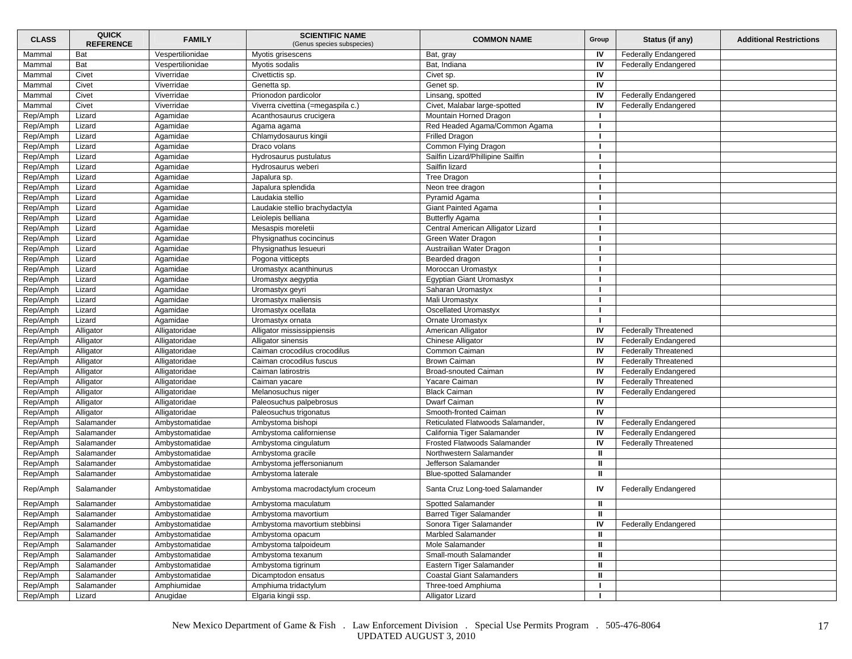| <b>CLASS</b>         | <b>QUICK</b><br><b>REFERENCE</b> | <b>FAMILY</b>                    | <b>SCIENTIFIC NAME</b><br>(Genus species subspecies)  | <b>COMMON NAME</b>                                                | Group        | Status (if any)             | <b>Additional Restrictions</b> |
|----------------------|----------------------------------|----------------------------------|-------------------------------------------------------|-------------------------------------------------------------------|--------------|-----------------------------|--------------------------------|
| Mammal               | Bat                              | Vespertilionidae                 | Myotis grisescens                                     | Bat, gray                                                         | IV           | <b>Federally Endangered</b> |                                |
| Mammal               | Bat                              | Vespertilionidae                 | Myotis sodalis                                        | Bat, Indiana                                                      | IV           | <b>Federally Endangered</b> |                                |
| Mammal               | Civet                            | Viverridae                       | Civettictis sp.                                       | Civet sp.                                                         | IV           |                             |                                |
| Mammal               | Civet                            | Viverridae                       | Genetta sp.                                           | Genet sp.                                                         | IV           |                             |                                |
| Mammal               | Civet                            | Viverridae                       | Prionodon pardicolor                                  | Linsang, spotted                                                  | IV           | <b>Federally Endangered</b> |                                |
| Mammal               | Civet                            | Viverridae                       | Viverra civettina (=megaspila c.)                     | Civet, Malabar large-spotted                                      | IV           | <b>Federally Endangered</b> |                                |
| Rep/Amph             | Lizard                           | Agamidae                         | Acanthosaurus crucigera                               | Mountain Horned Dragon                                            |              |                             |                                |
| Rep/Amph             | Lizard                           | Agamidae                         | Agama agama                                           | Red Headed Agama/Common Agama                                     | -1           |                             |                                |
| Rep/Amph             | Lizard                           | Agamidae                         | Chlamydosaurus kingii                                 | <b>Frilled Dragon</b>                                             | - 1          |                             |                                |
| Rep/Amph             | Lizard                           | Agamidae                         | Draco volans                                          | Common Flying Dragon                                              |              |                             |                                |
| Rep/Amph             | Lizard                           | Agamidae                         | Hydrosaurus pustulatus                                | Sailfin Lizard/Phillipine Sailfin                                 |              |                             |                                |
| Rep/Amph             | Lizard                           | Agamidae                         | Hydrosaurus weberi                                    | Sailfin lizard                                                    |              |                             |                                |
| Rep/Amph             | Lizard                           | Agamidae                         | Japalura sp.                                          | <b>Tree Dragon</b>                                                |              |                             |                                |
| Rep/Amph             | Lizard                           | Agamidae                         | Japalura splendida                                    | Neon tree dragon                                                  |              |                             |                                |
| Rep/Amph             | Lizard                           | Agamidae                         | Laudakia stellio                                      | Pyramid Agama                                                     |              |                             |                                |
| Rep/Amph             | Lizard                           | Agamidae                         | Laudakie stellio brachydactyla                        | Giant Painted Agama                                               | -1           |                             |                                |
| Rep/Amph             | Lizard                           | Agamidae                         | Leiolepis belliana                                    | <b>Butterfly Agama</b>                                            |              |                             |                                |
| Rep/Amph             | Lizard                           | Agamidae                         | Mesaspis moreletii                                    | Central American Alligator Lizard                                 |              |                             |                                |
| Rep/Amph             | Lizard                           | Agamidae                         | Physignathus cocincinus                               | Green Water Dragon                                                |              |                             |                                |
| Rep/Amph             | Lizard                           | Agamidae                         | Physignathus lesueuri                                 | Austrailian Water Dragon                                          |              |                             |                                |
| Rep/Amph             | Lizard                           | Agamidae                         | Pogona vitticepts                                     | Bearded dragon                                                    | - 1          |                             |                                |
| Rep/Amph             | Lizard                           | Agamidae                         | Uromastyx acanthinurus                                | Moroccan Uromastyx                                                | п            |                             |                                |
| Rep/Amph             | Lizard                           | Agamidae                         | Uromastyx aegyptia                                    | <b>Egyptian Giant Uromastyx</b>                                   |              |                             |                                |
| Rep/Amph             | Lizard                           | Agamidae                         | Uromastyx geyri                                       | Saharan Uromastyx                                                 |              |                             |                                |
| Rep/Amph             | Lizard                           | Agamidae                         | Uromastyx maliensis                                   | Mali Uromastyx                                                    |              |                             |                                |
| Rep/Amph             | Lizard                           | Agamidae                         | Uromastyx ocellata                                    | Oscellated Uromastyx                                              | -1           |                             |                                |
| Rep/Amph             | Lizard                           | Agamidae                         | Uromastyx ornata                                      | Ornate Uromastyx                                                  |              |                             |                                |
| Rep/Amph             | Alligator                        | Alligatoridae                    | Alligator mississippiensis                            | American Alligator                                                | IV           | <b>Federally Threatened</b> |                                |
| Rep/Amph             | Alligator                        | Alligatoridae                    | Alligator sinensis                                    | Chinese Alligator                                                 | IV           | <b>Federally Endangered</b> |                                |
| Rep/Amph             | Alligator                        | Alligatoridae                    | Caiman crocodilus crocodilus                          | Common Caiman                                                     | IV           | <b>Federally Threatened</b> |                                |
| Rep/Amph             | Alligator                        | Alligatoridae                    | Caiman crocodilus fuscus                              | <b>Brown Caiman</b>                                               | IV           | <b>Federally Threatened</b> |                                |
| Rep/Amph             | Alligator                        | Alligatoridae                    | Caiman latirostris                                    | <b>Broad-snouted Caiman</b>                                       | IV           | <b>Federally Endangered</b> |                                |
| Rep/Amph             | Alligator                        | Alligatoridae                    | Caiman yacare                                         | Yacare Caiman                                                     | IV           | <b>Federally Threatened</b> |                                |
| Rep/Amph             | Alligator                        | Alligatoridae                    | Melanosuchus niger                                    | <b>Black Caiman</b>                                               | IV           | <b>Federally Endangered</b> |                                |
| Rep/Amph             | Alligator                        | Alligatoridae                    | Paleosuchus palpebrosus                               | Dwarf Caiman                                                      | IV           |                             |                                |
| Rep/Amph             | Alligator                        | Alligatoridae                    | Paleosuchus trigonatus                                | Smooth-fronted Caiman                                             | IV           |                             |                                |
| Rep/Amph             | Salamander                       | Ambystomatidae                   | Ambystoma bishopi                                     | Reticulated Flatwoods Salamander,                                 | IV           | <b>Federally Endangered</b> |                                |
| Rep/Amph             | Salamander                       | Ambystomatidae                   | Ambystoma californiense                               | California Tiger Salamander                                       | IV           | <b>Federally Endangered</b> |                                |
|                      | Salamander                       | Ambystomatidae                   |                                                       | Frosted Flatwoods Salamander                                      | IV           | <b>Federally Threatened</b> |                                |
| Rep/Amph             | Salamander                       | Ambystomatidae                   | Ambystoma cingulatum<br>Ambystoma gracile             | Northwestern Salamander                                           | ш            |                             |                                |
| Rep/Amph             | Salamander                       | Ambystomatidae                   |                                                       | Jefferson Salamander                                              | ш            |                             |                                |
| Rep/Amph             |                                  |                                  | Ambystoma jeffersonianum                              |                                                                   | л            |                             |                                |
| Rep/Amph<br>Rep/Amph | Salamander<br>Salamander         | Ambystomatidae<br>Ambystomatidae | Ambystoma laterale<br>Ambystoma macrodactylum croceum | <b>Blue-spotted Salamander</b><br>Santa Cruz Long-toed Salamander | IV           | <b>Federally Endangered</b> |                                |
| Rep/Amph             | Salamander                       | Ambystomatidae                   | Ambystoma maculatum                                   | Spotted Salamander                                                | ш            |                             |                                |
| Rep/Amph             | Salamander                       | Ambystomatidae                   | Ambystoma mavortium                                   | Barred Tiger Salamander                                           | ш            |                             |                                |
| Rep/Amph             | Salamander                       | Ambystomatidae                   | Ambystoma mavortium stebbinsi                         | Sonora Tiger Salamander                                           | IV           | <b>Federally Endangered</b> |                                |
| Rep/Amph             | Salamander                       | Ambystomatidae                   | Ambystoma opacum                                      | Marbled Salamander                                                | ш            |                             |                                |
| Rep/Amph             | Salamander                       | Ambystomatidae                   | Ambystoma talpoideum                                  | Mole Salamander                                                   | $\mathbf{u}$ |                             |                                |
| Rep/Amph             | Salamander                       | Ambystomatidae                   | Ambystoma texanum                                     | Small-mouth Salamander                                            | Ш            |                             |                                |
| Rep/Amph             | Salamander                       | Ambystomatidae                   | Ambystoma tigrinum                                    | Eastern Tiger Salamander                                          | $\mathbf{u}$ |                             |                                |
| Rep/Amph             | Salamander                       | Ambystomatidae                   | Dicamptodon ensatus                                   | <b>Coastal Giant Salamanders</b>                                  | Ш            |                             |                                |
| Rep/Amph             | Salamander                       | Amphiumidae                      | Amphiuma tridactylum                                  | Three-toed Amphiuma                                               | п.           |                             |                                |
| Rep/Amph             | Lizard                           | Anugidae                         | Elgaria kingii ssp.                                   | Alligator Lizard                                                  |              |                             |                                |
|                      |                                  |                                  |                                                       |                                                                   |              |                             |                                |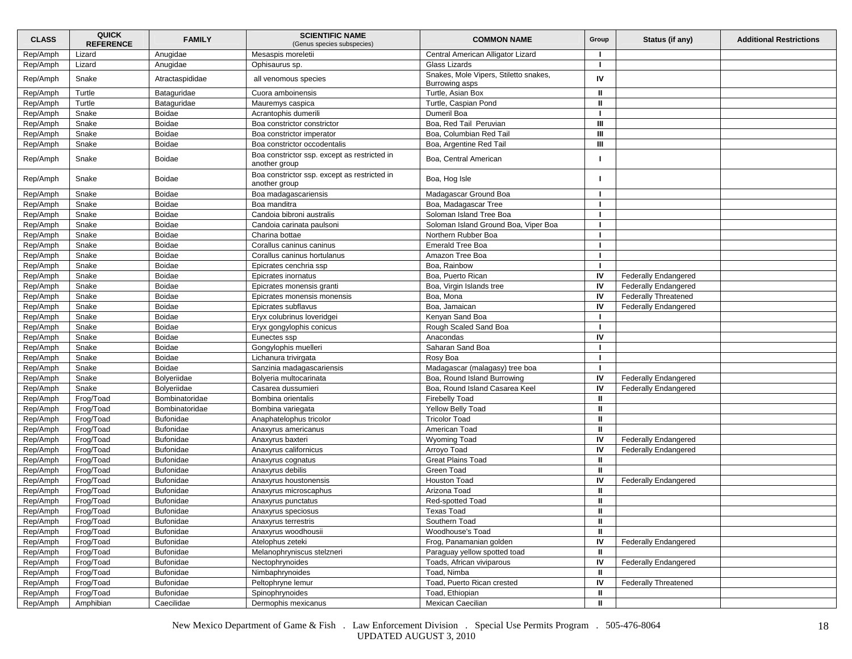| <b>CLASS</b> | <b>QUICK</b><br><b>REFERENCE</b> | <b>FAMILY</b>    | <b>SCIENTIFIC NAME</b><br>(Genus species subspecies)          | <b>COMMON NAME</b>                                      | Group        | Status (if any)             | <b>Additional Restrictions</b> |
|--------------|----------------------------------|------------------|---------------------------------------------------------------|---------------------------------------------------------|--------------|-----------------------------|--------------------------------|
| Rep/Amph     | Lizard                           | Anugidae         | Mesaspis moreletii                                            | Central American Alligator Lizard                       |              |                             |                                |
| Rep/Amph     | Lizard                           | Anugidae         | Ophisaurus sp.                                                | Glass Lizards                                           | -1           |                             |                                |
| Rep/Amph     | Snake                            | Atractaspididae  | all venomous species                                          | Snakes, Mole Vipers, Stiletto snakes,<br>Burrowing asps | IV           |                             |                                |
| Rep/Amph     | Turtle                           | Bataguridae      | Cuora amboinensis                                             | Turtle, Asian Box                                       | ш            |                             |                                |
| Rep/Amph     | Turtle                           | Bataguridae      | Mauremys caspica                                              | Turtle, Caspian Pond                                    | Ш            |                             |                                |
| Rep/Amph     | Snake                            | <b>Boidae</b>    | Acrantophis dumerili                                          | Dumeril Boa                                             |              |                             |                                |
| Rep/Amph     | Snake                            | <b>Boidae</b>    | Boa constrictor constrictor                                   | Boa, Red Tail Peruvian                                  | Ш            |                             |                                |
| Rep/Amph     | Snake                            | <b>Boidae</b>    | Boa constrictor imperator                                     | Boa, Columbian Red Tail                                 | Ш            |                             |                                |
| Rep/Amph     | Snake                            | <b>Boidae</b>    | Boa constrictor occodentalis                                  | Boa, Argentine Red Tail                                 | Ш            |                             |                                |
| Rep/Amph     | Snake                            | Boidae           | Boa constrictor ssp. except as restricted in<br>another group | Boa, Central American                                   |              |                             |                                |
| Rep/Amph     | Snake                            | <b>Boidae</b>    | Boa constrictor ssp. except as restricted in<br>another group | Boa, Hog Isle                                           |              |                             |                                |
| Rep/Amph     | Snake                            | <b>Boidae</b>    | Boa madagascariensis                                          | Madagascar Ground Boa                                   |              |                             |                                |
| Rep/Amph     | Snake                            | <b>Boidae</b>    | Boa manditra                                                  | Boa, Madagascar Tree                                    |              |                             |                                |
| Rep/Amph     | Snake                            | <b>Boidae</b>    | Candoia bibroni australis                                     | Soloman Island Tree Boa                                 | -1           |                             |                                |
| Rep/Amph     | Snake                            | <b>Boidae</b>    | Candoia carinata paulsoni                                     | Soloman Island Ground Boa, Viper Boa                    |              |                             |                                |
| Rep/Amph     | Snake                            | <b>Boidae</b>    | Charina bottae                                                | Northern Rubber Boa                                     |              |                             |                                |
| Rep/Amph     | Snake                            | Boidae           | Corallus caninus caninus                                      | <b>Emerald Tree Boa</b>                                 |              |                             |                                |
| Rep/Amph     | Snake                            | <b>Boidae</b>    | Corallus caninus hortulanus                                   | Amazon Tree Boa                                         |              |                             |                                |
| Rep/Amph     | Snake                            | <b>Boidae</b>    | Epicrates cenchria ssp                                        | Boa. Rainbow                                            |              |                             |                                |
| Rep/Amph     | Snake                            | <b>Boidae</b>    | Epicrates inornatus                                           | Boa, Puerto Rican                                       | IV           | <b>Federally Endangered</b> |                                |
| Rep/Amph     | Snake                            | <b>Boidae</b>    | Epicrates monensis granti                                     | Boa, Virgin Islands tree                                | IV           | <b>Federally Endangered</b> |                                |
| Rep/Amph     | Snake                            | <b>Boidae</b>    | Epicrates monensis monensis                                   | Boa, Mona                                               | IV           | <b>Federally Threatened</b> |                                |
| Rep/Amph     | Snake                            | <b>Boidae</b>    | Epicrates subflavus                                           | Boa, Jamaican                                           | IV           | <b>Federally Endangered</b> |                                |
| Rep/Amph     | Snake                            | Boidae           | Eryx colubrinus loveridgei                                    | Kenyan Sand Boa                                         |              |                             |                                |
| Rep/Amph     | Snake                            | <b>Boidae</b>    | Eryx gongylophis conicus                                      | Rough Scaled Sand Boa                                   |              |                             |                                |
| Rep/Amph     | Snake                            | <b>Boidae</b>    | Eunectes ssp                                                  | Anacondas                                               | IV           |                             |                                |
| Rep/Amph     | Snake                            | <b>Boidae</b>    | Gongylophis muelleri                                          | Saharan Sand Boa                                        |              |                             |                                |
| Rep/Amph     | Snake                            | Boidae           | Lichanura trivirgata                                          | Rosy Boa                                                |              |                             |                                |
| Rep/Amph     | Snake                            | <b>Boidae</b>    | Sanzinia madagascariensis                                     | Madagascar (malagasy) tree boa                          |              |                             |                                |
| Rep/Amph     | Snake                            | Bolyeriidae      | Bolyeria multocarinata                                        | Boa, Round Island Burrowing                             | IV           | Federally Endangered        |                                |
| Rep/Amph     | Snake                            | Bolveriidae      | Casarea dussumieri                                            | Boa, Round Island Casarea Keel                          | IV           | <b>Federally Endangered</b> |                                |
| Rep/Amph     | Frog/Toad                        | Bombinatoridae   | Bombina orientalis                                            | <b>Firebelly Toad</b>                                   | ш            |                             |                                |
| Rep/Amph     | Frog/Toad                        | Bombinatoridae   | Bombina variegata                                             | Yellow Belly Toad                                       | ш            |                             |                                |
| Rep/Amph     | Frog/Toad                        | Bufonidae        | Anaphatelophus tricolor                                       | <b>Tricolor Toad</b>                                    | $\mathbf{u}$ |                             |                                |
| Rep/Amph     | Frog/Toad                        | Bufonidae        | Anaxyrus americanus                                           | American Toad                                           | ш            |                             |                                |
| Rep/Amph     | Frog/Toad                        | <b>Bufonidae</b> | Anaxyrus baxteri                                              | <b>Wyoming Toad</b>                                     | IV           | <b>Federally Endangered</b> |                                |
| Rep/Amph     | Frog/Toad                        | <b>Bufonidae</b> | Anaxyrus californicus                                         | Arroyo Toad                                             | IV           | <b>Federally Endangered</b> |                                |
| Rep/Amph     | Frog/Toad                        | <b>Bufonidae</b> |                                                               | <b>Great Plains Toad</b>                                | ш            |                             |                                |
| Rep/Amph     | Frog/Toad                        | <b>Bufonidae</b> | Anaxyrus cognatus<br>Anaxyrus debilis                         | Green Toad                                              | ш            |                             |                                |
| Rep/Amph     | Frog/Toad                        | Bufonidae        | Anaxyrus houstonensis                                         | Houston Toad                                            | IV           |                             |                                |
| Rep/Amph     |                                  | Bufonidae        |                                                               | Arizona Toad                                            | ш            | <b>Federally Endangered</b> |                                |
|              | Frog/Toad                        |                  | Anaxyrus microscaphus                                         |                                                         |              |                             |                                |
| Rep/Amph     | Frog/Toad                        | <b>Bufonidae</b> | Anaxyrus punctatus                                            | Red-spotted Toad                                        | ш            |                             |                                |
| Rep/Amph     | Frog/Toad                        | Bufonidae        | Anaxyrus speciosus                                            | <b>Texas Toad</b>                                       | Ш            |                             |                                |
| Rep/Amph     | Frog/Toad                        | <b>Bufonidae</b> | Anaxyrus terrestris                                           | Southern Toad                                           | $\mathbf{I}$ |                             |                                |
| Rep/Amph     | Frog/Toad                        | Bufonidae        | Anaxyrus woodhousii                                           | Woodhouse's Toad                                        | $\mathbf{I}$ |                             |                                |
| Rep/Amph     | Frog/Toad                        | Bufonidae        | Atelophus zeteki                                              | Frog, Panamanian golden                                 | IV           | <b>Federally Endangered</b> |                                |
| Rep/Amph     | Frog/Toad                        | Bufonidae        | Melanophryniscus stelzneri                                    | Paraguay yellow spotted toad                            | ш            |                             |                                |
| Rep/Amph     | Frog/Toad                        | Bufonidae        | Nectophrynoides                                               | Toads, African viviparous                               | IV           | <b>Federally Endangered</b> |                                |
| Rep/Amph     | Frog/Toad                        | <b>Bufonidae</b> | Nimbaphrynoides                                               | Toad, Nimba                                             | ш            |                             |                                |
| Rep/Amph     | Frog/Toad                        | Bufonidae        | Peltophryne lemur                                             | Toad, Puerto Rican crested                              | IV           | <b>Federally Threatened</b> |                                |
| Rep/Amph     | Frog/Toad                        | Bufonidae        | Spinophrynoides                                               | Toad, Ethiopian                                         | ш            |                             |                                |
| Rep/Amph     | Amphibian                        | Caecilidae       | Dermophis mexicanus                                           | Mexican Caecilian                                       | Ш            |                             |                                |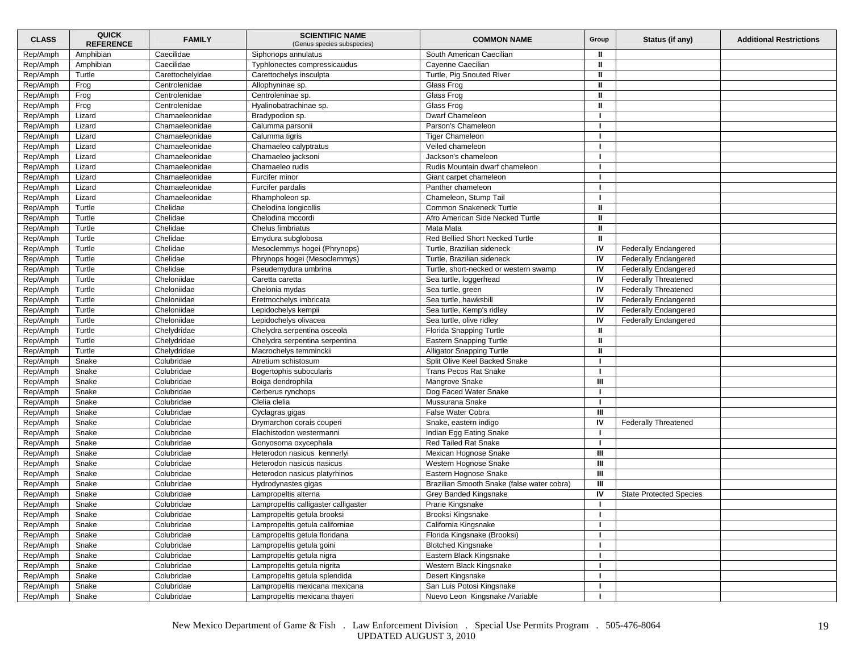| <b>CLASS</b> | <b>QUICK</b><br><b>REFERENCE</b> | <b>FAMILY</b>    | <b>SCIENTIFIC NAME</b><br>(Genus species subspecies) | <b>COMMON NAME</b>                         | Group          | Status (if any)                | <b>Additional Restrictions</b> |
|--------------|----------------------------------|------------------|------------------------------------------------------|--------------------------------------------|----------------|--------------------------------|--------------------------------|
| Rep/Amph     | Amphibian                        | Caecilidae       | Siphonops annulatus                                  | South American Caecilian                   | ш              |                                |                                |
| Rep/Amph     | Amphibian                        | Caecilidae       | Typhlonectes compressicaudus                         | Cayenne Caecilian                          | $\mathbf{u}$   |                                |                                |
| Rep/Amph     | Turtle                           | Carettochelyidae | Carettochelys insculpta                              | Turtle, Pig Snouted River                  | ш              |                                |                                |
| Rep/Amph     | Frog                             | Centrolenidae    | Allophyninae sp.                                     | Glass Frog                                 | ш              |                                |                                |
| Rep/Amph     | Frog                             | Centrolenidae    | Centroleninae sp.                                    | Glass Frog                                 | $\mathbf{u}$   |                                |                                |
| Rep/Amph     | Frog                             | Centrolenidae    | Hyalinobatrachinae sp.                               | Glass Frog                                 | ш              |                                |                                |
| Rep/Amph     | Lizard                           | Chamaeleonidae   | Bradypodion sp.                                      | Dwarf Chameleon                            |                |                                |                                |
| Rep/Amph     | Lizard                           | Chamaeleonidae   | Calumma parsonii                                     | Parson's Chameleon                         |                |                                |                                |
| Rep/Amph     | Lizard                           | Chamaeleonidae   | Calumma tigris                                       | <b>Tiger Chameleon</b>                     | -1             |                                |                                |
| Rep/Amph     | Lizard                           | Chamaeleonidae   | Chamaeleo calyptratus                                | Veiled chameleon                           |                |                                |                                |
| Rep/Amph     | Lizard                           | Chamaeleonidae   | Chamaeleo jacksoni                                   | Jackson's chameleon                        |                |                                |                                |
| Rep/Amph     | Lizard                           | Chamaeleonidae   | Chamaeleo rudis                                      | Rudis Mountain dwarf chameleon             |                |                                |                                |
| Rep/Amph     | Lizard                           | Chamaeleonidae   | Furcifer minor                                       | Giant carpet chameleon                     |                |                                |                                |
| Rep/Amph     | Lizard                           | Chamaeleonidae   | Furcifer pardalis                                    | Panther chameleon                          | -1             |                                |                                |
| Rep/Amph     | Lizard                           | Chamaeleonidae   | Rhampholeon sp.                                      | Chameleon, Stump Tail                      |                |                                |                                |
| Rep/Amph     | Turtle                           | Chelidae         | Chelodina longicollis                                | Common Snakeneck Turtle                    | ш              |                                |                                |
| Rep/Amph     | Turtle                           | Chelidae         | Chelodina mccordi                                    | Afro American Side Necked Turtle           | ш              |                                |                                |
| Rep/Amph     | Turtle                           | Chelidae         | Chelus fimbriatus                                    | Mata Mata                                  | ш              |                                |                                |
| Rep/Amph     | Turtle                           | Chelidae         | Emydura subglobosa                                   | Red Bellied Short Necked Turtle            | ш              |                                |                                |
| Rep/Amph     | Turtle                           | Chelidae         | Mesoclemmys hogei (Phrynops)                         | Turtle, Brazilian sideneck                 | IV             | <b>Federally Endangered</b>    |                                |
| Rep/Amph     | Turtle                           | Chelidae         | Phrynops hogei (Mesoclemmys)                         | Turtle, Brazilian sideneck                 | IV             | <b>Federally Endangered</b>    |                                |
| Rep/Amph     | Turtle                           | Chelidae         | Pseudemydura umbrina                                 | Turtle, short-necked or western swamp      | IV             | <b>Federally Endangered</b>    |                                |
| Rep/Amph     | Turtle                           | Cheloniidae      | Caretta caretta                                      | Sea turtle, loggerhead                     | IV             | <b>Federally Threatened</b>    |                                |
| Rep/Amph     | Turtle                           | Cheloniidae      | Chelonia mydas                                       | Sea turtle, green                          | IV             | <b>Federally Threatened</b>    |                                |
| Rep/Amph     | Turtle                           | Cheloniidae      | Eretmochelys imbricata                               | Sea turtle, hawksbill                      | IV             | <b>Federally Endangered</b>    |                                |
| Rep/Amph     | Turtle                           | Cheloniidae      | Lepidochelys kempii                                  | Sea turtle, Kemp's ridley                  | IV             | <b>Federally Endangered</b>    |                                |
| Rep/Amph     | Turtle                           | Cheloniidae      | Lepidochelys olivacea                                | Sea turtle, olive ridley                   | IV             | <b>Federally Endangered</b>    |                                |
| Rep/Amph     | Turtle                           | Chelvdridae      | Chelydra serpentina osceola                          | <b>Florida Snapping Turtle</b>             | ш              |                                |                                |
| Rep/Amph     | Turtle                           | Chelydridae      | Chelydra serpentina serpentina                       | <b>Eastern Snapping Turtle</b>             | $\mathbf{u}$   |                                |                                |
| Rep/Amph     | Turtle                           | Chelydridae      | Macrochelys temminckii                               | <b>Alligator Snapping Turtle</b>           | $\mathbf{u}$   |                                |                                |
| Rep/Amph     | Snake                            | Colubridae       | Atretium schistosum                                  | Split Olive Keel Backed Snake              |                |                                |                                |
| Rep/Amph     | Snake                            | Colubridae       | Bogertophis subocularis                              | <b>Trans Pecos Rat Snake</b>               | -1             |                                |                                |
| Rep/Amph     | Snake                            | Colubridae       | Boiga dendrophila                                    | Mangrove Snake                             | Ш              |                                |                                |
| Rep/Amph     | Snake                            | Colubridae       | Cerberus rynchops                                    | Dog Faced Water Snake                      | -1             |                                |                                |
| Rep/Amph     | Snake                            | Colubridae       | Clelia clelia                                        | Mussurana Snake                            |                |                                |                                |
| Rep/Amph     | Snake                            | Colubridae       | Cyclagras gigas                                      | False Water Cobra                          | Ш              |                                |                                |
| Rep/Amph     | Snake                            | Colubridae       | Drymarchon corais couperi                            | Snake, eastern indigo                      | IV             | <b>Federally Threatened</b>    |                                |
| Rep/Amph     | Snake                            | Colubridae       | Elachistodon westermanni                             | Indian Egg Eating Snake                    |                |                                |                                |
| Rep/Amph     | Snake                            | Colubridae       | Gonyosoma oxycephala                                 | <b>Red Tailed Rat Snake</b>                | -1             |                                |                                |
| Rep/Amph     | Snake                            | Colubridae       | Heterodon nasicus kennerlyi                          | Mexican Hognose Snake                      | Ш              |                                |                                |
| Rep/Amph     | Snake                            | Colubridae       | Heterodon nasicus nasicus                            | Western Hognose Snake                      | Ш              |                                |                                |
| Rep/Amph     | Snake                            | Colubridae       | Heterodon nasicus platyrhinos                        | Eastern Hognose Snake                      | Ш              |                                |                                |
| Rep/Amph     | Snake                            | Colubridae       | Hydrodynastes gigas                                  | Brazilian Smooth Snake (false water cobra) | Ш              |                                |                                |
| Rep/Amph     | Snake                            | Colubridae       | Lampropeltis alterna                                 | Grey Banded Kingsnake                      | IV             | <b>State Protected Species</b> |                                |
| Rep/Amph     | Snake                            | Colubridae       | Lampropeltis calligaster calligaster                 | Prarie Kingsnake                           | -1             |                                |                                |
| Rep/Amph     | Snake                            | Colubridae       | Lampropeltis getula brooksi                          | Brooksi Kingsnake                          |                |                                |                                |
| Rep/Amph     | Snake                            | Colubridae       | Lampropeltis getula californiae                      | California Kingsnake                       |                |                                |                                |
| Rep/Amph     | Snake                            | Colubridae       | Lampropeltis getula floridana                        | Florida Kingsnake (Brooksi)                |                |                                |                                |
| Rep/Amph     | Snake                            | Colubridae       | Lampropeltis getula goini                            | <b>Blotched Kingsnake</b>                  |                |                                |                                |
| Rep/Amph     | Snake                            | Colubridae       | Lampropeltis getula nigra                            | Eastern Black Kingsnake                    | $\blacksquare$ |                                |                                |
| Rep/Amph     | Snake                            | Colubridae       | Lampropeltis getula nigrita                          | Western Black Kingsnake                    | п              |                                |                                |
| Rep/Amph     | Snake                            | Colubridae       | Lampropeltis getula splendida                        | Desert Kingsnake                           | -1             |                                |                                |
|              | Snake                            | Colubridae       | Lampropeltis mexicana mexicana                       | San Luis Potosi Kingsnake                  |                |                                |                                |
| Rep/Amph     |                                  |                  |                                                      | Nuevo Leon Kingsnake /Variable             |                |                                |                                |
| Rep/Amph     | Snake                            | Colubridae       | Lampropeltis mexicana thayeri                        |                                            |                |                                |                                |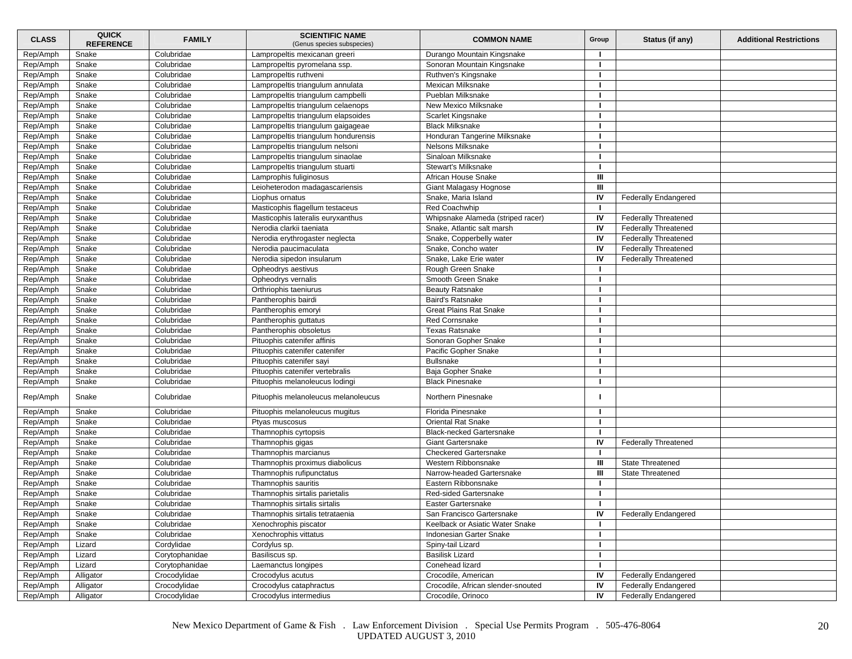| <b>CLASS</b>         | <b>QUICK</b><br><b>REFERENCE</b> | <b>FAMILY</b>            | <b>SCIENTIFIC NAME</b><br>(Genus species subspecies) | <b>COMMON NAME</b>                 | Group        | Status (if any)             | <b>Additional Restrictions</b> |
|----------------------|----------------------------------|--------------------------|------------------------------------------------------|------------------------------------|--------------|-----------------------------|--------------------------------|
| Rep/Amph             | Snake                            | Colubridae               | Lampropeltis mexicanan greeri                        | Durango Mountain Kingsnake         |              |                             |                                |
| Rep/Amph             | Snake                            | Colubridae               | Lampropeltis pyromelana ssp.                         | Sonoran Mountain Kingsnake         | -1           |                             |                                |
| Rep/Amph             | Snake                            | Colubridae               | Lampropeltis ruthveni                                | Ruthven's Kingsnake                | л.           |                             |                                |
| Rep/Amph             | Snake                            | Colubridae               | Lampropeltis triangulum annulata                     | Mexican Milksnake                  | $\mathbf{I}$ |                             |                                |
| Rep/Amph             | Snake                            | Colubridae               | Lampropeltis triangulum campbelli                    | Pueblan Milksnake                  |              |                             |                                |
| Rep/Amph             | Snake                            | Colubridae               | Lampropeltis triangulum celaenops                    | New Mexico Milksnake               |              |                             |                                |
| Rep/Amph             | Snake                            | Colubridae               | Lampropeltis triangulum elapsoides                   | Scarlet Kingsnake                  |              |                             |                                |
| Rep/Amph             | Snake                            | Colubridae               | Lampropeltis triangulum gaigageae                    | <b>Black Milksnake</b>             |              |                             |                                |
| Rep/Amph             | Snake                            | Colubridae               | Lampropeltis triangulum hondurensis                  | Honduran Tangerine Milksnake       | -1           |                             |                                |
| Rep/Amph             | Snake                            | Colubridae               | Lampropeltis triangulum nelsoni                      | Nelsons Milksnake                  |              |                             |                                |
| Rep/Amph             | Snake                            | Colubridae               | Lampropeltis triangulum sinaolae                     | Sinaloan Milksnake                 |              |                             |                                |
| Rep/Amph             | Snake                            | Colubridae               | Lampropeltis triangulum stuarti                      | <b>Stewart's Milksnake</b>         |              |                             |                                |
| Rep/Amph             | Snake                            | Colubridae               | Lamprophis fuliginosus                               | African House Snake                | Ш            |                             |                                |
| Rep/Amph             | Snake                            | Colubridae               | Leioheterodon madagascariensis                       | Giant Malagasy Hognose             | Ш            |                             |                                |
| Rep/Amph             | Snake                            | Colubridae               | Liophus ornatus                                      | Snake, Maria Island                | IV           | <b>Federally Endangered</b> |                                |
| Rep/Amph             | Snake                            | Colubridae               | Masticophis flagellum testaceus                      | <b>Red Coachwhip</b>               |              |                             |                                |
| Rep/Amph             | Snake                            | Colubridae               | Masticophis lateralis euryxanthus                    | Whipsnake Alameda (striped racer)  | IV           | <b>Federally Threatened</b> |                                |
| Rep/Amph             | Snake                            | Colubridae               | Nerodia clarkii taeniata                             | Snake, Atlantic salt marsh         | IV           | <b>Federally Threatened</b> |                                |
| Rep/Amph             | Snake                            | Colubridae               | Nerodia erythrogaster neglecta                       | Snake, Copperbelly water           | IV           | <b>Federally Threatened</b> |                                |
| Rep/Amph             | Snake                            | Colubridae               | Nerodia paucimaculata                                | Snake, Concho water                | IV           | <b>Federally Threatened</b> |                                |
| Rep/Amph             | Snake                            | Colubridae               | Nerodia sipedon insularum                            | Snake, Lake Erie water             | IV           | <b>Federally Threatened</b> |                                |
| Rep/Amph             | Snake                            | Colubridae               | Opheodrys aestivus                                   | Rough Green Snake                  | $\mathbf{I}$ |                             |                                |
| Rep/Amph             | Snake                            | Colubridae               | Opheodrys vernalis                                   | Smooth Green Snake                 |              |                             |                                |
| Rep/Amph             | Snake                            | Colubridae               | Orthriophis taeniurus                                | <b>Beauty Ratsnake</b>             |              |                             |                                |
| Rep/Amph             | Snake                            | Colubridae               | Pantherophis bairdi                                  | Baird's Ratsnake                   |              |                             |                                |
| Rep/Amph             | Snake                            | Colubridae               | Pantherophis emoryi                                  | <b>Great Plains Rat Snake</b>      | -1           |                             |                                |
| Rep/Amph             | Snake                            | Colubridae               | Pantherophis guttatus                                | Red Cornsnake                      |              |                             |                                |
| Rep/Amph             | Snake                            | Colubridae               | Pantherophis obsoletus                               | Texas Ratsnake                     | $\mathbf{I}$ |                             |                                |
| Rep/Amph             | Snake                            | Colubridae               | Pituophis catenifer affinis                          | Sonoran Gopher Snake               |              |                             |                                |
| Rep/Amph             | Snake                            | Colubridae               | Pituophis catenifer catenifer                        | Pacific Gopher Snake               |              |                             |                                |
| Rep/Amph             | Snake                            | Colubridae               | Pituophis catenifer sayi                             | <b>Bullsnake</b>                   |              |                             |                                |
| Rep/Amph             | Snake                            | Colubridae               | Pituophis catenifer vertebralis                      | Baja Gopher Snake                  | -1           |                             |                                |
| Rep/Amph             | Snake                            | Colubridae               | Pituophis melanoleucus lodingi                       | <b>Black Pinesnake</b>             | п.           |                             |                                |
| Rep/Amph             | Snake                            | Colubridae               | Pituophis melanoleucus melanoleucus                  | Northern Pinesnake                 |              |                             |                                |
| Rep/Amph             | Snake                            | Colubridae               |                                                      | Florida Pinesnake                  |              |                             |                                |
| Rep/Amph             | Snake                            | Colubridae               | Pituophis melanoleucus mugitus<br>Ptyas muscosus     | <b>Oriental Rat Snake</b>          |              |                             |                                |
| Rep/Amph             | Snake                            | Colubridae               | Thamnophis cyrtopsis                                 | <b>Black-necked Gartersnake</b>    |              |                             |                                |
|                      |                                  |                          |                                                      | <b>Giant Gartersnake</b>           | IV           |                             |                                |
| Rep/Amph             | Snake<br>Snake                   | Colubridae<br>Colubridae | Thamnophis gigas                                     | <b>Checkered Gartersnake</b>       | $\mathbf{I}$ | <b>Federally Threatened</b> |                                |
| Rep/Amph<br>Rep/Amph | Snake                            | Colubridae               | Thamnophis marcianus                                 | Western Ribbonsnake                | Ш            | State Threatened            |                                |
|                      |                                  |                          | Thamnophis proximus diabolicus                       |                                    | Ш            |                             |                                |
| Rep/Amph             | Snake                            | Colubridae               | Thamnophis rufipunctatus                             | Narrow-headed Gartersnake          |              | State Threatened            |                                |
| Rep/Amph             | Snake                            | Colubridae               | Thamnophis sauritis                                  | Eastern Ribbonsnake                |              |                             |                                |
| Rep/Amph             | Snake                            | Colubridae               | Thamnophis sirtalis parietalis                       | Red-sided Gartersnake              |              |                             |                                |
| Rep/Amph             | Snake                            | Colubridae               | Thamnophis sirtalis sirtalis                         | Easter Gartersnake                 |              |                             |                                |
| Rep/Amph             | Snake                            | Colubridae               | Thamnophis sirtalis tetrataenia                      | San Francisco Gartersnake          | IV           | <b>Federally Endangered</b> |                                |
| Rep/Amph             | Snake                            | Colubridae               | Xenochrophis piscator                                | Keelback or Asiatic Water Snake    | $\mathbf{I}$ |                             |                                |
| Rep/Amph             | Snake                            | Colubridae               | Xenochrophis vittatus                                | Indonesian Garter Snake            |              |                             |                                |
| Rep/Amph             | Lizard                           | Cordylidae               | Cordylus sp.                                         | Spiny-tail Lizard                  | т            |                             |                                |
| Rep/Amph             | Lizard                           | Corytophanidae           | Basiliscus sp.                                       | <b>Basilisk Lizard</b>             | п.           |                             |                                |
| Rep/Amph             | Lizard                           | Corytophanidae           | Laemanctus longipes                                  | Conehead lizard                    | $\mathbf{I}$ |                             |                                |
| Rep/Amph             | Alligator                        | Crocodylidae             | Crocodylus acutus                                    | Crocodile, American                | IV           | <b>Federally Endangered</b> |                                |
| Rep/Amph             | Alligator                        | Crocodylidae             | Crocodylus cataphractus                              | Crocodile, African slender-snouted | IV           | <b>Federally Endangered</b> |                                |
| Rep/Amph             | Alligator                        | Crocodylidae             | Crocodylus intermedius                               | Crocodile, Orinoco                 | IV           | Federally Endangered        |                                |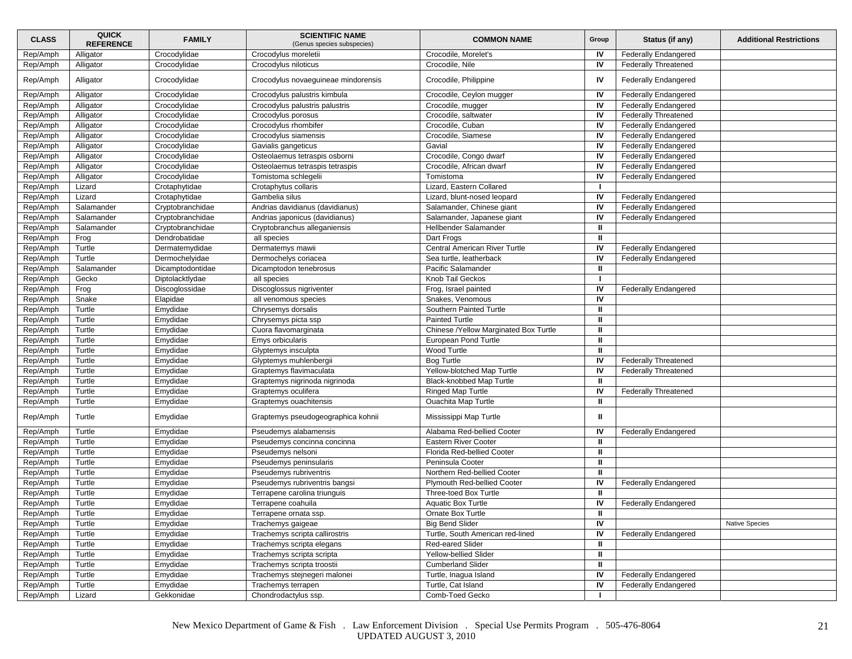| <b>CLASS</b> | <b>QUICK</b><br><b>REFERENCE</b> | <b>FAMILY</b>    | <b>SCIENTIFIC NAME</b><br>(Genus species subspecies) | <b>COMMON NAME</b>                    | Group        | Status (if any)             | <b>Additional Restrictions</b> |
|--------------|----------------------------------|------------------|------------------------------------------------------|---------------------------------------|--------------|-----------------------------|--------------------------------|
| Rep/Amph     | Alligator                        | Crocodylidae     | Crocodylus moreletii                                 | Crocodile, Morelet's                  | IV           | <b>Federally Endangered</b> |                                |
| Rep/Amph     | Alligator                        | Crocodylidae     | Crocodylus niloticus                                 | Crocodile, Nile                       | IV           | <b>Federally Threatened</b> |                                |
| Rep/Amph     | Alligator                        | Crocodylidae     | Crocodylus novaeguineae mindorensis                  | Crocodile, Philippine                 | IV           | <b>Federally Endangered</b> |                                |
| Rep/Amph     | Alligator                        | Crocodylidae     | Crocodylus palustris kimbula                         | Crocodile, Ceylon mugger              | IV           | <b>Federally Endangered</b> |                                |
| Rep/Amph     | Alligator                        | Crocodylidae     | Crocodylus palustris palustris                       | Crocodile, mugger                     | IV           | <b>Federally Endangered</b> |                                |
| Rep/Amph     | Alligator                        | Crocodylidae     | Crocodylus porosus                                   | Crocodile, saltwater                  | IV           | <b>Federally Threatened</b> |                                |
| Rep/Amph     | Alligator                        | Crocodylidae     | Crocodylus rhombifer                                 | Crocodile, Cuban                      | IV           | <b>Federally Endangered</b> |                                |
| Rep/Amph     | Alligator                        | Crocodylidae     | Crocodylus siamensis                                 | Crocodile, Siamese                    | IV           | <b>Federally Endangered</b> |                                |
| Rep/Amph     | Alligator                        | Crocodylidae     | Gavialis gangeticus                                  | Gavial                                | IV           | <b>Federally Endangered</b> |                                |
| Rep/Amph     | Alligator                        | Crocodylidae     | Osteolaemus tetraspis osborni                        | Crocodile, Congo dwarf                | IV           | Federally Endangered        |                                |
| Rep/Amph     | Alligator                        | Crocodylidae     | Osteolaemus tetraspis tetraspis                      | Crocodile, African dwarf              | IV           | <b>Federally Endangered</b> |                                |
| Rep/Amph     | Alligator                        | Crocodylidae     | Tomistoma schlegelii                                 | Tomistoma                             | IV           | <b>Federally Endangered</b> |                                |
| Rep/Amph     | Lizard                           | Crotaphytidae    | Crotaphytus collaris                                 | Lizard, Eastern Collared              |              |                             |                                |
| Rep/Amph     | Lizard                           | Crotaphytidae    | Gambelia silus                                       | Lizard, blunt-nosed leopard           | IV           | <b>Federally Endangered</b> |                                |
| Rep/Amph     | Salamander                       | Cryptobranchidae | Andrias davidianus (davidianus)                      | Salamander, Chinese giant             | IV           | <b>Federally Endangered</b> |                                |
| Rep/Amph     | Salamander                       | Cryptobranchidae | Andrias japonicus (davidianus)                       | Salamander, Japanese giant            | IV           | Federally Endangered        |                                |
| Rep/Amph     | Salamander                       | Cryptobranchidae | Cryptobranchus alleganiensis                         | Hellbender Salamander                 | $\mathbf{u}$ |                             |                                |
| Rep/Amph     | Frog                             | Dendrobatidae    | all species                                          | Dart Frogs                            | $\mathbf{I}$ |                             |                                |
| Rep/Amph     | Turtle                           | Dermatemydidae   | Dermatemys mawii                                     | Central American River Turtle         | IV           | <b>Federally Endangered</b> |                                |
| Rep/Amph     | Turtle                           | Dermochelyidae   | Dermochelys coriacea                                 | Sea turtle, leatherback               | IV           | <b>Federally Endangered</b> |                                |
| Rep/Amph     | Salamander                       | Dicamptodontidae | Dicamptodon tenebrosus                               | Pacific Salamander                    | ш            |                             |                                |
| Rep/Amph     | Gecko                            | Diptolacktlydae  | all species                                          | Knob Tail Geckos                      | -1           |                             |                                |
| Rep/Amph     | Frog                             | Discoglossidae   | Discoglossus nigriventer                             | Frog, Israel painted                  | IV           | <b>Federally Endangered</b> |                                |
| Rep/Amph     | Snake                            | Elapidae         | all venomous species                                 | Snakes, Venomous                      | IV           |                             |                                |
| Rep/Amph     | Turtle                           | Emydidae         | Chrysemys dorsalis                                   | Southern Painted Turtle               | ш            |                             |                                |
| Rep/Amph     | Turtle                           | Emydidae         | Chrysemys picta ssp                                  | <b>Painted Turtle</b>                 | ш            |                             |                                |
| Rep/Amph     | Turtle                           | Emydidae         | Cuora flavomarginata                                 | Chinese /Yellow Marginated Box Turtle | $\mathbf{u}$ |                             |                                |
| Rep/Amph     | Turtle                           | Emydidae         | Emys orbicularis                                     | <b>European Pond Turtle</b>           | Ш            |                             |                                |
| Rep/Amph     | Turtle                           | Emydidae         | Glyptemys insculpta                                  | Wood Turtle                           | $\mathbf{u}$ |                             |                                |
| Rep/Amph     | Turtle                           | Emydidae         | Glyptemys muhlenbergii                               | Bog Turtle                            | IV           | <b>Federally Threatened</b> |                                |
| Rep/Amph     | Turtle                           | Emydidae         | Graptemys flavimaculata                              | Yellow-blotched Map Turtle            | IV           | <b>Federally Threatened</b> |                                |
| Rep/Amph     | Turtle                           | Emydidae         | Graptemys nigrinoda nigrinoda                        | Black-knobbed Map Turtle              | ш            |                             |                                |
| Rep/Amph     | Turtle                           | Emydidae         | Graptemys oculifera                                  | <b>Ringed Map Turtle</b>              | IV           | <b>Federally Threatened</b> |                                |
| Rep/Amph     | Turtle                           | Emydidae         | Graptemys ouachitensis                               | <b>Ouachita Map Turtle</b>            | ш            |                             |                                |
|              |                                  |                  |                                                      |                                       |              |                             |                                |
| Rep/Amph     | Turtle                           | Emydidae         | Graptemys pseudogeographica kohnii                   | Mississippi Map Turtle                | ш            |                             |                                |
| Rep/Amph     | Turtle                           | Emydidae         | Pseudemys alabamensis                                | Alabama Red-bellied Cooter            | IV           | <b>Federally Endangered</b> |                                |
| Rep/Amph     | Turtle                           | Emydidae         | Pseudemys concinna concinna                          | <b>Eastern River Cooter</b>           | Ш            |                             |                                |
| Rep/Amph     | Turtle                           | Emydidae         | Pseudemys nelsoni                                    | Florida Red-bellied Cooter            | $\mathbf{u}$ |                             |                                |
| Rep/Amph     | Turtle                           | Emydidae         | Pseudemys peninsularis                               | Peninsula Cooter                      | ш            |                             |                                |
| Rep/Amph     | Turtle                           | Emydidae         | Pseudemys rubriventris                               | Northern Red-bellied Cooter           | ш            |                             |                                |
| Rep/Amph     | Turtle                           | Emydidae         | Pseudemys rubriventris bangsi                        | Plymouth Red-bellied Cooter           | IV           | <b>Federally Endangered</b> |                                |
| Rep/Amph     | Turtle                           | Emydidae         | Terrapene carolina triunguis                         | Three-toed Box Turtle                 | ш            |                             |                                |
| Rep/Amph     | Turtle                           | Emydidae         | Terrapene coahuila                                   | <b>Aquatic Box Turtle</b>             | IV           | <b>Federally Endangered</b> |                                |
| Rep/Amph     | Turtle                           | Emydidae         | Terrapene ornata ssp.                                | Ornate Box Turtle                     | Ш.           |                             |                                |
| Rep/Amph     | Turtle                           | Emydidae         | Trachemys gaigeae                                    | <b>Big Bend Slider</b>                | IV           |                             | Native Species                 |
| Rep/Amph     | Turtle                           | Emydidae         | Trachemys scripta callirostris                       | Turtle, South American red-lined      | IV           | Federally Endangered        |                                |
| Rep/Amph     | Turtle                           | Emydidae         | Trachemys scripta elegans                            | Red-eared Slider                      | $\mathbf{u}$ |                             |                                |
| Rep/Amph     | Turtle                           | Emydidae         | Trachemys scripta scripta                            | Yellow-bellied Slider                 | $\mathbf{u}$ |                             |                                |
| Rep/Amph     | Turtle                           | Emydidae         | Trachemys scripta troostii                           | <b>Cumberland Slider</b>              | Ш.           |                             |                                |
| Rep/Amph     | Turtle                           | Emydidae         | Trachemys stejnegeri malonei                         | Turtle, Inagua Island                 | IV           | <b>Federally Endangered</b> |                                |
| Rep/Amph     | Turtle                           | Emydidae         | Trachemys terrapen                                   | Turtle, Cat Island                    | IV           | <b>Federally Endangered</b> |                                |
| Rep/Amph     | Lizard                           | Gekkonidae       | Chondrodactylus ssp.                                 | Comb-Toed Gecko                       |              |                             |                                |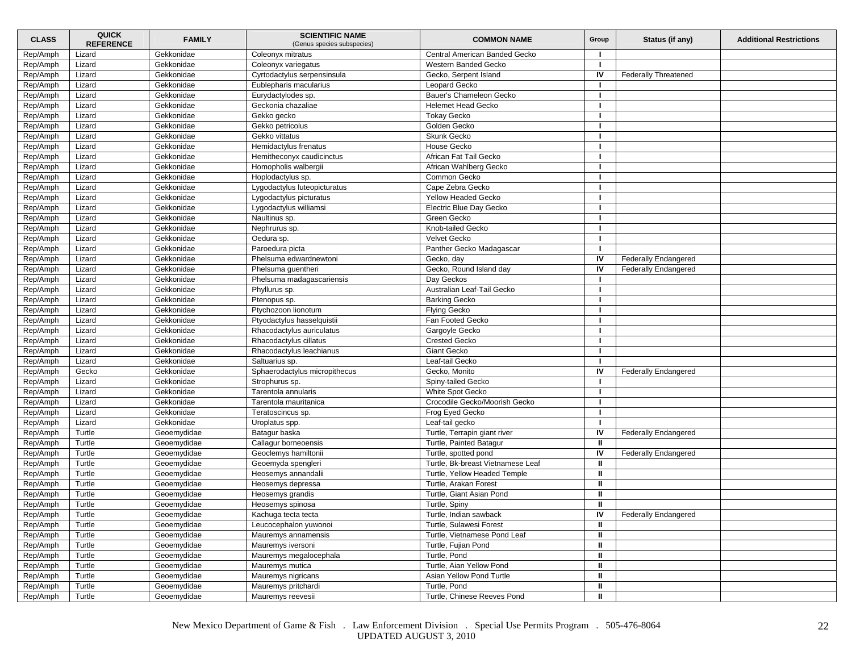| <b>CLASS</b> | <b>QUICK</b><br><b>REFERENCE</b> | <b>FAMILY</b> | <b>SCIENTIFIC NAME</b><br>(Genus species subspecies) | <b>COMMON NAME</b>                | Group        | Status (if any)             | <b>Additional Restrictions</b> |
|--------------|----------------------------------|---------------|------------------------------------------------------|-----------------------------------|--------------|-----------------------------|--------------------------------|
| Rep/Amph     | Lizard                           | Gekkonidae    | Coleonyx mitratus                                    | Central American Banded Gecko     |              |                             |                                |
| Rep/Amph     | Lizard                           | Gekkonidae    | Coleonyx variegatus                                  | Western Banded Gecko              |              |                             |                                |
| Rep/Amph     | Lizard                           | Gekkonidae    | Cyrtodactylus serpensinsula                          | Gecko, Serpent Island             | IV           | <b>Federally Threatened</b> |                                |
| Rep/Amph     | Lizard                           | Gekkonidae    | Eublepharis macularius                               | Leopard Gecko                     |              |                             |                                |
| Rep/Amph     | Lizard                           | Gekkonidae    | Eurydactylodes sp.                                   | Bauer's Chameleon Gecko           |              |                             |                                |
| Rep/Amph     | Lizard                           | Gekkonidae    | Geckonia chazaliae                                   | <b>Helemet Head Gecko</b>         |              |                             |                                |
| Rep/Amph     | Lizard                           | Gekkonidae    | Gekko gecko                                          | <b>Tokay Gecko</b>                |              |                             |                                |
| Rep/Amph     | Lizard                           | Gekkonidae    | Gekko petricolus                                     | Golden Gecko                      |              |                             |                                |
| Rep/Amph     | Lizard                           | Gekkonidae    | Gekko vittatus                                       | Skunk Gecko                       |              |                             |                                |
| Rep/Amph     | Lizard                           | Gekkonidae    | Hemidactylus frenatus                                | House Gecko                       |              |                             |                                |
| Rep/Amph     | Lizard                           | Gekkonidae    | Hemitheconyx caudicinctus                            | African Fat Tail Gecko            |              |                             |                                |
| Rep/Amph     | Lizard                           | Gekkonidae    | Homopholis walbergii                                 | African Wahlberg Gecko            |              |                             |                                |
| Rep/Amph     | Lizard                           | Gekkonidae    | Hoplodactylus sp.                                    | Common Gecko                      |              |                             |                                |
| Rep/Amph     | Lizard                           | Gekkonidae    | Lygodactylus luteopicturatus                         | Cape Zebra Gecko                  |              |                             |                                |
| Rep/Amph     | Lizard                           | Gekkonidae    | Lygodactylus picturatus                              | Yellow Headed Gecko               |              |                             |                                |
| Rep/Amph     | Lizard                           | Gekkonidae    | Lygodactylus williamsi                               | Electric Blue Day Gecko           |              |                             |                                |
| Rep/Amph     | Lizard                           | Gekkonidae    | Naultinus sp.                                        | Green Gecko                       |              |                             |                                |
| Rep/Amph     | Lizard                           | Gekkonidae    | Nephrurus sp.                                        | Knob-tailed Gecko                 |              |                             |                                |
| Rep/Amph     | Lizard                           | Gekkonidae    | Oedura sp.                                           | Velvet Gecko                      |              |                             |                                |
| Rep/Amph     | Lizard                           | Gekkonidae    | Paroedura picta                                      | Panther Gecko Madagascar          | -1           |                             |                                |
| Rep/Amph     | Lizard                           | Gekkonidae    | Phelsuma edwardnewtoni                               | Gecko, day                        | IV           | <b>Federally Endangered</b> |                                |
| Rep/Amph     | Lizard                           | Gekkonidae    | Phelsuma quentheri                                   | Gecko, Round Island day           | IV           | <b>Federally Endangered</b> |                                |
| Rep/Amph     | Lizard                           | Gekkonidae    | Phelsuma madagascariensis                            | Day Geckos                        |              |                             |                                |
| Rep/Amph     | Lizard                           | Gekkonidae    | Phyllurus sp.                                        | Australian Leaf-Tail Gecko        |              |                             |                                |
| Rep/Amph     | Lizard                           | Gekkonidae    | Ptenopus sp.                                         | <b>Barking Gecko</b>              |              |                             |                                |
| Rep/Amph     | Lizard                           | Gekkonidae    | Ptychozoon lionotum                                  | <b>Flying Gecko</b>               |              |                             |                                |
| Rep/Amph     | Lizard                           | Gekkonidae    |                                                      | Fan Footed Gecko                  |              |                             |                                |
|              |                                  | Gekkonidae    | Ptyodactylus hasselquistii                           |                                   |              |                             |                                |
| Rep/Amph     | Lizard<br>Lizard                 | Gekkonidae    | Rhacodactylus auriculatus<br>Rhacodactvlus cillatus  | Gargoyle Gecko                    |              |                             |                                |
| Rep/Amph     |                                  |               |                                                      | <b>Crested Gecko</b>              |              |                             |                                |
| Rep/Amph     | Lizard                           | Gekkonidae    | Rhacodactylus leachianus                             | Giant Gecko                       |              |                             |                                |
| Rep/Amph     | Lizard                           | Gekkonidae    | Saltuarius sp.                                       | Leaf-tail Gecko                   |              |                             |                                |
| Rep/Amph     | Gecko                            | Gekkonidae    | Sphaerodactylus micropithecus                        | Gecko, Monito                     | IV           | <b>Federally Endangered</b> |                                |
| Rep/Amph     | Lizard                           | Gekkonidae    | Strophurus sp.                                       | Spiny-tailed Gecko                |              |                             |                                |
| Rep/Amph     | Lizard                           | Gekkonidae    | Tarentola annularis                                  | White Spot Gecko                  |              |                             |                                |
| Rep/Amph     | Lizard                           | Gekkonidae    | Tarentola mauritanica                                | Crocodile Gecko/Moorish Gecko     |              |                             |                                |
| Rep/Amph     | Lizard                           | Gekkonidae    | Teratoscincus sp.                                    | Frog Eyed Gecko                   |              |                             |                                |
| Rep/Amph     | Lizard                           | Gekkonidae    | Uroplatus spp.                                       | Leaf-tail gecko                   |              |                             |                                |
| Rep/Amph     | Turtle                           | Geoemydidae   | Batagur baska                                        | Turtle, Terrapin giant river      | IV           | <b>Federally Endangered</b> |                                |
| Rep/Amph     | Turtle                           | Geoemydidae   | Callagur borneoensis                                 | Turtle, Painted Batagur           | ш            |                             |                                |
| Rep/Amph     | Turtle                           | Geoemydidae   | Geoclemys hamiltonii                                 | Turtle, spotted pond              | IV           | <b>Federally Endangered</b> |                                |
| Rep/Amph     | Turtle                           | Geoemydidae   | Geoemyda spengleri                                   | Turtle, Bk-breast Vietnamese Leaf | ш            |                             |                                |
| Rep/Amph     | Turtle                           | Geoemydidae   | Heosemys annandalii                                  | Turtle, Yellow Headed Temple      | ш            |                             |                                |
| Rep/Amph     | Turtle                           | Geoemydidae   | Heosemys depressa                                    | Turtle, Arakan Forest             | Ш            |                             |                                |
| Rep/Amph     | Turtle                           | Geoemydidae   | Heosemys grandis                                     | Turtle, Giant Asian Pond          | ш            |                             |                                |
| Rep/Amph     | Turtle                           | Geoemydidae   | Heosemys spinosa                                     | Turtle, Spiny                     | ш            |                             |                                |
| Rep/Amph     | Turtle                           | Geoemydidae   | Kachuga tecta tecta                                  | Turtle, Indian sawback            | IV           | <b>Federally Endangered</b> |                                |
| Rep/Amph     | Turtle                           | Geoemydidae   | Leucocephalon yuwonoi                                | Turtle, Sulawesi Forest           | ш            |                             |                                |
| Rep/Amph     | Turtle                           | Geoemydidae   | Mauremys annamensis                                  | Turtle, Vietnamese Pond Leaf      | ш            |                             |                                |
| Rep/Amph     | Turtle                           | Geoemydidae   | Mauremys iversoni                                    | Turtle, Fujian Pond               | ш            |                             |                                |
| Rep/Amph     | Turtle                           | Geoemydidae   | Mauremys megalocephala                               | Turtle, Pond                      | ш            |                             |                                |
| Rep/Amph     | Turtle                           | Geoemydidae   | Mauremys mutica                                      | Turtle, Aian Yellow Pond          | ш            |                             |                                |
| Rep/Amph     | Turtle                           | Geoemydidae   | Mauremys nigricans                                   | Asian Yellow Pond Turtle          | $\mathbf{u}$ |                             |                                |
| Rep/Amph     | Turtle                           | Geoemydidae   | Mauremys pritchardi                                  | Turtle, Pond                      | Ш            |                             |                                |
| Rep/Amph     | Turtle                           | Geoemydidae   | Mauremys reevesii                                    | Turtle, Chinese Reeves Pond       | Ш            |                             |                                |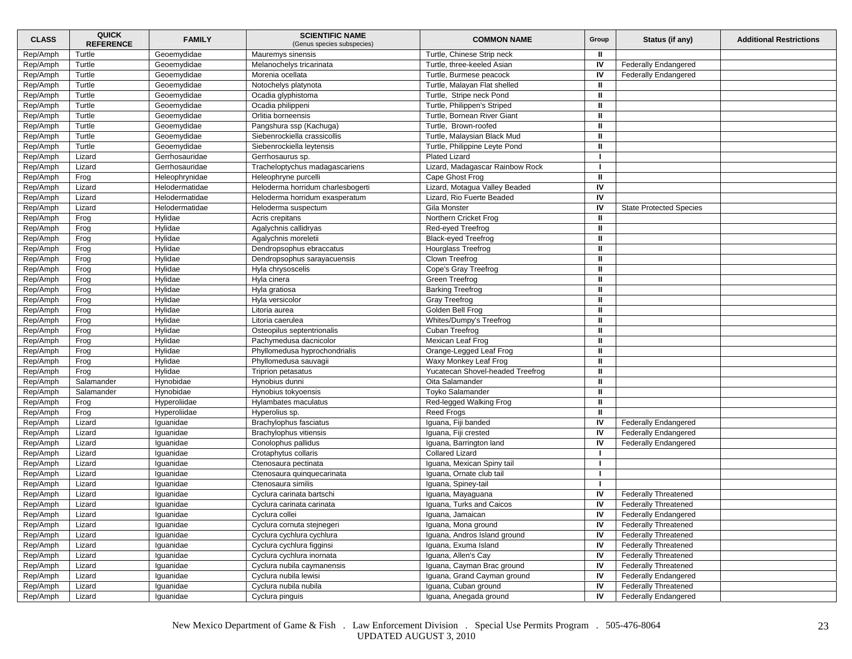| <b>CLASS</b>         | <b>QUICK</b><br><b>REFERENCE</b> | <b>FAMILY</b>      | <b>SCIENTIFIC NAME</b><br>(Genus species subspecies) | <b>COMMON NAME</b>                                  | Group        | Status (if any)                | <b>Additional Restrictions</b> |
|----------------------|----------------------------------|--------------------|------------------------------------------------------|-----------------------------------------------------|--------------|--------------------------------|--------------------------------|
| Rep/Amph             | Turtle                           | Geoemydidae        | Mauremys sinensis                                    | Turtle, Chinese Strip neck                          | Ш            |                                |                                |
| Rep/Amph             | Turtle                           | Geoemydidae        | Melanochelys tricarinata                             | Turtle, three-keeled Asian                          | IV           | <b>Federally Endangered</b>    |                                |
| Rep/Amph             | Turtle                           | Geoemydidae        | Morenia ocellata                                     | Turtle, Burmese peacock                             | IV           | <b>Federally Endangered</b>    |                                |
| Rep/Amph             | Turtle                           | Geoemydidae        | Notochelys platynota                                 | Turtle, Malayan Flat shelled                        | Ш            |                                |                                |
| Rep/Amph             | Turtle                           | Geoemydidae        | Ocadia glyphistoma                                   | Turtle, Stripe neck Pond                            | $\mathbf{u}$ |                                |                                |
| Rep/Amph             | Turtle                           | Geoemydidae        | Ocadia philippeni                                    | Turtle, Philippen's Striped                         | ш            |                                |                                |
| Rep/Amph             | Turtle                           | Geoemydidae        | Orlitia borneensis                                   | Turtle, Bornean River Giant                         | Ш            |                                |                                |
| Rep/Amph             | Turtle                           | Geoemydidae        | Pangshura ssp (Kachuga)                              | Turtle, Brown-roofed                                | ш            |                                |                                |
| Rep/Amph             | Turtle                           | Geoemydidae        | Siebenrockiella crassicollis                         | Turtle, Malaysian Black Mud                         | ш            |                                |                                |
| Rep/Amph             | Turtle                           | Geoemydidae        | Siebenrockiella leytensis                            | Turtle, Philippine Leyte Pond                       | ш            |                                |                                |
| Rep/Amph             | Lizard                           | Gerrhosauridae     | Gerrhosaurus sp.                                     | Plated Lizard                                       |              |                                |                                |
| Rep/Amph             | Lizard                           | Gerrhosauridae     | Tracheloptychus madagascariens                       | Lizard, Madagascar Rainbow Rock                     |              |                                |                                |
| Rep/Amph             | Frog                             | Heleophrynidae     | Heleophryne purcelli                                 | Cape Ghost Frog                                     | ш            |                                |                                |
| Rep/Amph             | Lizard                           | Helodermatidae     | Heloderma horridum charlesbogerti                    | Lizard, Motagua Valley Beaded                       | IV           |                                |                                |
| Rep/Amph             | Lizard                           | Helodermatidae     | Heloderma horridum exasperatum                       | Lizard, Rio Fuerte Beaded                           | IV           |                                |                                |
| Rep/Amph             | Lizard                           | Helodermatidae     | Heloderma suspectum                                  | Gila Monster                                        | IV           | <b>State Protected Species</b> |                                |
| Rep/Amph             | Frog                             | Hylidae            | Acris crepitans                                      | Northern Cricket Frog                               | ш            |                                |                                |
| Rep/Amph             | Frog                             | Hylidae            | Agalychnis callidryas                                | Red-eyed Treefrog                                   | $\mathbf{I}$ |                                |                                |
| Rep/Amph             | Frog                             | Hylidae            | Agalychnis moreletii                                 | <b>Black-eyed Treefrog</b>                          | ш            |                                |                                |
| Rep/Amph             | Frog                             | Hylidae            | Dendropsophus ebraccatus                             | <b>Hourglass Treefrog</b>                           | ш            |                                |                                |
| Rep/Amph             | Frog                             | Hylidae            | Dendropsophus sarayacuensis                          | Clown Treefrog                                      | $\mathbf{u}$ |                                |                                |
| Rep/Amph             | Frog                             | Hylidae            | Hyla chrysoscelis                                    | Cope's Gray Treefrog                                | Ш            |                                |                                |
| Rep/Amph             | Frog                             | Hylidae            | Hyla cinera                                          | Green Treefrog                                      | Ш            |                                |                                |
| Rep/Amph             | Frog                             | Hylidae            | Hyla gratiosa                                        | <b>Barking Treefrog</b>                             | $\mathbf{u}$ |                                |                                |
| Rep/Amph             | Frog                             | Hylidae            | Hyla versicolor                                      | Gray Treefrog                                       | Ш            |                                |                                |
|                      | Frog                             | Hylidae            | Litoria aurea                                        | Golden Bell Frog                                    | $\mathbf{u}$ |                                |                                |
| Rep/Amph<br>Rep/Amph | Frog                             | Hylidae            | Litoria caerulea                                     | Whites/Dumpy's Treefrog                             | ш            |                                |                                |
|                      |                                  | Hylidae            |                                                      |                                                     | ш            |                                |                                |
| Rep/Amph             | Frog                             |                    | Osteopilus septentrionalis                           | Cuban Treefrog<br>Mexican Leaf Frog                 | ш            |                                |                                |
| Rep/Amph             | Frog                             | Hylidae            | Pachymedusa dacnicolor                               |                                                     | ш            |                                |                                |
| Rep/Amph             | Frog                             | Hylidae<br>Hylidae | Phyllomedusa hyprochondrialis                        | Orange-Legged Leaf Frog                             | ш            |                                |                                |
| Rep/Amph             | Frog                             |                    | Phyllomedusa sauvagii                                | Waxy Monkey Leaf Frog                               | $\mathbf{u}$ |                                |                                |
| Rep/Amph             | Frog                             | Hylidae            | <b>Triprion petasatus</b>                            | Yucatecan Shovel-headed Treefrog<br>Oita Salamander | ш            |                                |                                |
| Rep/Amph             | Salamander                       | Hynobidae          | Hynobius dunni                                       |                                                     |              |                                |                                |
| Rep/Amph             | Salamander                       | Hynobidae          | Hynobius tokyoensis                                  | <b>Toyko Salamander</b>                             | Ш            |                                |                                |
| Rep/Amph             | Frog                             | Hyperoliidae       | Hylambates maculatus                                 | Red-legged Walking Frog                             | $\mathbf{u}$ |                                |                                |
| Rep/Amph             | Frog                             | Hyperoliidae       | Hyperolius sp.                                       | <b>Reed Frogs</b>                                   | $\mathbf{u}$ |                                |                                |
| Rep/Amph             | Lizard                           | Iguanidae          | Brachylophus fasciatus                               | Iguana, Fiji banded                                 | IV           | <b>Federally Endangered</b>    |                                |
| Rep/Amph             | Lizard                           | Iguanidae          | Brachylophus vitiensis                               | Iguana, Fiji crested                                | IV           | <b>Federally Endangered</b>    |                                |
| Rep/Amph             | Lizard                           | Iguanidae          | Conolophus pallidus                                  | Iguana, Barrington land                             | IV           | <b>Federally Endangered</b>    |                                |
| Rep/Amph             | Lizard                           | Iquanidae          | Crotaphytus collaris                                 | <b>Collared Lizard</b>                              | -1           |                                |                                |
| Rep/Amph             | Lizard                           | Iguanidae          | Ctenosaura pectinata                                 | Iguana, Mexican Spiny tail                          |              |                                |                                |
| Rep/Amph             | Lizard                           | Iguanidae          | Ctenosaura quinquecarinata                           | Iquana, Ornate club tail                            |              |                                |                                |
| Rep/Amph             | Lizard                           | Iguanidae          | Ctenosaura similis                                   | Iguana, Spiney-tail                                 |              |                                |                                |
| Rep/Amph             | Lizard                           | Iguanidae          | Cyclura carinata bartschi                            | Iguana, Mayaguana                                   | IV           | <b>Federally Threatened</b>    |                                |
| Rep/Amph             | Lizard                           | Iguanidae          | Cyclura carinata carinata                            | Iguana, Turks and Caicos                            | IV           | <b>Federally Threatened</b>    |                                |
| Rep/Amph             | Lizard                           | Iguanidae          | Cyclura collei                                       | Iguana, Jamaican                                    | IV           | <b>Federally Endangered</b>    |                                |
| Rep/Amph             | Lizard                           | Iguanidae          | Cyclura cornuta stejnegeri                           | Iguana, Mona ground                                 | IV           | <b>Federally Threatened</b>    |                                |
| Rep/Amph             | Lizard                           | Iguanidae          | Cyclura cychlura cychlura                            | Iguana, Andros Island ground                        | IV           | <b>Federally Threatened</b>    |                                |
| Rep/Amph             | Lizard                           | Iguanidae          | Cyclura cychlura figginsi                            | Iquana, Exuma Island                                | IV           | <b>Federally Threatened</b>    |                                |
| Rep/Amph             | Lizard                           | Iguanidae          | Cyclura cychlura inornata                            | Iguana, Allen's Cay                                 | IV           | <b>Federally Threatened</b>    |                                |
| Rep/Amph             | Lizard                           | Iguanidae          | Cyclura nubila caymanensis                           | Iguana, Cayman Brac ground                          | IV           | <b>Federally Threatened</b>    |                                |
| Rep/Amph             | Lizard                           | Iguanidae          | Cyclura nubila lewisi                                | Iguana, Grand Cayman ground                         | IV           | <b>Federally Endangered</b>    |                                |
| Rep/Amph             | Lizard                           | Iguanidae          | Cyclura nubila nubila                                | Iguana, Cuban ground                                | IV           | <b>Federally Threatened</b>    |                                |
| Rep/Amph             | Lizard                           | Iguanidae          | Cyclura pinguis                                      | Iguana, Anegada ground                              | IV           | <b>Federally Endangered</b>    |                                |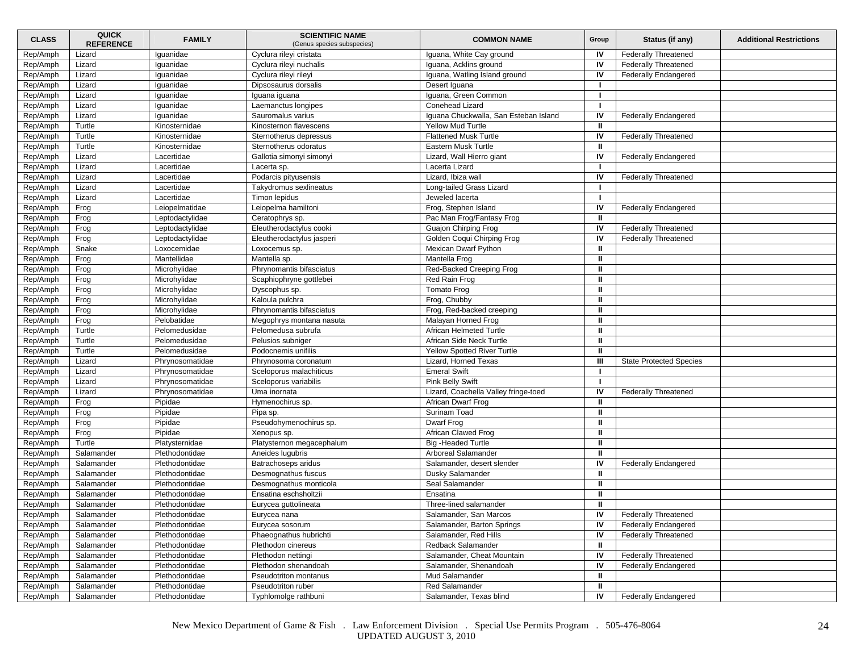| <b>CLASS</b> | <b>QUICK</b><br><b>REFERENCE</b> | <b>FAMILY</b>   | <b>SCIENTIFIC NAME</b><br>(Genus species subspecies) | <b>COMMON NAME</b>                    | Group        | Status (if any)                | <b>Additional Restrictions</b> |
|--------------|----------------------------------|-----------------|------------------------------------------------------|---------------------------------------|--------------|--------------------------------|--------------------------------|
| Rep/Amph     | Lizard                           | Iguanidae       | Cyclura rileyi cristata                              | Iguana, White Cay ground              | IV           | <b>Federally Threatened</b>    |                                |
| Rep/Amph     | Lizard                           | Iguanidae       | Cyclura rileyi nuchalis                              | Iguana, Acklins ground                | IV           | <b>Federally Threatened</b>    |                                |
| Rep/Amph     | Lizard                           | Iguanidae       | Cyclura rileyi rileyi                                | Iguana, Watling Island ground         | IV           | <b>Federally Endangered</b>    |                                |
| Rep/Amph     | Lizard                           | lguanidae       | Dipsosaurus dorsalis                                 | Desert Iguana                         | -1           |                                |                                |
| Rep/Amph     | Lizard                           | Iguanidae       | Iguana iguana                                        | Iguana, Green Common                  |              |                                |                                |
| Rep/Amph     | Lizard                           | Iguanidae       | Laemanctus longipes                                  | Conehead Lizard                       |              |                                |                                |
| Rep/Amph     | Lizard                           | Iguanidae       | Sauromalus varius                                    | Iguana Chuckwalla, San Esteban Island | IV           | <b>Federally Endangered</b>    |                                |
| Rep/Amph     | Turtle                           | Kinosternidae   | Kinosternon flavescens                               | <b>Yellow Mud Turtle</b>              | ш            |                                |                                |
| Rep/Amph     | Turtle                           | Kinosternidae   | Sternotherus depressus                               | <b>Flattened Musk Turtle</b>          | IV           | <b>Federally Threatened</b>    |                                |
| Rep/Amph     | Turtle                           | Kinosternidae   | Sternotherus odoratus                                | <b>Eastern Musk Turtle</b>            | ш            |                                |                                |
| Rep/Amph     | Lizard                           | Lacertidae      | Gallotia simonyi simonyi                             | Lizard, Wall Hierro giant             | IV           | <b>Federally Endangered</b>    |                                |
| Rep/Amph     | Lizard                           | Lacertidae      | Lacerta sp.                                          | Lacerta Lizard                        |              |                                |                                |
| Rep/Amph     | Lizard                           | Lacertidae      | Podarcis pityusensis                                 | Lizard, Ibiza wall                    | IV           | <b>Federally Threatened</b>    |                                |
| Rep/Amph     | Lizard                           | Lacertidae      | Takydromus sexlineatus                               | Long-tailed Grass Lizard              | -1           |                                |                                |
| Rep/Amph     | Lizard                           | Lacertidae      | Timon lepidus                                        | Jeweled lacerta                       | -1           |                                |                                |
| Rep/Amph     | Frog                             | Leiopelmatidae  | Leiopelma hamiltoni                                  | Frog, Stephen Island                  | IV           | <b>Federally Endangered</b>    |                                |
| Rep/Amph     | Frog                             | Leptodactylidae | Ceratophrys sp.                                      | Pac Man Frog/Fantasy Frog             | $\mathbf{I}$ |                                |                                |
| Rep/Amph     | Frog                             | Leptodactylidae | Eleutherodactylus cooki                              | Guajon Chirping Frog                  | IV           | <b>Federally Threatened</b>    |                                |
| Rep/Amph     | Frog                             | Leptodactylidae | Eleutherodactylus jasperi                            | Golden Coqui Chirping Frog            | IV           | <b>Federally Threatened</b>    |                                |
| Rep/Amph     | Snake                            | Loxocemidae     | Loxocemus sp.                                        | <b>Mexican Dwarf Python</b>           | ш            |                                |                                |
| Rep/Amph     | Frog                             | Mantellidae     | Mantella sp.                                         | Mantella Frog                         | $\mathbf{u}$ |                                |                                |
| Rep/Amph     | Frog                             | Microhylidae    | Phrynomantis bifasciatus                             | Red-Backed Creeping Frog              | Ш            |                                |                                |
| Rep/Amph     | Frog                             | Microhylidae    | Scaphiophryne gottlebei                              | Red Rain Frog                         | л            |                                |                                |
| Rep/Amph     | Frog                             | Microhylidae    | Dyscophus sp.                                        | <b>Tomato Frog</b>                    | ш            |                                |                                |
| Rep/Amph     | Frog                             | Microhylidae    | Kaloula pulchra                                      | Frog, Chubby                          | Ш            |                                |                                |
| Rep/Amph     | Frog                             | Microhylidae    | Phrynomantis bifasciatus                             | Frog, Red-backed creeping             | $\mathbf{u}$ |                                |                                |
| Rep/Amph     | Frog                             | Pelobatidae     | Megophrys montana nasuta                             | Malayan Horned Frog                   | ш            |                                |                                |
| Rep/Amph     | Turtle                           | Pelomedusidae   | Pelomedusa subrufa                                   | African Helmeted Turtle               | ш            |                                |                                |
| Rep/Amph     | Turtle                           | Pelomedusidae   | Pelusios subniger                                    | African Side Neck Turtle              | $\mathbf{u}$ |                                |                                |
| Rep/Amph     | Turtle                           | Pelomedusidae   | Podocnemis unifilis                                  | Yellow Spotted River Turtle           | $\mathbf{u}$ |                                |                                |
| Rep/Amph     | Lizard                           | Phrynosomatidae | Phrynosoma coronatum                                 | Lizard, Horned Texas                  | Ш            | <b>State Protected Species</b> |                                |
| Rep/Amph     | Lizard                           | Phrynosomatidae | Sceloporus malachiticus                              | <b>Emeral Swift</b>                   | -1           |                                |                                |
| Rep/Amph     | Lizard                           | Phrynosomatidae | Sceloporus variabilis                                | <b>Pink Belly Swift</b>               | п.           |                                |                                |
| Rep/Amph     | Lizard                           | Phrynosomatidae | Uma inornata                                         | Lizard, Coachella Valley fringe-toed  | IV           | <b>Federally Threatened</b>    |                                |
| Rep/Amph     | Frog                             | Pipidae         | Hymenochirus sp.                                     | African Dwarf Frog                    | $\mathbf{u}$ |                                |                                |
| Rep/Amph     | Frog                             | Pipidae         | Pipa sp.                                             | Surinam Toad                          | ш            |                                |                                |
| Rep/Amph     | Frog                             | Pipidae         | Pseudohymenochirus sp.                               | Dwarf Frog                            | ш            |                                |                                |
| Rep/Amph     | Frog                             | Pipidae         | Xenopus sp.                                          | African Clawed Frog                   | $\mathbf{u}$ |                                |                                |
| Rep/Amph     | Turtle                           | Platysternidae  | Platysternon megacephalum                            | <b>Big-Headed Turtle</b>              | Ш            |                                |                                |
| Rep/Amph     | Salamander                       | Plethodontidae  | Aneides lugubris                                     | Arboreal Salamander                   | ш            |                                |                                |
| Rep/Amph     | Salamander                       | Plethodontidae  | Batrachoseps aridus                                  | Salamander, desert slender            | IV           | <b>Federally Endangered</b>    |                                |
| Rep/Amph     | Salamander                       | Plethodontidae  | Desmognathus fuscus                                  | Dusky Salamander                      | ш            |                                |                                |
| Rep/Amph     | Salamander                       | Plethodontidae  | Desmognathus monticola                               | Seal Salamander                       | ш            |                                |                                |
| Rep/Amph     | Salamander                       | Plethodontidae  | Ensatina eschsholtzii                                | Ensatina                              | ш            |                                |                                |
| Rep/Amph     | Salamander                       | Plethodontidae  | Eurycea guttolineata                                 | Three-lined salamander                | $\mathbf{u}$ |                                |                                |
| Rep/Amph     | Salamander                       | Plethodontidae  | Eurycea nana                                         | Salamander, San Marcos                | IV           | <b>Federally Threatened</b>    |                                |
| Rep/Amph     | Salamander                       | Plethodontidae  | Eurycea sosorum                                      | Salamander, Barton Springs            | IV           | <b>Federally Endangered</b>    |                                |
| Rep/Amph     | Salamander                       | Plethodontidae  | Phaeognathus hubrichti                               | Salamander, Red Hills                 | IV           | <b>Federally Threatened</b>    |                                |
| Rep/Amph     | Salamander                       | Plethodontidae  | Plethodon cinereus                                   | Redback Salamander                    | Ш            |                                |                                |
| Rep/Amph     | Salamander                       | Plethodontidae  | Plethodon nettingi                                   | Salamander, Cheat Mountain            | IV           | <b>Federally Threatened</b>    |                                |
| Rep/Amph     | Salamander                       | Plethodontidae  | Plethodon shenandoah                                 | Salamander, Shenandoah                | IV           | <b>Federally Endangered</b>    |                                |
| Rep/Amph     | Salamander                       | Plethodontidae  | Pseudotriton montanus                                | Mud Salamander                        | Ш            |                                |                                |
| Rep/Amph     | Salamander                       | Plethodontidae  | Pseudotriton ruber                                   | Red Salamander                        | Ш            |                                |                                |
| Rep/Amph     | Salamander                       | Plethodontidae  | Typhlomolge rathbuni                                 | Salamander, Texas blind               | IV           | <b>Federally Endangered</b>    |                                |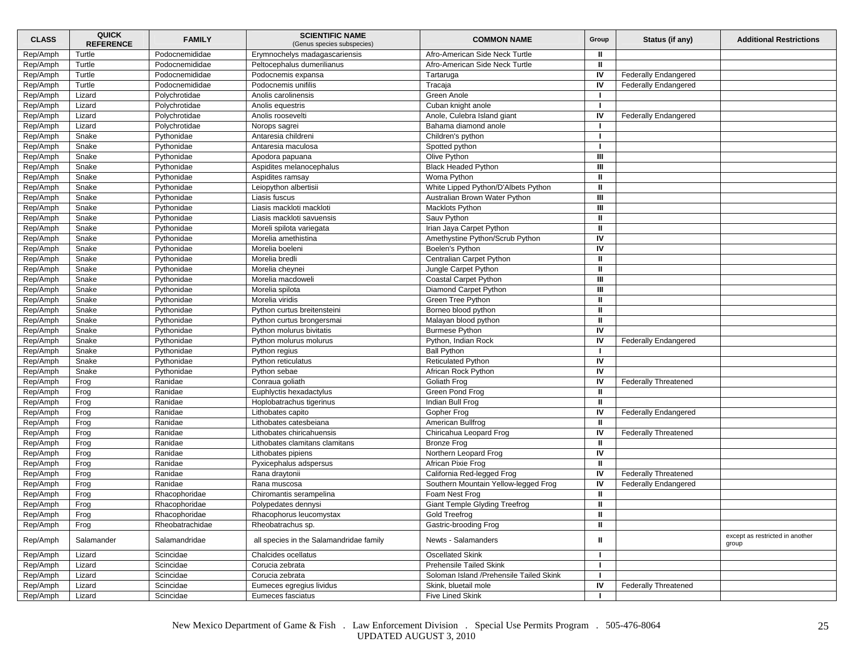| <b>CLASS</b> | <b>QUICK</b><br><b>REFERENCE</b> | <b>FAMILY</b>   | <b>SCIENTIFIC NAME</b><br>(Genus species subspecies) | <b>COMMON NAME</b>                       | Group        | Status (if any)             | <b>Additional Restrictions</b>           |
|--------------|----------------------------------|-----------------|------------------------------------------------------|------------------------------------------|--------------|-----------------------------|------------------------------------------|
| Rep/Amph     | Turtle                           | Podocnemididae  | Erymnochelys madagascariensis                        | Afro-American Side Neck Turtle           | Ш            |                             |                                          |
| Rep/Amph     | Turtle                           | Podocnemididae  | Peltocephalus dumerilianus                           | Afro-American Side Neck Turtle           | $\mathbf{u}$ |                             |                                          |
| Rep/Amph     | Turtle                           | Podocnemididae  | Podocnemis expansa                                   | Tartaruga                                | IV           | <b>Federally Endangered</b> |                                          |
| Rep/Amph     | Turtle                           | Podocnemididae  | Podocnemis unifilis                                  | Tracaja                                  | IV           | <b>Federally Endangered</b> |                                          |
| Rep/Amph     | Lizard                           | Polychrotidae   | Anolis carolinensis                                  | Green Anole                              |              |                             |                                          |
| Rep/Amph     | Lizard                           | Polychrotidae   | Anolis equestris                                     | Cuban knight anole                       |              |                             |                                          |
| Rep/Amph     | Lizard                           | Polychrotidae   | Anolis roosevelti                                    | Anole, Culebra Island giant              | IV           | <b>Federally Endangered</b> |                                          |
| Rep/Amph     | Lizard                           | Polychrotidae   | Norops sagrei                                        | Bahama diamond anole                     |              |                             |                                          |
| Rep/Amph     | Snake                            | Pythonidae      | Antaresia childreni                                  | Children's python                        | -1           |                             |                                          |
| Rep/Amph     | Snake                            | Pythonidae      | Antaresia maculosa                                   | Spotted python                           | -1           |                             |                                          |
| Rep/Amph     | Snake                            | Pythonidae      | Apodora papuana                                      | Olive Python                             | Ш            |                             |                                          |
| Rep/Amph     | Snake                            | Pythonidae      | Aspidites melanocephalus                             | <b>Black Headed Python</b>               | Ш            |                             |                                          |
| Rep/Amph     | Snake                            | Pythonidae      | Aspidites ramsay                                     | Woma Python                              | Ш            |                             |                                          |
| Rep/Amph     | Snake                            | Pythonidae      | Leiopython albertisii                                | White Lipped Python/D'Albets Python      | $\mathbf{u}$ |                             |                                          |
| Rep/Amph     | Snake                            | Pythonidae      | Liasis fuscus                                        | Australian Brown Water Python            | Ш            |                             |                                          |
| Rep/Amph     | Snake                            | Pythonidae      | Liasis mackloti mackloti                             | Macklots Python                          | Ш            |                             |                                          |
| Rep/Amph     | Snake                            | Pythonidae      | Liasis mackloti savuensis                            | Sauv Python                              | ш            |                             |                                          |
| Rep/Amph     | Snake                            | Pythonidae      | Moreli spilota variegata                             | Irian Jaya Carpet Python                 | $\mathbf{u}$ |                             |                                          |
| Rep/Amph     | Snake                            | Pythonidae      | Morelia amethistina                                  | Amethystine Python/Scrub Python          | IV           |                             |                                          |
| Rep/Amph     | Snake                            | Pythonidae      | Morelia boeleni                                      | Boelen's Python                          | IV           |                             |                                          |
| Rep/Amph     | Snake                            | Pythonidae      | Morelia bredli                                       | Centralian Carpet Python                 | $\mathbf{u}$ |                             |                                          |
| Rep/Amph     | Snake                            | Pythonidae      | Morelia cheynei                                      | Jungle Carpet Python                     | Ш            |                             |                                          |
| Rep/Amph     | Snake                            | Pythonidae      | Morelia macdoweli                                    | Coastal Carpet Python                    | Ш            |                             |                                          |
| Rep/Amph     | Snake                            | Pythonidae      | Morelia spilota                                      | Diamond Carpet Python                    | Ш            |                             |                                          |
| Rep/Amph     | Snake                            | Pythonidae      | Morelia viridis                                      | Green Tree Python                        | Ш            |                             |                                          |
| Rep/Amph     | Snake                            | Pythonidae      | Python curtus breitensteini                          | Borneo blood python                      | $\mathbf{u}$ |                             |                                          |
| Rep/Amph     | Snake                            | Pythonidae      | Python curtus brongersmai                            | Malayan blood python                     | ш            |                             |                                          |
| Rep/Amph     | Snake                            | Pythonidae      | Python molurus bivitatis                             | <b>Burmese Python</b>                    | IV           |                             |                                          |
| Rep/Amph     | Snake                            | Pythonidae      | Python molurus molurus                               | Python, Indian Rock                      | IV           | <b>Federally Endangered</b> |                                          |
| Rep/Amph     | Snake                            | Pythonidae      | Python regius                                        | <b>Ball Python</b>                       |              |                             |                                          |
| Rep/Amph     | Snake                            | Pythonidae      | Python reticulatus                                   | <b>Reticulated Python</b>                | IV           |                             |                                          |
| Rep/Amph     | Snake                            | Pythonidae      | Python sebae                                         | African Rock Python                      | IV           |                             |                                          |
| Rep/Amph     | Frog                             | Ranidae         | Conraua goliath                                      | Goliath Frog                             | IV           | <b>Federally Threatened</b> |                                          |
| Rep/Amph     | Frog                             | Ranidae         | Euphlyctis hexadactylus                              | Green Pond Frog                          | Ш            |                             |                                          |
| Rep/Amph     | Frog                             | Ranidae         | Hoplobatrachus tigerinus                             | Indian Bull Frog                         | $\mathbf{u}$ |                             |                                          |
| Rep/Amph     | Frog                             | Ranidae         | Lithobates capito                                    | Gopher Frog                              | IV           | <b>Federally Endangered</b> |                                          |
| Rep/Amph     | Frog                             | Ranidae         | Lithobates catesbeiana                               | American Bullfrog                        | ш            |                             |                                          |
| Rep/Amph     | Frog                             | Ranidae         | Lithobates chiricahuensis                            | Chiricahua Leopard Frog                  | IV           | <b>Federally Threatened</b> |                                          |
| Rep/Amph     | Frog                             | Ranidae         | Lithobates clamitans clamitans                       | <b>Bronze Frog</b>                       | Ш            |                             |                                          |
| Rep/Amph     | Frog                             | Ranidae         | Lithobates pipiens                                   | Northern Leopard Frog                    | IV           |                             |                                          |
| Rep/Amph     | Frog                             | Ranidae         | Pyxicephalus adspersus                               | African Pixie Frog                       | $\mathbf{u}$ |                             |                                          |
| Rep/Amph     | Frog                             | Ranidae         | Rana draytonii                                       | California Red-legged Frog               | IV           | <b>Federally Threatened</b> |                                          |
| Rep/Amph     | Frog                             | Ranidae         | Rana muscosa                                         | Southern Mountain Yellow-legged Frog     | IV           | <b>Federally Endangered</b> |                                          |
| Rep/Amph     | Frog                             | Rhacophoridae   | Chiromantis serampelina                              | Foam Nest Frog                           | ш            |                             |                                          |
| Rep/Amph     | Frog                             | Rhacophoridae   | Polypedates dennysi                                  | <b>Giant Temple Glyding Treefrog</b>     | $\mathbf{u}$ |                             |                                          |
| Rep/Amph     | Frog                             | Rhacophoridae   | Rhacophorus leucomystax                              | Gold Treefrog                            | Ш            |                             |                                          |
| Rep/Amph     | Frog                             | Rheobatrachidae | Rheobatrachus sp.                                    | Gastric-brooding Frog                    | $\mathbf{u}$ |                             |                                          |
|              |                                  |                 |                                                      |                                          |              |                             |                                          |
| Rep/Amph     | Salamander                       | Salamandridae   | all species in the Salamandridae family              | Newts - Salamanders                      | $\mathbf{u}$ |                             | except as restricted in another<br>group |
| Rep/Amph     | Lizard                           | Scincidae       | Chalcides ocellatus                                  | <b>Oscellated Skink</b>                  | L.           |                             |                                          |
| Rep/Amph     | Lizard                           | Scincidae       | Corucia zebrata                                      | Prehensile Tailed Skink                  | п.           |                             |                                          |
| Rep/Amph     | Lizard                           | Scincidae       | Corucia zebrata                                      | Soloman Island / Prehensile Tailed Skink | п.           |                             |                                          |
| Rep/Amph     | Lizard                           | Scincidae       | Eumeces egregius lividus                             | Skink, bluetail mole                     | IV           | <b>Federally Threatened</b> |                                          |
| Rep/Amph     | Lizard                           | Scincidae       | Eumeces fasciatus                                    | Five Lined Skink                         |              |                             |                                          |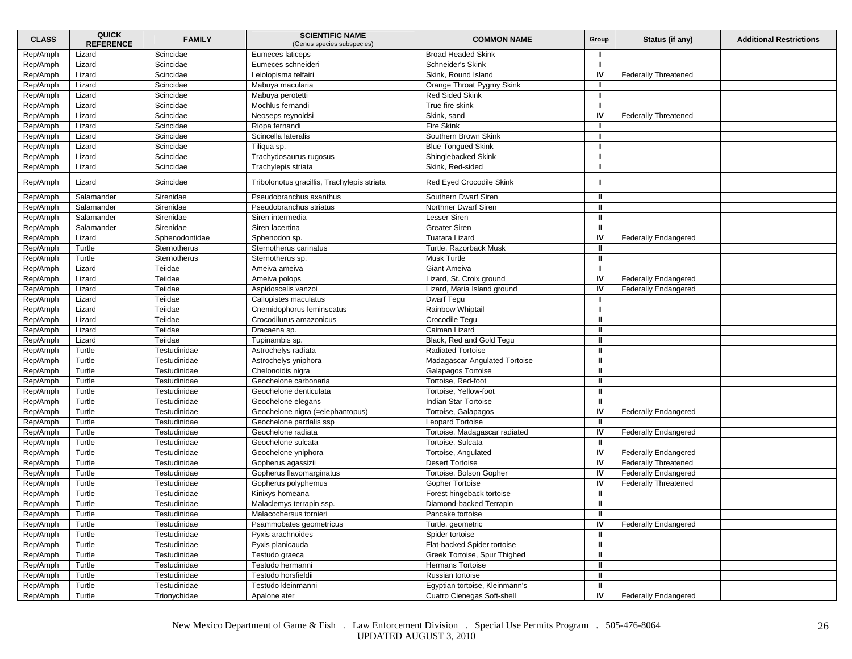| <b>CLASS</b>         | <b>QUICK</b><br><b>REFERENCE</b> | <b>FAMILY</b>  | <b>SCIENTIFIC NAME</b><br>(Genus species subspecies)        | <b>COMMON NAME</b>                         | Group        | Status (if any)             | <b>Additional Restrictions</b> |
|----------------------|----------------------------------|----------------|-------------------------------------------------------------|--------------------------------------------|--------------|-----------------------------|--------------------------------|
| Rep/Amph             | Lizard                           | Scincidae      | Eumeces laticeps                                            | <b>Broad Headed Skink</b>                  |              |                             |                                |
| Rep/Amph             | Lizard                           | Scincidae      | Eumeces schneideri                                          | Schneider's Skink                          |              |                             |                                |
| Rep/Amph             | Lizard                           | Scincidae      | Leiolopisma telfairi                                        | Skink, Round Island                        | IV           | <b>Federally Threatened</b> |                                |
| Rep/Amph             | Lizard                           | Scincidae      | Mabuya macularia                                            | Orange Throat Pygmy Skink                  |              |                             |                                |
| Rep/Amph             | Lizard                           | Scincidae      | Mabuya perotetti                                            | <b>Red Sided Skink</b>                     |              |                             |                                |
| Rep/Amph             | Lizard                           | Scincidae      | Mochlus fernandi                                            | True fire skink                            |              |                             |                                |
| Rep/Amph             | Lizard                           | Scincidae      | Neoseps reynoldsi                                           | Skink, sand                                | IV           | <b>Federally Threatened</b> |                                |
| Rep/Amph             | Lizard                           | Scincidae      | Riopa fernandi                                              | Fire Skink                                 |              |                             |                                |
| Rep/Amph             | Lizard                           | Scincidae      | Scincella lateralis                                         | Southern Brown Skink                       | п            |                             |                                |
| Rep/Amph             | Lizard                           | Scincidae      | Tiliqua sp.                                                 | <b>Blue Tonqued Skink</b>                  |              |                             |                                |
| Rep/Amph             | Lizard                           | Scincidae      | Trachydosaurus rugosus                                      | Shinglebacked Skink                        |              |                             |                                |
| Rep/Amph             | Lizard                           | Scincidae      | Trachylepis striata                                         | Skink, Red-sided                           |              |                             |                                |
| Rep/Amph             | Lizard                           | Scincidae      | Tribolonotus gracillis, Trachylepis striata                 | Red Eyed Crocodile Skink                   |              |                             |                                |
| Rep/Amph             | Salamander                       | Sirenidae      | Pseudobranchus axanthus                                     | Southern Dwarf Siren                       | Ш            |                             |                                |
| Rep/Amph             | Salamander                       | Sirenidae      | Pseudobranchus striatus                                     | Northner Dwarf Siren                       | ш            |                             |                                |
| Rep/Amph             | Salamander                       | Sirenidae      | Siren intermedia                                            | Lesser Siren                               | Ш            |                             |                                |
| Rep/Amph             | Salamander                       | Sirenidae      | Siren lacertina                                             | <b>Greater Siren</b>                       | ш            |                             |                                |
| Rep/Amph             | Lizard                           | Sphenodontidae | Sphenodon sp.                                               | <b>Tuatara Lizard</b>                      | IV           | <b>Federally Endangered</b> |                                |
| Rep/Amph             | Turtle                           | Sternotherus   | Sternotherus carinatus                                      | Turtle, Razorback Musk                     | Ш            |                             |                                |
| Rep/Amph             | Turtle                           | Sternotherus   | Sternotherus sp.                                            | <b>Musk Turtle</b>                         | ш            |                             |                                |
| Rep/Amph             | Lizard                           | Teiidae        | Ameiva ameiva                                               | <b>Giant Ameiva</b>                        |              |                             |                                |
| Rep/Amph             | Lizard                           | Teiidae        | Ameiva polops                                               | Lizard, St. Croix ground                   | IV           | <b>Federally Endangered</b> |                                |
| Rep/Amph             | Lizard                           | Teiidae        | Aspidoscelis vanzoi                                         | Lizard, Maria Island ground                | IV           | <b>Federally Endangered</b> |                                |
| Rep/Amph             | Lizard                           | Teiidae        | Callopistes maculatus                                       | Dwarf Tegu                                 |              |                             |                                |
| Rep/Amph             | Lizard                           | Teiidae        | Cnemidophorus leminscatus                                   | Rainbow Whiptail                           |              |                             |                                |
| Rep/Amph             | Lizard                           | Teiidae        | Crocodilurus amazonicus                                     | Crocodile Tegu                             | ш            |                             |                                |
| Rep/Amph             | Lizard                           | Teiidae        | Dracaena sp.                                                | Caiman Lizard                              | Ш            |                             |                                |
| Rep/Amph             | Lizard                           | Teiidae        | Tupinambis sp.                                              | Black, Red and Gold Tequ                   | Ш            |                             |                                |
| Rep/Amph             | Turtle                           | Testudinidae   | Astrochelys radiata                                         | <b>Radiated Tortoise</b>                   | ш            |                             |                                |
| Rep/Amph             | Turtle                           | Testudinidae   | Astrochelys yniphora                                        | Madagascar Angulated Tortoise              | Ш            |                             |                                |
| Rep/Amph             | Turtle                           | Testudinidae   | Chelonoidis nigra                                           | Galapagos Tortoise                         | Ш            |                             |                                |
| Rep/Amph             | Turtle                           | Testudinidae   | Geochelone carbonaria                                       | Tortoise, Red-foot                         | ш            |                             |                                |
| Rep/Amph             | Turtle                           | Testudinidae   | Geochelone denticulata                                      | Tortoise, Yellow-foot                      | ш            |                             |                                |
| Rep/Amph             | Turtle                           | Testudinidae   | Geochelone elegans                                          | Indian Star Tortoise                       | ш            |                             |                                |
| Rep/Amph             | Turtle                           | Testudinidae   |                                                             | Tortoise, Galapagos                        | IV           |                             |                                |
| Rep/Amph             | Turtle                           | Testudinidae   | Geochelone nigra (=elephantopus)<br>Geochelone pardalis ssp | Leopard Tortoise                           | Ш            | <b>Federally Endangered</b> |                                |
| Rep/Amph             | Turtle                           | Testudinidae   | Geochelone radiata                                          | Tortoise, Madagascar radiated              | IV           | <b>Federally Endangered</b> |                                |
|                      | Turtle                           | Testudinidae   | Geochelone sulcata                                          |                                            | ш            |                             |                                |
| Rep/Amph<br>Rep/Amph | Turtle                           | Testudinidae   |                                                             | Tortoise, Sulcata<br>Tortoise, Angulated   | IV           | Federally Endangered        |                                |
| Rep/Amph             | Turtle                           | Testudinidae   | Geochelone yniphora                                         | <b>Desert Tortoise</b>                     | IV           | <b>Federally Threatened</b> |                                |
|                      |                                  |                | Gopherus agassizii                                          |                                            | IV           |                             |                                |
| Rep/Amph             | Turtle                           | Testudinidae   | Gopherus flavomarginatus                                    | Tortoise, Bolson Gopher<br>Gopher Tortoise |              | <b>Federally Endangered</b> |                                |
| Rep/Amph             | Turtle                           | Testudinidae   | Gopherus polyphemus                                         |                                            | IV           | <b>Federally Threatened</b> |                                |
| Rep/Amph             | Turtle                           | Testudinidae   | Kinixys homeana                                             | Forest hingeback tortoise                  | Ш            |                             |                                |
| Rep/Amph             | Turtle                           | Testudinidae   | Malaclemys terrapin ssp.                                    | Diamond-backed Terrapin                    | ш            |                             |                                |
| Rep/Amph             | Turtle                           | Testudinidae   | Malacochersus tornieri                                      | Pancake tortoise                           | Ш            |                             |                                |
| Rep/Amph             | Turtle                           | Testudinidae   | Psammobates geometricus                                     | Turtle, geometric                          | IV           | <b>Federally Endangered</b> |                                |
| Rep/Amph             | Turtle                           | Testudinidae   | Pyxis arachnoides                                           | Spider tortoise                            | ш            |                             |                                |
| Rep/Amph             | Turtle                           | Testudinidae   | Pyxis planicauda                                            | Flat-backed Spider tortoise                | Ш            |                             |                                |
| Rep/Amph             | Turtle                           | Testudinidae   | Testudo graeca                                              | Greek Tortoise, Spur Thighed               | ш            |                             |                                |
| Rep/Amph             | Turtle                           | Testudinidae   | Testudo hermanni                                            | Hermans Tortoise                           | ш            |                             |                                |
| Rep/Amph             | Turtle                           | Testudinidae   | Testudo horsfieldii                                         | Russian tortoise                           | $\mathbf{u}$ |                             |                                |
| Rep/Amph             | Turtle                           | Testudinidae   | Testudo kleinmanni                                          | Egyptian tortoise, Kleinmann's             | ш            |                             |                                |
| Rep/Amph             | Turtle                           | Trionychidae   | Apalone ater                                                | Cuatro Cienegas Soft-shell                 | IV           | <b>Federally Endangered</b> |                                |